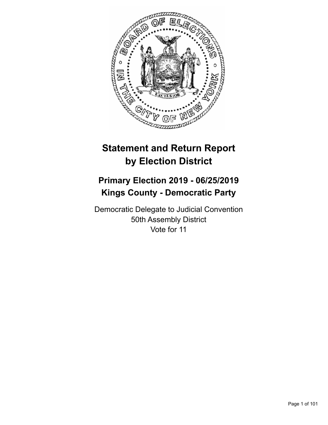

# **Statement and Return Report by Election District**

## **Primary Election 2019 - 06/25/2019 Kings County - Democratic Party**

Democratic Delegate to Judicial Convention 50th Assembly District Vote for 11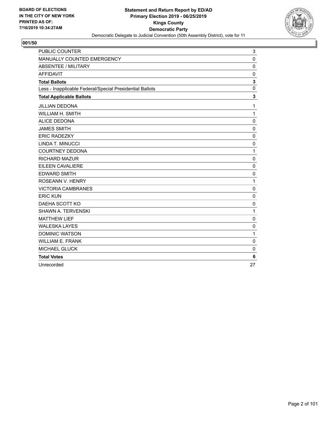

| <b>PUBLIC COUNTER</b>                                    | 3            |
|----------------------------------------------------------|--------------|
| MANUALLY COUNTED EMERGENCY                               | $\mathbf{0}$ |
| <b>ABSENTEE / MILITARY</b>                               | 0            |
| <b>AFFIDAVIT</b>                                         | $\mathbf 0$  |
| <b>Total Ballots</b>                                     | $\mathbf{3}$ |
| Less - Inapplicable Federal/Special Presidential Ballots | $\mathbf 0$  |
| <b>Total Applicable Ballots</b>                          | 3            |
| <b>JILLIAN DEDONA</b>                                    | 1            |
| WILLIAM H. SMITH                                         | $\mathbf{1}$ |
| <b>ALICE DEDONA</b>                                      | $\mathbf 0$  |
| <b>JAMES SMITH</b>                                       | $\mathbf 0$  |
| <b>ERIC RADEZKY</b>                                      | $\mathbf{0}$ |
| LINDA T. MINUCCI                                         | 0            |
| <b>COURTNEY DEDONA</b>                                   | $\mathbf{1}$ |
| <b>RICHARD MAZUR</b>                                     | $\mathbf 0$  |
| EILEEN CAVALIERE                                         | $\mathbf 0$  |
| <b>EDWARD SMITH</b>                                      | $\mathbf 0$  |
| ROSEANN V. HENRY                                         | $\mathbf{1}$ |
| <b>VICTORIA CAMBRANES</b>                                | $\mathbf 0$  |
| <b>ERIC KUN</b>                                          | $\mathbf 0$  |
| DAEHA SCOTT KO                                           | $\mathbf 0$  |
| <b>SHAWN A. TERVENSKI</b>                                | 1            |
| <b>MATTHEW LIEF</b>                                      | 0            |
| <b>WALESKA LAYES</b>                                     | $\mathbf 0$  |
| <b>DOMINIC WATSON</b>                                    | $\mathbf{1}$ |
| <b>WILLIAM E. FRANK</b>                                  | $\mathbf{0}$ |
| <b>MICHAEL GLUCK</b>                                     | $\mathbf 0$  |
| <b>Total Votes</b>                                       | 6            |
| Unrecorded                                               | 27           |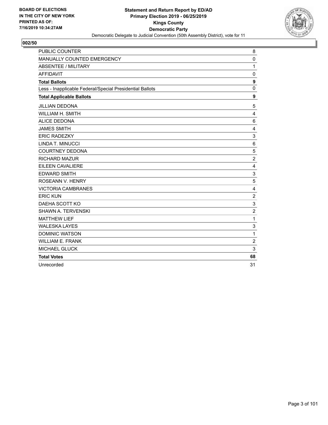

| <b>PUBLIC COUNTER</b>                                    | 8                |
|----------------------------------------------------------|------------------|
| MANUALLY COUNTED EMERGENCY                               | 0                |
| <b>ABSENTEE / MILITARY</b>                               | $\mathbf{1}$     |
| <b>AFFIDAVIT</b>                                         | $\mathbf 0$      |
| <b>Total Ballots</b>                                     | $\boldsymbol{9}$ |
| Less - Inapplicable Federal/Special Presidential Ballots | $\mathbf{0}$     |
| <b>Total Applicable Ballots</b>                          | 9                |
| <b>JILLIAN DEDONA</b>                                    | 5                |
| <b>WILLIAM H. SMITH</b>                                  | 4                |
| <b>ALICE DEDONA</b>                                      | 6                |
| <b>JAMES SMITH</b>                                       | 4                |
| <b>ERIC RADEZKY</b>                                      | 3                |
| LINDA T. MINUCCI                                         | 6                |
| <b>COURTNEY DEDONA</b>                                   | 5                |
| <b>RICHARD MAZUR</b>                                     | $\overline{c}$   |
| <b>EILEEN CAVALIERE</b>                                  | 4                |
| <b>EDWARD SMITH</b>                                      | 3                |
| ROSEANN V. HENRY                                         | 5                |
| <b>VICTORIA CAMBRANES</b>                                | 4                |
| <b>ERIC KUN</b>                                          | $\overline{c}$   |
| DAEHA SCOTT KO                                           | 3                |
| <b>SHAWN A. TERVENSKI</b>                                | $\overline{c}$   |
| <b>MATTHEW LIEF</b>                                      | $\mathbf{1}$     |
| <b>WALESKA LAYES</b>                                     | 3                |
| <b>DOMINIC WATSON</b>                                    | $\mathbf{1}$     |
| <b>WILLIAM E. FRANK</b>                                  | $\overline{c}$   |
| <b>MICHAEL GLUCK</b>                                     | 3                |
| <b>Total Votes</b>                                       | 68               |
| Unrecorded                                               | 31               |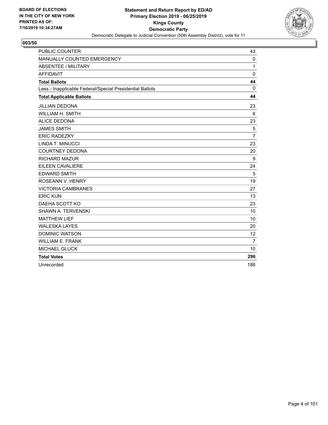

| <b>PUBLIC COUNTER</b>                                    | 43             |
|----------------------------------------------------------|----------------|
| MANUALLY COUNTED EMERGENCY                               | 0              |
| <b>ABSENTEE / MILITARY</b>                               | 1              |
| <b>AFFIDAVIT</b>                                         | $\mathbf 0$    |
| <b>Total Ballots</b>                                     | 44             |
| Less - Inapplicable Federal/Special Presidential Ballots | $\mathbf{0}$   |
| <b>Total Applicable Ballots</b>                          | 44             |
| <b>JILLIAN DEDONA</b>                                    | 23             |
| <b>WILLIAM H. SMITH</b>                                  | 6              |
| <b>ALICE DEDONA</b>                                      | 23             |
| <b>JAMES SMITH</b>                                       | 5              |
| <b>ERIC RADEZKY</b>                                      | $\overline{7}$ |
| LINDA T. MINUCCI                                         | 23             |
| <b>COURTNEY DEDONA</b>                                   | 20             |
| <b>RICHARD MAZUR</b>                                     | 9              |
| EILEEN CAVALIERE                                         | 24             |
| <b>EDWARD SMITH</b>                                      | 5              |
| ROSEANN V. HENRY                                         | 19             |
| <b>VICTORIA CAMBRANES</b>                                | 27             |
| <b>ERIC KUN</b>                                          | 13             |
| DAEHA SCOTT KO                                           | 23             |
| <b>SHAWN A. TERVENSKI</b>                                | 10             |
| <b>MATTHEW LIEF</b>                                      | 10             |
| <b>WALESKA LAYES</b>                                     | 20             |
| <b>DOMINIC WATSON</b>                                    | 12             |
| <b>WILLIAM E. FRANK</b>                                  | $\overline{7}$ |
| <b>MICHAEL GLUCK</b>                                     | 10             |
| <b>Total Votes</b>                                       | 296            |
| Unrecorded                                               | 188            |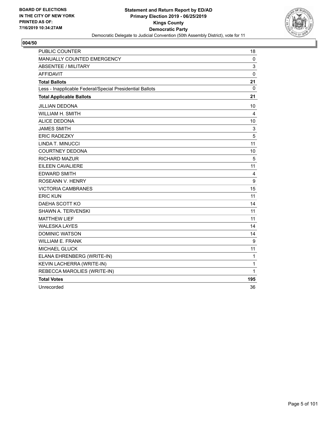

| <b>PUBLIC COUNTER</b>                                    | 18               |
|----------------------------------------------------------|------------------|
| MANUALLY COUNTED EMERGENCY                               | 0                |
| <b>ABSENTEE / MILITARY</b>                               | 3                |
| <b>AFFIDAVIT</b>                                         | $\mathbf 0$      |
| <b>Total Ballots</b>                                     | 21               |
| Less - Inapplicable Federal/Special Presidential Ballots | $\Omega$         |
| <b>Total Applicable Ballots</b>                          | 21               |
| <b>JILLIAN DEDONA</b>                                    | 10               |
| <b>WILLIAM H. SMITH</b>                                  | 4                |
| <b>ALICE DEDONA</b>                                      | 10               |
| <b>JAMES SMITH</b>                                       | 3                |
| <b>ERIC RADEZKY</b>                                      | 5                |
| LINDA T. MINUCCI                                         | 11               |
| <b>COURTNEY DEDONA</b>                                   | 10               |
| <b>RICHARD MAZUR</b>                                     | 5                |
| EILEEN CAVALIERE                                         | 11               |
| <b>EDWARD SMITH</b>                                      | 4                |
| ROSEANN V. HENRY                                         | 9                |
| <b>VICTORIA CAMBRANES</b>                                | 15               |
| <b>ERIC KUN</b>                                          | 11               |
| DAEHA SCOTT KO                                           | 14               |
| SHAWN A. TERVENSKI                                       | 11               |
| <b>MATTHEW LIEF</b>                                      | 11               |
| <b>WALESKA LAYES</b>                                     | 14               |
| <b>DOMINIC WATSON</b>                                    | 14               |
| <b>WILLIAM E. FRANK</b>                                  | $\boldsymbol{9}$ |
| <b>MICHAEL GLUCK</b>                                     | 11               |
| ELANA EHRENBERG (WRITE-IN)                               | 1                |
| KEVIN LACHERRA (WRITE-IN)                                | 1                |
| REBECCA MAROLIES (WRITE-IN)                              | $\mathbf{1}$     |
| <b>Total Votes</b>                                       | 195              |
| Unrecorded                                               | 36               |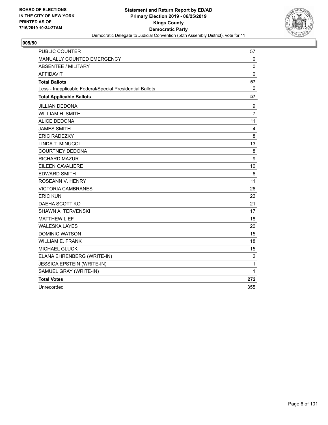

| <b>PUBLIC COUNTER</b>                                    | 57             |
|----------------------------------------------------------|----------------|
| MANUALLY COUNTED EMERGENCY                               | 0              |
| ABSENTEE / MILITARY                                      | $\mathbf 0$    |
| <b>AFFIDAVIT</b>                                         | $\mathbf 0$    |
| <b>Total Ballots</b>                                     | 57             |
| Less - Inapplicable Federal/Special Presidential Ballots | $\mathbf{0}$   |
| <b>Total Applicable Ballots</b>                          | 57             |
| <b>JILLIAN DEDONA</b>                                    | 9              |
| WILLIAM H. SMITH                                         | $\overline{7}$ |
| <b>ALICE DEDONA</b>                                      | 11             |
| <b>JAMES SMITH</b>                                       | 4              |
| <b>ERIC RADEZKY</b>                                      | 8              |
| <b>LINDA T. MINUCCI</b>                                  | 13             |
| <b>COURTNEY DEDONA</b>                                   | 8              |
| <b>RICHARD MAZUR</b>                                     | 9              |
| EILEEN CAVALIERE                                         | 10             |
| <b>EDWARD SMITH</b>                                      | 6              |
| ROSEANN V. HENRY                                         | 11             |
| <b>VICTORIA CAMBRANES</b>                                | 26             |
| <b>ERIC KUN</b>                                          | 22             |
| DAEHA SCOTT KO                                           | 21             |
| <b>SHAWN A. TERVENSKI</b>                                | 17             |
| <b>MATTHEW LIEF</b>                                      | 18             |
| <b>WALESKA LAYES</b>                                     | 20             |
| <b>DOMINIC WATSON</b>                                    | 15             |
| <b>WILLIAM E. FRANK</b>                                  | 18             |
| <b>MICHAEL GLUCK</b>                                     | 15             |
| ELANA EHRENBERG (WRITE-IN)                               | $\overline{2}$ |
| <b>JESSICA EPSTEIN (WRITE-IN)</b>                        | 1              |
| SAMUEL GRAY (WRITE-IN)                                   | 1              |
| <b>Total Votes</b>                                       | 272            |
| Unrecorded                                               | 355            |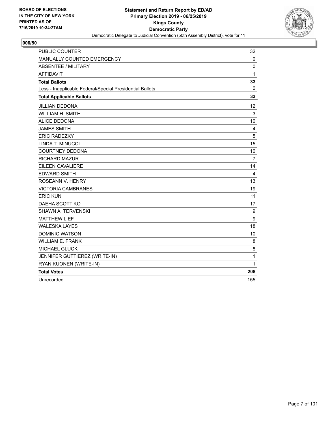

| <b>PUBLIC COUNTER</b>                                    | 32             |
|----------------------------------------------------------|----------------|
| MANUALLY COUNTED EMERGENCY                               | 0              |
| <b>ABSENTEE / MILITARY</b>                               | 0              |
| <b>AFFIDAVIT</b>                                         | 1              |
| <b>Total Ballots</b>                                     | 33             |
| Less - Inapplicable Federal/Special Presidential Ballots | 0              |
| <b>Total Applicable Ballots</b>                          | 33             |
| <b>JILLIAN DEDONA</b>                                    | 12             |
| <b>WILLIAM H. SMITH</b>                                  | 3              |
| <b>ALICE DEDONA</b>                                      | 10             |
| <b>JAMES SMITH</b>                                       | 4              |
| <b>ERIC RADEZKY</b>                                      | 5              |
| LINDA T. MINUCCI                                         | 15             |
| <b>COURTNEY DEDONA</b>                                   | 10             |
| <b>RICHARD MAZUR</b>                                     | $\overline{7}$ |
| <b>EILEEN CAVALIERE</b>                                  | 14             |
| <b>EDWARD SMITH</b>                                      | 4              |
| ROSEANN V. HENRY                                         | 13             |
| <b>VICTORIA CAMBRANES</b>                                | 19             |
| <b>ERIC KUN</b>                                          | 11             |
| DAEHA SCOTT KO                                           | 17             |
| SHAWN A. TERVENSKI                                       | 9              |
| <b>MATTHEW LIEF</b>                                      | 9              |
| <b>WALESKA LAYES</b>                                     | 18             |
| <b>DOMINIC WATSON</b>                                    | 10             |
| <b>WILLIAM E. FRANK</b>                                  | 8              |
| <b>MICHAEL GLUCK</b>                                     | 8              |
| JENNIFER GUTTIEREZ (WRITE-IN)                            | 1              |
| RYAN KUONEN (WRITE-IN)                                   | 1              |
| <b>Total Votes</b>                                       | 208            |
| Unrecorded                                               | 155            |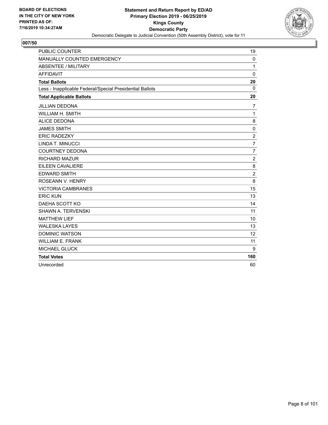

| <b>PUBLIC COUNTER</b>                                    | 19             |
|----------------------------------------------------------|----------------|
| MANUALLY COUNTED EMERGENCY                               | 0              |
| ABSENTEE / MILITARY                                      | 1              |
| <b>AFFIDAVIT</b>                                         | $\mathbf 0$    |
| <b>Total Ballots</b>                                     | 20             |
| Less - Inapplicable Federal/Special Presidential Ballots | $\mathbf{0}$   |
| <b>Total Applicable Ballots</b>                          | 20             |
| <b>JILLIAN DEDONA</b>                                    | $\overline{7}$ |
| <b>WILLIAM H. SMITH</b>                                  | $\mathbf{1}$   |
| <b>ALICE DEDONA</b>                                      | 8              |
| <b>JAMES SMITH</b>                                       | $\mathbf 0$    |
| <b>ERIC RADEZKY</b>                                      | $\overline{c}$ |
| <b>LINDA T. MINUCCI</b>                                  | $\overline{7}$ |
| <b>COURTNEY DEDONA</b>                                   | $\overline{7}$ |
| <b>RICHARD MAZUR</b>                                     | $\overline{c}$ |
| EILEEN CAVALIERE                                         | 8              |
| <b>EDWARD SMITH</b>                                      | $\overline{c}$ |
| ROSEANN V. HENRY                                         | 8              |
| <b>VICTORIA CAMBRANES</b>                                | 15             |
| <b>ERIC KUN</b>                                          | 13             |
| DAEHA SCOTT KO                                           | 14             |
| <b>SHAWN A. TERVENSKI</b>                                | 11             |
| <b>MATTHEW LIEF</b>                                      | 10             |
| <b>WALESKA LAYES</b>                                     | 13             |
| <b>DOMINIC WATSON</b>                                    | 12             |
| <b>WILLIAM E. FRANK</b>                                  | 11             |
| <b>MICHAEL GLUCK</b>                                     | 9              |
| <b>Total Votes</b>                                       | 160            |
| Unrecorded                                               | 60             |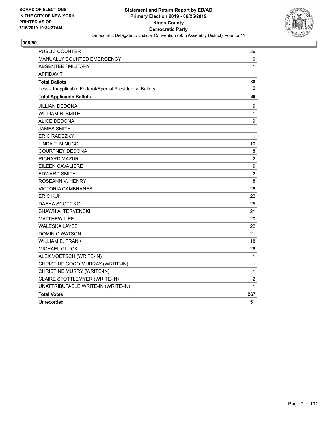

| <b>PUBLIC COUNTER</b>                                    | 36               |
|----------------------------------------------------------|------------------|
| <b>MANUALLY COUNTED EMERGENCY</b>                        | 0                |
| <b>ABSENTEE / MILITARY</b>                               | 1                |
| <b>AFFIDAVIT</b>                                         | 1                |
| <b>Total Ballots</b>                                     | 38               |
| Less - Inapplicable Federal/Special Presidential Ballots | 0                |
| <b>Total Applicable Ballots</b>                          | 38               |
| JILLIAN DEDONA                                           | 9                |
| WILLIAM H. SMITH                                         | 1                |
| <b>ALICE DEDONA</b>                                      | 9                |
| <b>JAMES SMITH</b>                                       | $\mathbf 1$      |
| <b>ERIC RADEZKY</b>                                      | $\mathbf{1}$     |
| LINDA T. MINUCCI                                         | 10               |
| <b>COURTNEY DEDONA</b>                                   | 8                |
| <b>RICHARD MAZUR</b>                                     | $\overline{2}$   |
| <b>EILEEN CAVALIERE</b>                                  | $\boldsymbol{9}$ |
| <b>EDWARD SMITH</b>                                      | $\overline{c}$   |
| ROSEANN V. HENRY                                         | 8                |
| <b>VICTORIA CAMBRANES</b>                                | 26               |
| <b>ERIC KUN</b>                                          | 22               |
| DAEHA SCOTT KO                                           | 25               |
| <b>SHAWN A. TERVENSKI</b>                                | 21               |
| <b>MATTHEW LIEF</b>                                      | 20               |
| <b>WALESKA LAYES</b>                                     | 22               |
| <b>DOMINIC WATSON</b>                                    | 21               |
| <b>WILLIAM E. FRANK</b>                                  | 18               |
| <b>MICHAEL GLUCK</b>                                     | 26               |
| ALEX VOETSCH (WRITE-IN)                                  | 1                |
| CHRISTINE COCO MURRAY (WRITE-IN)                         | 1                |
| CHRISTINE MURRY (WRITE-IN)                               | 1                |
| CLAIRE STOTTLEMYER (WRITE-IN)                            | $\overline{c}$   |
| UNATTRIBUTABLE WRITE-IN (WRITE-IN)                       | 1                |
| <b>Total Votes</b>                                       | 267              |
| Unrecorded                                               | 151              |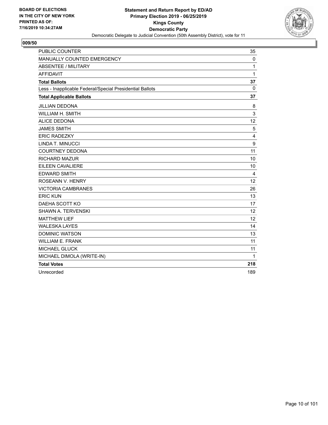

| <b>PUBLIC COUNTER</b>                                    | 35          |
|----------------------------------------------------------|-------------|
| MANUALLY COUNTED EMERGENCY                               | $\mathbf 0$ |
| <b>ABSENTEE / MILITARY</b>                               | 1           |
| <b>AFFIDAVIT</b>                                         | 1           |
| <b>Total Ballots</b>                                     | 37          |
| Less - Inapplicable Federal/Special Presidential Ballots | 0           |
| <b>Total Applicable Ballots</b>                          | 37          |
| <b>JILLIAN DEDONA</b>                                    | 8           |
| <b>WILLIAM H. SMITH</b>                                  | 3           |
| <b>ALICE DEDONA</b>                                      | 12          |
| <b>JAMES SMITH</b>                                       | 5           |
| <b>ERIC RADEZKY</b>                                      | 4           |
| LINDA T. MINUCCI                                         | 9           |
| <b>COURTNEY DEDONA</b>                                   | 11          |
| RICHARD MAZUR                                            | 10          |
| <b>EILEEN CAVALIERE</b>                                  | 10          |
| <b>EDWARD SMITH</b>                                      | 4           |
| <b>ROSEANN V. HENRY</b>                                  | 12          |
| <b>VICTORIA CAMBRANES</b>                                | 26          |
| <b>ERIC KUN</b>                                          | 13          |
| DAEHA SCOTT KO                                           | 17          |
| SHAWN A. TERVENSKI                                       | 12          |
| <b>MATTHEW LIEF</b>                                      | 12          |
| <b>WALESKA LAYES</b>                                     | 14          |
| <b>DOMINIC WATSON</b>                                    | 13          |
| <b>WILLIAM E. FRANK</b>                                  | 11          |
| <b>MICHAEL GLUCK</b>                                     | 11          |
| MICHAEL DIMOLA (WRITE-IN)                                | 1           |
| <b>Total Votes</b>                                       | 218         |
| Unrecorded                                               | 189         |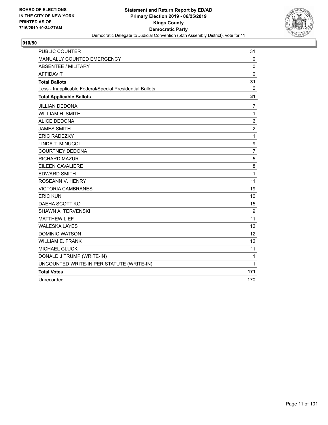

| <b>PUBLIC COUNTER</b>                                    | 31             |
|----------------------------------------------------------|----------------|
| MANUALLY COUNTED EMERGENCY                               | 0              |
| <b>ABSENTEE / MILITARY</b>                               | $\mathbf 0$    |
| <b>AFFIDAVIT</b>                                         | 0              |
| <b>Total Ballots</b>                                     | 31             |
| Less - Inapplicable Federal/Special Presidential Ballots | 0              |
| <b>Total Applicable Ballots</b>                          | 31             |
| <b>JILLIAN DEDONA</b>                                    | $\overline{7}$ |
| WILLIAM H. SMITH                                         | $\mathbf{1}$   |
| <b>ALICE DEDONA</b>                                      | 6              |
| <b>JAMES SMITH</b>                                       | $\overline{c}$ |
| <b>ERIC RADEZKY</b>                                      | $\mathbf{1}$   |
| LINDA T. MINUCCI                                         | 9              |
| <b>COURTNEY DEDONA</b>                                   | $\overline{7}$ |
| <b>RICHARD MAZUR</b>                                     | 5              |
| <b>EILEEN CAVALIERE</b>                                  | 8              |
| <b>EDWARD SMITH</b>                                      | 1              |
| ROSEANN V. HENRY                                         | 11             |
| <b>VICTORIA CAMBRANES</b>                                | 19             |
| <b>ERIC KUN</b>                                          | 10             |
| DAEHA SCOTT KO                                           | 15             |
| <b>SHAWN A. TERVENSKI</b>                                | 9              |
| <b>MATTHEW LIEF</b>                                      | 11             |
| <b>WALESKA LAYES</b>                                     | 12             |
| <b>DOMINIC WATSON</b>                                    | 12             |
| <b>WILLIAM E. FRANK</b>                                  | 12             |
| <b>MICHAEL GLUCK</b>                                     | 11             |
| DONALD J TRUMP (WRITE-IN)                                | $\mathbf{1}$   |
| UNCOUNTED WRITE-IN PER STATUTE (WRITE-IN)                | 1              |
| <b>Total Votes</b>                                       | 171            |
| Unrecorded                                               | 170            |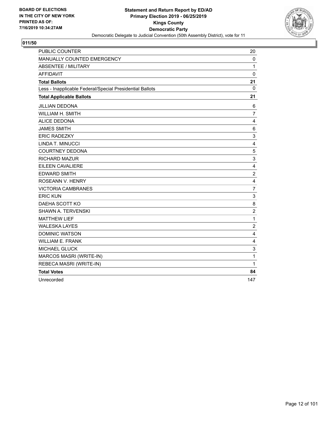

| <b>PUBLIC COUNTER</b>                                    | 20             |
|----------------------------------------------------------|----------------|
| MANUALLY COUNTED EMERGENCY                               | $\mathbf 0$    |
| <b>ABSENTEE / MILITARY</b>                               | 1              |
| <b>AFFIDAVIT</b>                                         | $\mathbf 0$    |
| <b>Total Ballots</b>                                     | 21             |
| Less - Inapplicable Federal/Special Presidential Ballots | 0              |
| <b>Total Applicable Ballots</b>                          | 21             |
| <b>JILLIAN DEDONA</b>                                    | 6              |
| WILLIAM H. SMITH                                         | $\overline{7}$ |
| <b>ALICE DEDONA</b>                                      | 4              |
| <b>JAMES SMITH</b>                                       | 6              |
| <b>ERIC RADEZKY</b>                                      | 3              |
| LINDA T. MINUCCI                                         | 4              |
| <b>COURTNEY DEDONA</b>                                   | 5              |
| <b>RICHARD MAZUR</b>                                     | 3              |
| EILEEN CAVALIERE                                         | 4              |
| <b>EDWARD SMITH</b>                                      | $\overline{c}$ |
| ROSEANN V. HENRY                                         | 4              |
| <b>VICTORIA CAMBRANES</b>                                | $\overline{7}$ |
| <b>ERIC KUN</b>                                          | 3              |
| DAEHA SCOTT KO                                           | 8              |
| SHAWN A. TERVENSKI                                       | $\overline{c}$ |
| <b>MATTHEW LIEF</b>                                      | $\mathbf{1}$   |
| <b>WALESKA LAYES</b>                                     | $\overline{2}$ |
| <b>DOMINIC WATSON</b>                                    | 4              |
| <b>WILLIAM E. FRANK</b>                                  | 4              |
| <b>MICHAEL GLUCK</b>                                     | 3              |
| MARCOS MASRI (WRITE-IN)                                  | 1              |
| REBECA MASRI (WRITE-IN)                                  | $\mathbf{1}$   |
| <b>Total Votes</b>                                       | 84             |
| Unrecorded                                               | 147            |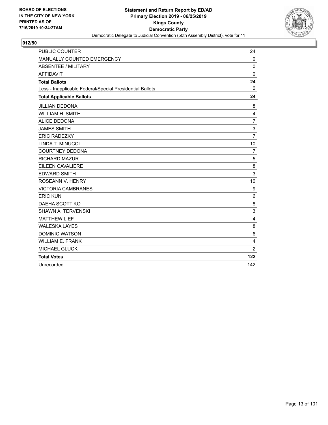

| <b>PUBLIC COUNTER</b>                                    | 24              |
|----------------------------------------------------------|-----------------|
| MANUALLY COUNTED EMERGENCY                               | 0               |
| <b>ABSENTEE / MILITARY</b>                               | 0               |
| <b>AFFIDAVIT</b>                                         | $\mathbf 0$     |
| <b>Total Ballots</b>                                     | 24              |
| Less - Inapplicable Federal/Special Presidential Ballots | $\Omega$        |
| <b>Total Applicable Ballots</b>                          | 24              |
| <b>JILLIAN DEDONA</b>                                    | 8               |
| <b>WILLIAM H. SMITH</b>                                  | 4               |
| <b>ALICE DEDONA</b>                                      | $\overline{7}$  |
| <b>JAMES SMITH</b>                                       | 3               |
| <b>ERIC RADEZKY</b>                                      | $\overline{7}$  |
| <b>LINDA T. MINUCCI</b>                                  | 10              |
| <b>COURTNEY DEDONA</b>                                   | $\overline{7}$  |
| <b>RICHARD MAZUR</b>                                     | 5               |
| EILEEN CAVALIERE                                         | 8               |
| <b>EDWARD SMITH</b>                                      | 3               |
| ROSEANN V. HENRY                                         | 10              |
| <b>VICTORIA CAMBRANES</b>                                | 9               |
| <b>ERIC KUN</b>                                          | $6\phantom{1}6$ |
| DAEHA SCOTT KO                                           | 8               |
| <b>SHAWN A. TERVENSKI</b>                                | 3               |
| <b>MATTHEW LIEF</b>                                      | $\overline{4}$  |
| <b>WALESKA LAYES</b>                                     | 8               |
| <b>DOMINIC WATSON</b>                                    | 6               |
| <b>WILLIAM E. FRANK</b>                                  | 4               |
| <b>MICHAEL GLUCK</b>                                     | $\overline{2}$  |
| <b>Total Votes</b>                                       | 122             |
| Unrecorded                                               | 142             |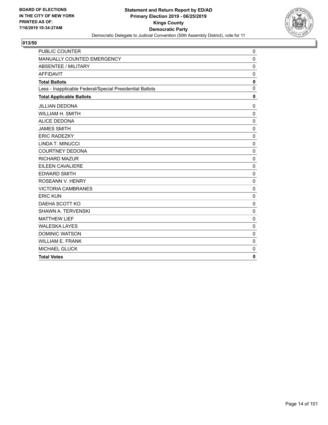

| <b>PUBLIC COUNTER</b>                                    | 0            |
|----------------------------------------------------------|--------------|
| MANUALLY COUNTED EMERGENCY                               | $\mathbf 0$  |
| <b>ABSENTEE / MILITARY</b>                               | $\mathbf 0$  |
| <b>AFFIDAVIT</b>                                         | $\mathbf 0$  |
| <b>Total Ballots</b>                                     | $\mathbf 0$  |
| Less - Inapplicable Federal/Special Presidential Ballots | $\mathbf 0$  |
| <b>Total Applicable Ballots</b>                          | $\mathbf{0}$ |
| <b>JILLIAN DEDONA</b>                                    | 0            |
| <b>WILLIAM H. SMITH</b>                                  | $\mathbf 0$  |
| <b>ALICE DEDONA</b>                                      | $\mathbf 0$  |
| <b>JAMES SMITH</b>                                       | $\Omega$     |
| <b>ERIC RADEZKY</b>                                      | 0            |
| LINDA T. MINUCCI                                         | $\mathbf 0$  |
| <b>COURTNEY DEDONA</b>                                   | $\mathbf 0$  |
| <b>RICHARD MAZUR</b>                                     | 0            |
| <b>EILEEN CAVALIERE</b>                                  | $\mathbf 0$  |
| <b>EDWARD SMITH</b>                                      | $\mathbf 0$  |
| ROSEANN V. HENRY                                         | $\mathbf 0$  |
| <b>VICTORIA CAMBRANES</b>                                | $\mathbf 0$  |
| <b>ERIC KUN</b>                                          | $\mathbf 0$  |
| DAEHA SCOTT KO                                           | $\mathbf 0$  |
| SHAWN A. TERVENSKI                                       | $\mathbf 0$  |
| <b>MATTHEW LIEF</b>                                      | $\mathbf 0$  |
| <b>WALESKA LAYES</b>                                     | $\Omega$     |
| <b>DOMINIC WATSON</b>                                    | $\mathbf 0$  |
| <b>WILLIAM E. FRANK</b>                                  | 0            |
| <b>MICHAEL GLUCK</b>                                     | 0            |
| <b>Total Votes</b>                                       | $\mathbf{0}$ |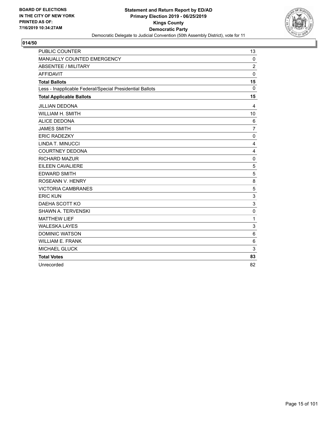

| <b>PUBLIC COUNTER</b>                                    | 13             |
|----------------------------------------------------------|----------------|
| MANUALLY COUNTED EMERGENCY                               | $\mathbf 0$    |
| <b>ABSENTEE / MILITARY</b>                               | $\overline{2}$ |
| <b>AFFIDAVIT</b>                                         | $\mathbf 0$    |
| <b>Total Ballots</b>                                     | 15             |
| Less - Inapplicable Federal/Special Presidential Ballots | $\mathbf{0}$   |
| <b>Total Applicable Ballots</b>                          | 15             |
| <b>JILLIAN DEDONA</b>                                    | $\overline{4}$ |
| <b>WILLIAM H. SMITH</b>                                  | 10             |
| <b>ALICE DEDONA</b>                                      | 6              |
| <b>JAMES SMITH</b>                                       | $\overline{7}$ |
| <b>ERIC RADEZKY</b>                                      | $\mathbf 0$    |
| LINDA T. MINUCCI                                         | 4              |
| <b>COURTNEY DEDONA</b>                                   | 4              |
| <b>RICHARD MAZUR</b>                                     | $\mathbf 0$    |
| EILEEN CAVALIERE                                         | 5              |
| <b>EDWARD SMITH</b>                                      | 5              |
| ROSEANN V. HENRY                                         | 8              |
| <b>VICTORIA CAMBRANES</b>                                | 5              |
| <b>ERIC KUN</b>                                          | 3              |
| DAEHA SCOTT KO                                           | 3              |
| <b>SHAWN A. TERVENSKI</b>                                | 0              |
| <b>MATTHEW LIEF</b>                                      | 1              |
| <b>WALESKA LAYES</b>                                     | 3              |
| <b>DOMINIC WATSON</b>                                    | 6              |
| <b>WILLIAM E. FRANK</b>                                  | 6              |
| <b>MICHAEL GLUCK</b>                                     | 3              |
| <b>Total Votes</b>                                       | 83             |
| Unrecorded                                               | 82             |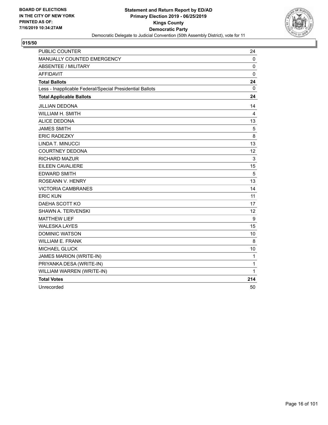

| <b>PUBLIC COUNTER</b>                                    | 24           |
|----------------------------------------------------------|--------------|
| MANUALLY COUNTED EMERGENCY                               | 0            |
| <b>ABSENTEE / MILITARY</b>                               | $\pmb{0}$    |
| <b>AFFIDAVIT</b>                                         | $\mathbf 0$  |
| <b>Total Ballots</b>                                     | 24           |
| Less - Inapplicable Federal/Special Presidential Ballots | 0            |
| <b>Total Applicable Ballots</b>                          | 24           |
| JILLIAN DEDONA                                           | 14           |
| <b>WILLIAM H. SMITH</b>                                  | 4            |
| <b>ALICE DEDONA</b>                                      | 13           |
| <b>JAMES SMITH</b>                                       | 5            |
| <b>ERIC RADEZKY</b>                                      | 8            |
| LINDA T. MINUCCI                                         | 13           |
| <b>COURTNEY DEDONA</b>                                   | 12           |
| <b>RICHARD MAZUR</b>                                     | 3            |
| <b>EILEEN CAVALIERE</b>                                  | 15           |
| <b>EDWARD SMITH</b>                                      | 5            |
| ROSEANN V. HENRY                                         | 13           |
| <b>VICTORIA CAMBRANES</b>                                | 14           |
| <b>ERIC KUN</b>                                          | 11           |
| DAEHA SCOTT KO                                           | 17           |
| SHAWN A. TERVENSKI                                       | 12           |
| <b>MATTHEW LIEF</b>                                      | 9            |
| <b>WALESKA LAYES</b>                                     | 15           |
| <b>DOMINIC WATSON</b>                                    | 10           |
| <b>WILLIAM E. FRANK</b>                                  | 8            |
| <b>MICHAEL GLUCK</b>                                     | 10           |
| JAMES MARION (WRITE-IN)                                  | 1            |
| PRIYANKA DESA (WRITE-IN)                                 | $\mathbf{1}$ |
| WILLIAM WARREN (WRITE-IN)                                | $\mathbf{1}$ |
| <b>Total Votes</b>                                       | 214          |
| Unrecorded                                               | 50           |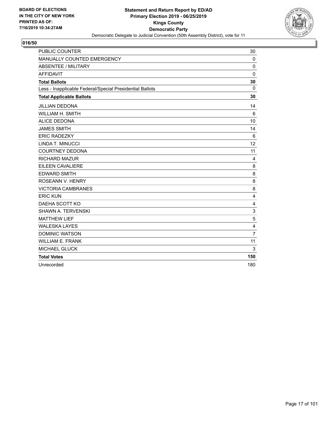

| <b>PUBLIC COUNTER</b>                                    | 30             |
|----------------------------------------------------------|----------------|
| MANUALLY COUNTED EMERGENCY                               | 0              |
| ABSENTEE / MILITARY                                      | 0              |
| <b>AFFIDAVIT</b>                                         | $\mathbf 0$    |
| <b>Total Ballots</b>                                     | 30             |
| Less - Inapplicable Federal/Special Presidential Ballots | $\Omega$       |
| <b>Total Applicable Ballots</b>                          | 30             |
| <b>JILLIAN DEDONA</b>                                    | 14             |
| <b>WILLIAM H. SMITH</b>                                  | 6              |
| <b>ALICE DEDONA</b>                                      | 10             |
| <b>JAMES SMITH</b>                                       | 14             |
| <b>ERIC RADEZKY</b>                                      | 6              |
| <b>LINDA T. MINUCCI</b>                                  | 12             |
| <b>COURTNEY DEDONA</b>                                   | 11             |
| <b>RICHARD MAZUR</b>                                     | 4              |
| EILEEN CAVALIERE                                         | 8              |
| <b>EDWARD SMITH</b>                                      | 8              |
| ROSEANN V. HENRY                                         | 8              |
| <b>VICTORIA CAMBRANES</b>                                | 8              |
| <b>ERIC KUN</b>                                          | 4              |
| DAEHA SCOTT KO                                           | 4              |
| <b>SHAWN A. TERVENSKI</b>                                | 3              |
| <b>MATTHEW LIEF</b>                                      | 5              |
| <b>WALESKA LAYES</b>                                     | 4              |
| <b>DOMINIC WATSON</b>                                    | $\overline{7}$ |
| <b>WILLIAM E. FRANK</b>                                  | 11             |
| <b>MICHAEL GLUCK</b>                                     | 3              |
| <b>Total Votes</b>                                       | 150            |
| Unrecorded                                               | 180            |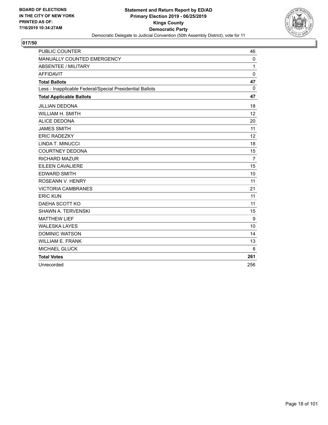

| <b>PUBLIC COUNTER</b>                                    | 46             |
|----------------------------------------------------------|----------------|
| MANUALLY COUNTED EMERGENCY                               | $\mathbf 0$    |
| <b>ABSENTEE / MILITARY</b>                               | 1              |
| <b>AFFIDAVIT</b>                                         | $\mathbf 0$    |
| <b>Total Ballots</b>                                     | 47             |
| Less - Inapplicable Federal/Special Presidential Ballots | $\Omega$       |
| <b>Total Applicable Ballots</b>                          | 47             |
| <b>JILLIAN DEDONA</b>                                    | 18             |
| WILLIAM H. SMITH                                         | 12             |
| <b>ALICE DEDONA</b>                                      | 20             |
| <b>JAMES SMITH</b>                                       | 11             |
| <b>ERIC RADEZKY</b>                                      | 12             |
| LINDA T. MINUCCI                                         | 18             |
| <b>COURTNEY DEDONA</b>                                   | 15             |
| <b>RICHARD MAZUR</b>                                     | $\overline{7}$ |
| EILEEN CAVALIERE                                         | 15             |
| <b>EDWARD SMITH</b>                                      | 10             |
| ROSEANN V. HENRY                                         | 11             |
| <b>VICTORIA CAMBRANES</b>                                | 21             |
| <b>ERIC KUN</b>                                          | 11             |
| DAEHA SCOTT KO                                           | 11             |
| SHAWN A. TERVENSKI                                       | 15             |
| <b>MATTHEW LIEF</b>                                      | 9              |
| <b>WALESKA LAYES</b>                                     | 10             |
| <b>DOMINIC WATSON</b>                                    | 14             |
| <b>WILLIAM E. FRANK</b>                                  | 13             |
| <b>MICHAEL GLUCK</b>                                     | 8              |
| <b>Total Votes</b>                                       | 261            |
| Unrecorded                                               | 256            |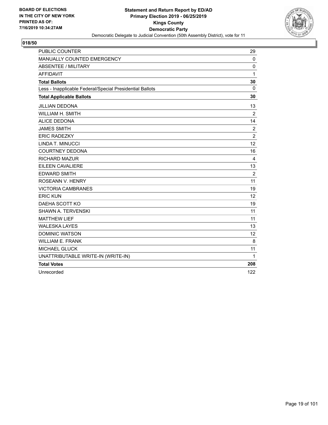

| <b>PUBLIC COUNTER</b>                                    | 29             |
|----------------------------------------------------------|----------------|
| MANUALLY COUNTED EMERGENCY                               | $\mathbf 0$    |
| <b>ABSENTEE / MILITARY</b>                               | 0              |
| <b>AFFIDAVIT</b>                                         | 1              |
| <b>Total Ballots</b>                                     | 30             |
| Less - Inapplicable Federal/Special Presidential Ballots | $\mathbf{0}$   |
| <b>Total Applicable Ballots</b>                          | 30             |
| <b>JILLIAN DEDONA</b>                                    | 13             |
| WILLIAM H. SMITH                                         | $\overline{2}$ |
| <b>ALICE DEDONA</b>                                      | 14             |
| <b>JAMES SMITH</b>                                       | $\overline{2}$ |
| <b>ERIC RADEZKY</b>                                      | $\overline{2}$ |
| LINDA T. MINUCCI                                         | 12             |
| <b>COURTNEY DEDONA</b>                                   | 16             |
| <b>RICHARD MAZUR</b>                                     | 4              |
| <b>EILEEN CAVALIERE</b>                                  | 13             |
| <b>EDWARD SMITH</b>                                      | $\overline{2}$ |
| ROSEANN V. HENRY                                         | 11             |
| <b>VICTORIA CAMBRANES</b>                                | 19             |
| <b>ERIC KUN</b>                                          | 12             |
| DAEHA SCOTT KO                                           | 19             |
| <b>SHAWN A. TERVENSKI</b>                                | 11             |
| <b>MATTHEW LIEF</b>                                      | 11             |
| <b>WALESKA LAYES</b>                                     | 13             |
| <b>DOMINIC WATSON</b>                                    | 12             |
| <b>WILLIAM E. FRANK</b>                                  | 8              |
| <b>MICHAEL GLUCK</b>                                     | 11             |
| UNATTRIBUTABLE WRITE-IN (WRITE-IN)                       | 1              |
| <b>Total Votes</b>                                       | 208            |
| Unrecorded                                               | 122            |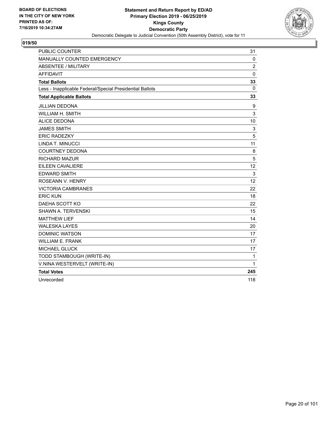

| <b>PUBLIC COUNTER</b>                                    | 31             |
|----------------------------------------------------------|----------------|
| MANUALLY COUNTED EMERGENCY                               | 0              |
| <b>ABSENTEE / MILITARY</b>                               | $\overline{2}$ |
| <b>AFFIDAVIT</b>                                         | $\mathbf 0$    |
| <b>Total Ballots</b>                                     | 33             |
| Less - Inapplicable Federal/Special Presidential Ballots | 0              |
| <b>Total Applicable Ballots</b>                          | 33             |
| <b>JILLIAN DEDONA</b>                                    | 9              |
| <b>WILLIAM H. SMITH</b>                                  | 3              |
| <b>ALICE DEDONA</b>                                      | 10             |
| <b>JAMES SMITH</b>                                       | 3              |
| <b>ERIC RADEZKY</b>                                      | 5              |
| LINDA T. MINUCCI                                         | 11             |
| <b>COURTNEY DEDONA</b>                                   | 8              |
| <b>RICHARD MAZUR</b>                                     | 5              |
| EILEEN CAVALIERE                                         | 12             |
| <b>EDWARD SMITH</b>                                      | 3              |
| ROSEANN V. HENRY                                         | 12             |
| <b>VICTORIA CAMBRANES</b>                                | 22             |
| <b>ERIC KUN</b>                                          | 18             |
| DAEHA SCOTT KO                                           | 22             |
| SHAWN A. TERVENSKI                                       | 15             |
| <b>MATTHEW LIEF</b>                                      | 14             |
| <b>WALESKA LAYES</b>                                     | 20             |
| <b>DOMINIC WATSON</b>                                    | 17             |
| <b>WILLIAM E. FRANK</b>                                  | 17             |
| <b>MICHAEL GLUCK</b>                                     | 17             |
| TODD STAMBOUGH (WRITE-IN)                                | 1              |
| V.NINA WESTERVELT (WRITE-IN)                             | 1              |
| <b>Total Votes</b>                                       | 245            |
| Unrecorded                                               | 118            |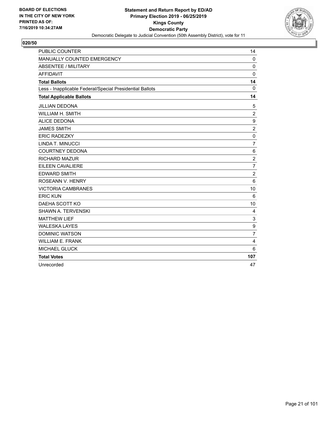

| <b>PUBLIC COUNTER</b>                                    | 14             |
|----------------------------------------------------------|----------------|
| MANUALLY COUNTED EMERGENCY                               | 0              |
| <b>ABSENTEE / MILITARY</b>                               | $\mathbf 0$    |
| <b>AFFIDAVIT</b>                                         | $\Omega$       |
| <b>Total Ballots</b>                                     | 14             |
| Less - Inapplicable Federal/Special Presidential Ballots | $\mathbf 0$    |
| <b>Total Applicable Ballots</b>                          | 14             |
| <b>JILLIAN DEDONA</b>                                    | 5              |
| <b>WILLIAM H. SMITH</b>                                  | $\overline{2}$ |
| <b>ALICE DEDONA</b>                                      | 9              |
| <b>JAMES SMITH</b>                                       | $\overline{c}$ |
| <b>ERIC RADEZKY</b>                                      | 0              |
| LINDA T. MINUCCI                                         | $\overline{7}$ |
| <b>COURTNEY DEDONA</b>                                   | 6              |
| <b>RICHARD MAZUR</b>                                     | $\overline{c}$ |
| EILEEN CAVALIERE                                         | $\overline{7}$ |
| <b>EDWARD SMITH</b>                                      | $\overline{c}$ |
| ROSEANN V. HENRY                                         | 6              |
| <b>VICTORIA CAMBRANES</b>                                | 10             |
| <b>ERIC KUN</b>                                          | 6              |
| DAEHA SCOTT KO                                           | 10             |
| <b>SHAWN A. TERVENSKI</b>                                | 4              |
| <b>MATTHEW LIEF</b>                                      | 3              |
| <b>WALESKA LAYES</b>                                     | 9              |
| <b>DOMINIC WATSON</b>                                    | $\overline{7}$ |
| <b>WILLIAM E. FRANK</b>                                  | 4              |
| MICHAEL GLUCK                                            | 6              |
| <b>Total Votes</b>                                       | 107            |
| Unrecorded                                               | 47             |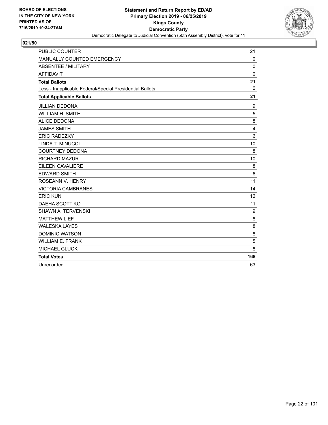

| <b>PUBLIC COUNTER</b>                                    | 21              |
|----------------------------------------------------------|-----------------|
| MANUALLY COUNTED EMERGENCY                               | $\mathbf 0$     |
| ABSENTEE / MILITARY                                      | $\Omega$        |
| <b>AFFIDAVIT</b>                                         | $\mathbf 0$     |
| <b>Total Ballots</b>                                     | 21              |
| Less - Inapplicable Federal/Special Presidential Ballots | $\Omega$        |
| <b>Total Applicable Ballots</b>                          | 21              |
| <b>JILLIAN DEDONA</b>                                    | 9               |
| WILLIAM H. SMITH                                         | 5               |
| <b>ALICE DEDONA</b>                                      | 8               |
| <b>JAMES SMITH</b>                                       | 4               |
| <b>ERIC RADEZKY</b>                                      | $6\phantom{1}6$ |
| LINDA T. MINUCCI                                         | 10              |
| <b>COURTNEY DEDONA</b>                                   | 8               |
| <b>RICHARD MAZUR</b>                                     | 10              |
| EILEEN CAVALIERE                                         | 8               |
| <b>EDWARD SMITH</b>                                      | 6               |
| ROSEANN V. HENRY                                         | 11              |
| <b>VICTORIA CAMBRANES</b>                                | 14              |
| <b>ERIC KUN</b>                                          | 12              |
| DAEHA SCOTT KO                                           | 11              |
| SHAWN A. TERVENSKI                                       | 9               |
| <b>MATTHEW LIEF</b>                                      | 8               |
| <b>WALESKA LAYES</b>                                     | 8               |
| <b>DOMINIC WATSON</b>                                    | 8               |
| <b>WILLIAM E. FRANK</b>                                  | 5               |
| MICHAEL GLUCK                                            | 8               |
| <b>Total Votes</b>                                       | 168             |
| Unrecorded                                               | 63              |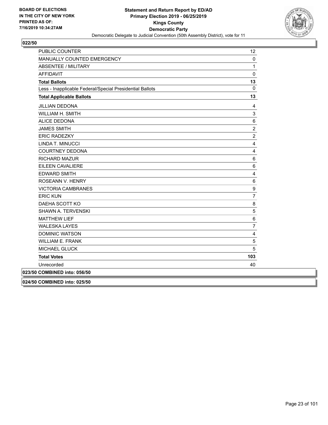

| PUBLIC COUNTER                                           | 12             |
|----------------------------------------------------------|----------------|
| MANUALLY COUNTED EMERGENCY                               | $\pmb{0}$      |
| <b>ABSENTEE / MILITARY</b>                               | 1              |
| <b>AFFIDAVIT</b>                                         | 0              |
| <b>Total Ballots</b>                                     | 13             |
| Less - Inapplicable Federal/Special Presidential Ballots | 0              |
| <b>Total Applicable Ballots</b>                          | 13             |
| <b>JILLIAN DEDONA</b>                                    | 4              |
| WILLIAM H. SMITH                                         | 3              |
| <b>ALICE DEDONA</b>                                      | 6              |
| <b>JAMES SMITH</b>                                       | $\overline{2}$ |
| <b>ERIC RADEZKY</b>                                      | $\overline{c}$ |
| LINDA T. MINUCCI                                         | 4              |
| <b>COURTNEY DEDONA</b>                                   | 4              |
| <b>RICHARD MAZUR</b>                                     | 6              |
| EILEEN CAVALIERE                                         | 6              |
| <b>EDWARD SMITH</b>                                      | 4              |
| ROSEANN V. HENRY                                         | $\,6$          |
| <b>VICTORIA CAMBRANES</b>                                | 9              |
| <b>ERIC KUN</b>                                          | $\overline{7}$ |
| DAEHA SCOTT KO                                           | 8              |
| SHAWN A. TERVENSKI                                       | 5              |
| <b>MATTHEW LIEF</b>                                      | $6\phantom{a}$ |
| <b>WALESKA LAYES</b>                                     | $\overline{7}$ |
| <b>DOMINIC WATSON</b>                                    | 4              |
| <b>WILLIAM E. FRANK</b>                                  | 5              |
| <b>MICHAEL GLUCK</b>                                     | 5              |
| <b>Total Votes</b>                                       | 103            |
| Unrecorded                                               | 40             |
| 023/50 COMBINED into: 056/50                             |                |
| 024/50 COMBINED into: 025/50                             |                |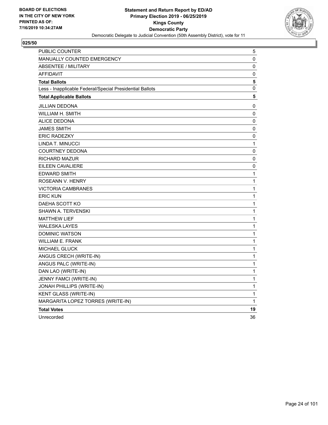

| PUBLIC COUNTER                                           | $\mathbf 5$  |
|----------------------------------------------------------|--------------|
| <b>MANUALLY COUNTED EMERGENCY</b>                        | 0            |
| <b>ABSENTEE / MILITARY</b>                               | 0            |
| <b>AFFIDAVIT</b>                                         | 0            |
| <b>Total Ballots</b>                                     | 5            |
| Less - Inapplicable Federal/Special Presidential Ballots | 0            |
| <b>Total Applicable Ballots</b>                          | 5            |
| JILLIAN DEDONA                                           | 0            |
| WILLIAM H. SMITH                                         | 0            |
| <b>ALICE DEDONA</b>                                      | 0            |
| <b>JAMES SMITH</b>                                       | 0            |
| <b>ERIC RADEZKY</b>                                      | 0            |
| LINDA T. MINUCCI                                         | 1            |
| <b>COURTNEY DEDONA</b>                                   | 0            |
| <b>RICHARD MAZUR</b>                                     | 0            |
| EILEEN CAVALIERE                                         | 0            |
| <b>EDWARD SMITH</b>                                      | 1            |
| ROSEANN V. HENRY                                         | $\mathbf{1}$ |
| <b>VICTORIA CAMBRANES</b>                                | 1            |
| <b>ERIC KUN</b>                                          | 1            |
| DAEHA SCOTT KO                                           | 1            |
| <b>SHAWN A. TERVENSKI</b>                                | 1            |
| <b>MATTHEW LIEF</b>                                      | 1            |
| <b>WALESKA LAYES</b>                                     | 1            |
| <b>DOMINIC WATSON</b>                                    | 1            |
| <b>WILLIAM E. FRANK</b>                                  | 1            |
| MICHAEL GLUCK                                            | 1            |
| ANGUS CRECH (WRITE-IN)                                   | 1            |
| ANGUS PALC (WRITE-IN)                                    | 1            |
| DAN LAO (WRITE-IN)                                       | 1            |
| JENNY FAMCI (WRITE-IN)                                   | 1            |
| JONAH PHILLIPS (WRITE-IN)                                | 1            |
| KENT GLASS (WRITE-IN)                                    | 1            |
| MARGARITA LOPEZ TORRES (WRITE-IN)                        | $\mathbf{1}$ |
| <b>Total Votes</b>                                       | 19           |
| Unrecorded                                               | 36           |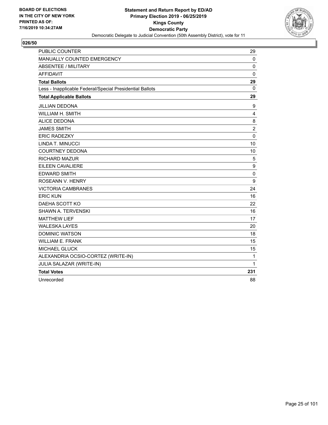

| <b>PUBLIC COUNTER</b>                                    | 29             |
|----------------------------------------------------------|----------------|
| <b>MANUALLY COUNTED EMERGENCY</b>                        | $\mathbf 0$    |
| ABSENTEE / MILITARY                                      | 0              |
| <b>AFFIDAVIT</b>                                         | 0              |
| <b>Total Ballots</b>                                     | 29             |
| Less - Inapplicable Federal/Special Presidential Ballots | 0              |
| <b>Total Applicable Ballots</b>                          | 29             |
| <b>JILLIAN DEDONA</b>                                    | 9              |
| WILLIAM H. SMITH                                         | 4              |
| <b>ALICE DEDONA</b>                                      | 8              |
| <b>JAMES SMITH</b>                                       | $\overline{c}$ |
| <b>ERIC RADEZKY</b>                                      | 0              |
| LINDA T. MINUCCI                                         | 10             |
| <b>COURTNEY DEDONA</b>                                   | 10             |
| <b>RICHARD MAZUR</b>                                     | 5              |
| EILEEN CAVALIERE                                         | 9              |
| <b>EDWARD SMITH</b>                                      | $\mathbf 0$    |
| <b>ROSEANN V. HENRY</b>                                  | 9              |
| <b>VICTORIA CAMBRANES</b>                                | 24             |
| <b>ERIC KUN</b>                                          | 16             |
| DAEHA SCOTT KO                                           | 22             |
| <b>SHAWN A. TERVENSKI</b>                                | 16             |
| <b>MATTHEW LIEF</b>                                      | 17             |
| <b>WALESKA LAYES</b>                                     | 20             |
| <b>DOMINIC WATSON</b>                                    | 18             |
| <b>WILLIAM E. FRANK</b>                                  | 15             |
| MICHAEL GLUCK                                            | 15             |
| ALEXANDRIA OCSIO-CORTEZ (WRITE-IN)                       | $\mathbf{1}$   |
| JULIA SALAZAR (WRITE-IN)                                 | 1              |
| <b>Total Votes</b>                                       | 231            |
| Unrecorded                                               | 88             |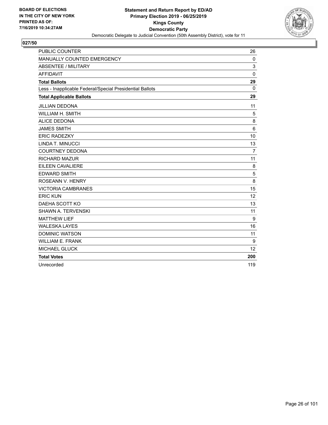

| <b>PUBLIC COUNTER</b>                                    | 26             |
|----------------------------------------------------------|----------------|
| MANUALLY COUNTED EMERGENCY                               | $\Omega$       |
| ABSENTEE / MILITARY                                      | 3              |
| <b>AFFIDAVIT</b>                                         | $\mathbf{0}$   |
| <b>Total Ballots</b>                                     | 29             |
| Less - Inapplicable Federal/Special Presidential Ballots | $\Omega$       |
| <b>Total Applicable Ballots</b>                          | 29             |
| <b>JILLIAN DEDONA</b>                                    | 11             |
| <b>WILLIAM H. SMITH</b>                                  | 5              |
| <b>ALICE DEDONA</b>                                      | 8              |
| <b>JAMES SMITH</b>                                       | 6              |
| <b>ERIC RADEZKY</b>                                      | 10             |
| LINDA T. MINUCCI                                         | 13             |
| <b>COURTNEY DEDONA</b>                                   | $\overline{7}$ |
| <b>RICHARD MAZUR</b>                                     | 11             |
| EILEEN CAVALIERE                                         | 8              |
| <b>EDWARD SMITH</b>                                      | 5              |
| ROSEANN V. HENRY                                         | 8              |
| <b>VICTORIA CAMBRANES</b>                                | 15             |
| <b>ERIC KUN</b>                                          | 12             |
| DAEHA SCOTT KO                                           | 13             |
| SHAWN A. TERVENSKI                                       | 11             |
| <b>MATTHEW LIEF</b>                                      | 9              |
| <b>WALESKA LAYES</b>                                     | 16             |
| <b>DOMINIC WATSON</b>                                    | 11             |
| <b>WILLIAM E. FRANK</b>                                  | 9              |
| MICHAEL GLUCK                                            | 12             |
| <b>Total Votes</b>                                       | 200            |
| Unrecorded                                               | 119            |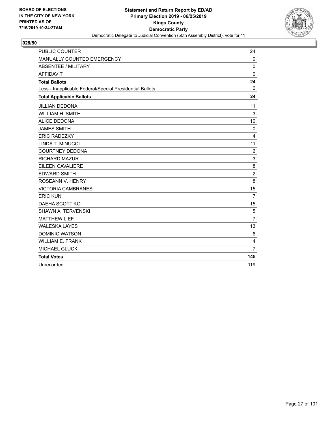

| <b>PUBLIC COUNTER</b>                                    | 24             |
|----------------------------------------------------------|----------------|
| MANUALLY COUNTED EMERGENCY                               | $\Omega$       |
| ABSENTEE / MILITARY                                      | 0              |
| <b>AFFIDAVIT</b>                                         | $\mathbf 0$    |
| <b>Total Ballots</b>                                     | 24             |
| Less - Inapplicable Federal/Special Presidential Ballots | $\mathbf{0}$   |
| <b>Total Applicable Ballots</b>                          | 24             |
| <b>JILLIAN DEDONA</b>                                    | 11             |
| WILLIAM H. SMITH                                         | 3              |
| <b>ALICE DEDONA</b>                                      | 10             |
| <b>JAMES SMITH</b>                                       | $\mathbf 0$    |
| <b>ERIC RADEZKY</b>                                      | 4              |
| LINDA T. MINUCCI                                         | 11             |
| <b>COURTNEY DEDONA</b>                                   | 6              |
| <b>RICHARD MAZUR</b>                                     | 3              |
| EILEEN CAVALIERE                                         | 8              |
| <b>EDWARD SMITH</b>                                      | $\overline{2}$ |
| ROSEANN V. HENRY                                         | 8              |
| <b>VICTORIA CAMBRANES</b>                                | 15             |
| <b>ERIC KUN</b>                                          | $\overline{7}$ |
| DAEHA SCOTT KO                                           | 15             |
| <b>SHAWN A. TERVENSKI</b>                                | 5              |
| <b>MATTHEW LIEF</b>                                      | $\overline{7}$ |
| <b>WALESKA LAYES</b>                                     | 13             |
| <b>DOMINIC WATSON</b>                                    | 6              |
| <b>WILLIAM E. FRANK</b>                                  | $\overline{4}$ |
| MICHAEL GLUCK                                            | $\overline{7}$ |
| <b>Total Votes</b>                                       | 145            |
| Unrecorded                                               | 119            |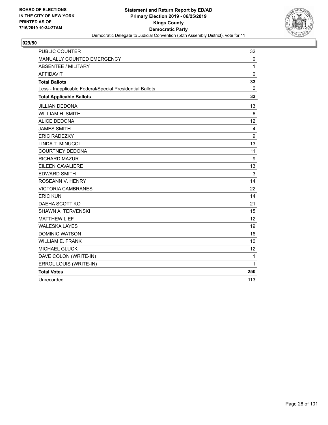

| <b>PUBLIC COUNTER</b>                                    | 32           |
|----------------------------------------------------------|--------------|
| MANUALLY COUNTED EMERGENCY                               | 0            |
| <b>ABSENTEE / MILITARY</b>                               | $\mathbf{1}$ |
| <b>AFFIDAVIT</b>                                         | $\mathbf 0$  |
| <b>Total Ballots</b>                                     | 33           |
| Less - Inapplicable Federal/Special Presidential Ballots | 0            |
| <b>Total Applicable Ballots</b>                          | 33           |
| <b>JILLIAN DEDONA</b>                                    | 13           |
| <b>WILLIAM H. SMITH</b>                                  | 6            |
| <b>ALICE DEDONA</b>                                      | 12           |
| <b>JAMES SMITH</b>                                       | 4            |
| <b>ERIC RADEZKY</b>                                      | 9            |
| LINDA T. MINUCCI                                         | 13           |
| <b>COURTNEY DEDONA</b>                                   | 11           |
| <b>RICHARD MAZUR</b>                                     | 9            |
| EILEEN CAVALIERE                                         | 13           |
| <b>EDWARD SMITH</b>                                      | 3            |
| ROSEANN V. HENRY                                         | 14           |
| <b>VICTORIA CAMBRANES</b>                                | 22           |
| <b>ERIC KUN</b>                                          | 14           |
| DAEHA SCOTT KO                                           | 21           |
| SHAWN A. TERVENSKI                                       | 15           |
| <b>MATTHEW LIEF</b>                                      | 12           |
| <b>WALESKA LAYES</b>                                     | 19           |
| <b>DOMINIC WATSON</b>                                    | 16           |
| <b>WILLIAM E. FRANK</b>                                  | 10           |
| MICHAEL GLUCK                                            | 12           |
| DAVE COLON (WRITE-IN)                                    | 1            |
| ERROL LOUIS (WRITE-IN)                                   | 1            |
| <b>Total Votes</b>                                       | 250          |
| Unrecorded                                               | 113          |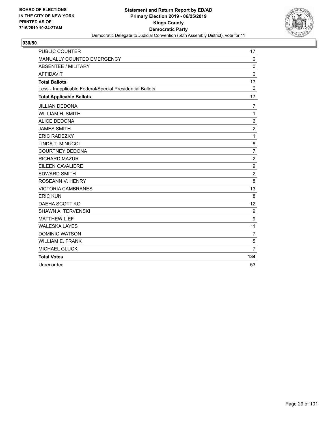

| <b>PUBLIC COUNTER</b>                                    | 17             |
|----------------------------------------------------------|----------------|
| MANUALLY COUNTED EMERGENCY                               | $\mathbf 0$    |
| ABSENTEE / MILITARY                                      | $\Omega$       |
| <b>AFFIDAVIT</b>                                         | $\mathbf 0$    |
| <b>Total Ballots</b>                                     | 17             |
| Less - Inapplicable Federal/Special Presidential Ballots | 0              |
| <b>Total Applicable Ballots</b>                          | 17             |
| <b>JILLIAN DEDONA</b>                                    | 7              |
| WILLIAM H. SMITH                                         | $\mathbf{1}$   |
| <b>ALICE DEDONA</b>                                      | 6              |
| <b>JAMES SMITH</b>                                       | $\overline{c}$ |
| <b>ERIC RADEZKY</b>                                      | $\mathbf{1}$   |
| LINDA T. MINUCCI                                         | 8              |
| <b>COURTNEY DEDONA</b>                                   | $\overline{7}$ |
| <b>RICHARD MAZUR</b>                                     | $\overline{2}$ |
| EILEEN CAVALIERE                                         | 9              |
| <b>EDWARD SMITH</b>                                      | $\overline{2}$ |
| ROSEANN V. HENRY                                         | 8              |
| <b>VICTORIA CAMBRANES</b>                                | 13             |
| <b>ERIC KUN</b>                                          | 8              |
| DAEHA SCOTT KO                                           | 12             |
| SHAWN A. TERVENSKI                                       | 9              |
| <b>MATTHEW LIEF</b>                                      | 9              |
| <b>WALESKA LAYES</b>                                     | 11             |
| <b>DOMINIC WATSON</b>                                    | $\overline{7}$ |
| <b>WILLIAM E. FRANK</b>                                  | 5              |
| MICHAEL GLUCK                                            | $\overline{7}$ |
| <b>Total Votes</b>                                       | 134            |
| Unrecorded                                               | 53             |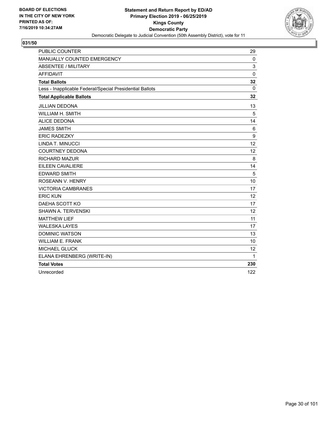

| <b>PUBLIC COUNTER</b>                                    | 29          |
|----------------------------------------------------------|-------------|
| MANUALLY COUNTED EMERGENCY                               | $\mathbf 0$ |
| <b>ABSENTEE / MILITARY</b>                               | 3           |
| <b>AFFIDAVIT</b>                                         | $\mathbf 0$ |
| <b>Total Ballots</b>                                     | 32          |
| Less - Inapplicable Federal/Special Presidential Ballots | 0           |
| <b>Total Applicable Ballots</b>                          | 32          |
| <b>JILLIAN DEDONA</b>                                    | 13          |
| WILLIAM H. SMITH                                         | 5           |
| <b>ALICE DEDONA</b>                                      | 14          |
| <b>JAMES SMITH</b>                                       | 6           |
| <b>ERIC RADEZKY</b>                                      | 9           |
| LINDA T. MINUCCI                                         | 12          |
| <b>COURTNEY DEDONA</b>                                   | 12          |
| <b>RICHARD MAZUR</b>                                     | 8           |
| <b>EILEEN CAVALIERE</b>                                  | 14          |
| <b>EDWARD SMITH</b>                                      | 5           |
| ROSEANN V. HENRY                                         | 10          |
| <b>VICTORIA CAMBRANES</b>                                | 17          |
| <b>ERIC KUN</b>                                          | 12          |
| DAEHA SCOTT KO                                           | 17          |
| SHAWN A. TERVENSKI                                       | 12          |
| <b>MATTHEW LIEF</b>                                      | 11          |
| <b>WALESKA LAYES</b>                                     | 17          |
| <b>DOMINIC WATSON</b>                                    | 13          |
| <b>WILLIAM E. FRANK</b>                                  | 10          |
| <b>MICHAEL GLUCK</b>                                     | 12          |
| ELANA EHRENBERG (WRITE-IN)                               | 1           |
| <b>Total Votes</b>                                       | 230         |
| Unrecorded                                               | 122         |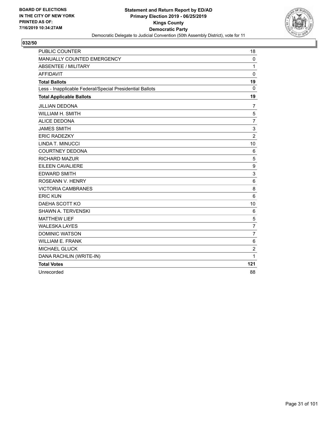

| <b>PUBLIC COUNTER</b>                                    | 18             |
|----------------------------------------------------------|----------------|
| MANUALLY COUNTED EMERGENCY                               | 0              |
| <b>ABSENTEE / MILITARY</b>                               | $\mathbf{1}$   |
| <b>AFFIDAVIT</b>                                         | $\mathbf 0$    |
| <b>Total Ballots</b>                                     | 19             |
| Less - Inapplicable Federal/Special Presidential Ballots | 0              |
| <b>Total Applicable Ballots</b>                          | 19             |
| <b>JILLIAN DEDONA</b>                                    | $\overline{7}$ |
| WILLIAM H. SMITH                                         | 5              |
| <b>ALICE DEDONA</b>                                      | $\overline{7}$ |
| <b>JAMES SMITH</b>                                       | 3              |
| <b>ERIC RADEZKY</b>                                      | $\overline{c}$ |
| LINDA T. MINUCCI                                         | 10             |
| <b>COURTNEY DEDONA</b>                                   | 6              |
| <b>RICHARD MAZUR</b>                                     | 5              |
| EILEEN CAVALIERE                                         | 9              |
| <b>EDWARD SMITH</b>                                      | 3              |
| <b>ROSEANN V. HENRY</b>                                  | 6              |
| <b>VICTORIA CAMBRANES</b>                                | 8              |
| <b>ERIC KUN</b>                                          | 6              |
| DAEHA SCOTT KO                                           | 10             |
| SHAWN A. TERVENSKI                                       | 6              |
| <b>MATTHEW LIEF</b>                                      | 5              |
| <b>WALESKA LAYES</b>                                     | $\overline{7}$ |
| <b>DOMINIC WATSON</b>                                    | $\overline{7}$ |
| <b>WILLIAM E. FRANK</b>                                  | 6              |
| MICHAEL GLUCK                                            | $\overline{c}$ |
| DANA RACHLIN (WRITE-IN)                                  | 1              |
| <b>Total Votes</b>                                       | 121            |
| Unrecorded                                               | 88             |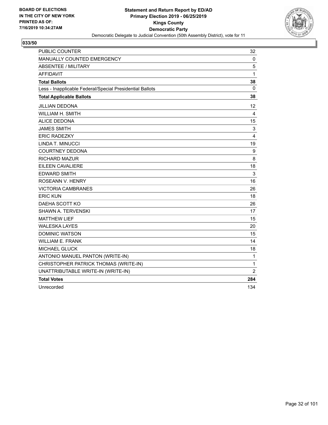

| <b>PUBLIC COUNTER</b>                                    | 32                |
|----------------------------------------------------------|-------------------|
| MANUALLY COUNTED EMERGENCY                               | 0                 |
| <b>ABSENTEE / MILITARY</b>                               | 5                 |
| <b>AFFIDAVIT</b>                                         | 1                 |
| <b>Total Ballots</b>                                     | 38                |
| Less - Inapplicable Federal/Special Presidential Ballots | $\mathbf{0}$      |
| <b>Total Applicable Ballots</b>                          | 38                |
| <b>JILLIAN DEDONA</b>                                    | $12 \overline{ }$ |
| <b>WILLIAM H. SMITH</b>                                  | 4                 |
| <b>ALICE DEDONA</b>                                      | 15                |
| <b>JAMES SMITH</b>                                       | 3                 |
| <b>ERIC RADEZKY</b>                                      | 4                 |
| LINDA T. MINUCCI                                         | 19                |
| <b>COURTNEY DEDONA</b>                                   | 9                 |
| <b>RICHARD MAZUR</b>                                     | 8                 |
| <b>EILEEN CAVALIERE</b>                                  | 18                |
| <b>EDWARD SMITH</b>                                      | 3                 |
| ROSEANN V. HENRY                                         | 16                |
| <b>VICTORIA CAMBRANES</b>                                | 26                |
| <b>ERIC KUN</b>                                          | 18                |
| DAEHA SCOTT KO                                           | 26                |
| SHAWN A. TERVENSKI                                       | 17                |
| <b>MATTHEW LIEF</b>                                      | 15                |
| <b>WALESKA LAYES</b>                                     | 20                |
| <b>DOMINIC WATSON</b>                                    | 15                |
| <b>WILLIAM E. FRANK</b>                                  | 14                |
| <b>MICHAEL GLUCK</b>                                     | 18                |
| ANTONIO MANUEL PANTON (WRITE-IN)                         | 1                 |
| CHRISTOPHER PATRICK THOMAS (WRITE-IN)                    | 1                 |
| UNATTRIBUTABLE WRITE-IN (WRITE-IN)                       | 2                 |
| <b>Total Votes</b>                                       | 284               |
| Unrecorded                                               | 134               |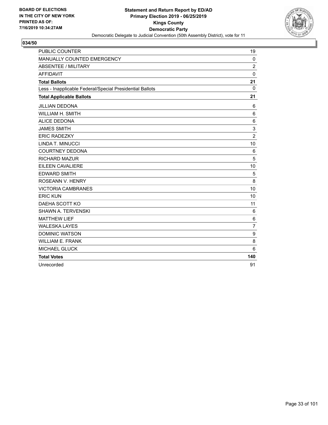

| <b>PUBLIC COUNTER</b>                                    | 19             |
|----------------------------------------------------------|----------------|
| MANUALLY COUNTED EMERGENCY                               | $\mathbf 0$    |
| ABSENTEE / MILITARY                                      | $\overline{2}$ |
| <b>AFFIDAVIT</b>                                         | $\mathbf 0$    |
| <b>Total Ballots</b>                                     | 21             |
| Less - Inapplicable Federal/Special Presidential Ballots | $\Omega$       |
| <b>Total Applicable Ballots</b>                          | 21             |
| <b>JILLIAN DEDONA</b>                                    | 6              |
| WILLIAM H. SMITH                                         | 6              |
| <b>ALICE DEDONA</b>                                      | 6              |
| <b>JAMES SMITH</b>                                       | 3              |
| <b>ERIC RADEZKY</b>                                      | $\overline{2}$ |
| LINDA T. MINUCCI                                         | 10             |
| <b>COURTNEY DEDONA</b>                                   | 6              |
| <b>RICHARD MAZUR</b>                                     | 5              |
| EILEEN CAVALIERE                                         | 10             |
| <b>EDWARD SMITH</b>                                      | 5              |
| ROSEANN V. HENRY                                         | 8              |
| <b>VICTORIA CAMBRANES</b>                                | 10             |
| <b>ERIC KUN</b>                                          | 10             |
| DAEHA SCOTT KO                                           | 11             |
| SHAWN A. TERVENSKI                                       | 6              |
| <b>MATTHEW LIEF</b>                                      | $\,6$          |
| <b>WALESKA LAYES</b>                                     | $\overline{7}$ |
| <b>DOMINIC WATSON</b>                                    | 9              |
| <b>WILLIAM E. FRANK</b>                                  | 8              |
| MICHAEL GLUCK                                            | 6              |
| <b>Total Votes</b>                                       | 140            |
| Unrecorded                                               | 91             |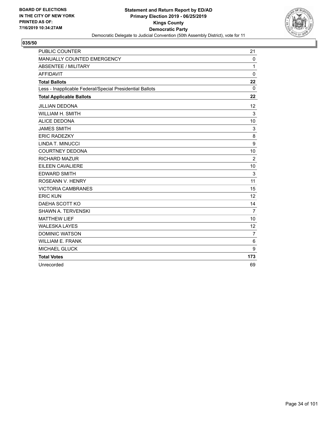

| <b>PUBLIC COUNTER</b>                                    | 21                |
|----------------------------------------------------------|-------------------|
| MANUALLY COUNTED EMERGENCY                               | $\mathbf 0$       |
| ABSENTEE / MILITARY                                      | 1                 |
| <b>AFFIDAVIT</b>                                         | $\mathbf 0$       |
| <b>Total Ballots</b>                                     | 22                |
| Less - Inapplicable Federal/Special Presidential Ballots | $\mathbf{0}$      |
| <b>Total Applicable Ballots</b>                          | 22                |
| <b>JILLIAN DEDONA</b>                                    | $12 \overline{ }$ |
| WILLIAM H. SMITH                                         | 3                 |
| <b>ALICE DEDONA</b>                                      | 10                |
| <b>JAMES SMITH</b>                                       | 3                 |
| <b>ERIC RADEZKY</b>                                      | 8                 |
| LINDA T. MINUCCI                                         | 9                 |
| <b>COURTNEY DEDONA</b>                                   | 10                |
| <b>RICHARD MAZUR</b>                                     | $\overline{2}$    |
| EILEEN CAVALIERE                                         | 10                |
| <b>EDWARD SMITH</b>                                      | 3                 |
| ROSEANN V. HENRY                                         | 11                |
| <b>VICTORIA CAMBRANES</b>                                | 15                |
| <b>ERIC KUN</b>                                          | 12                |
| DAEHA SCOTT KO                                           | 14                |
| SHAWN A. TERVENSKI                                       | $\overline{7}$    |
| <b>MATTHEW LIEF</b>                                      | 10                |
| <b>WALESKA LAYES</b>                                     | 12                |
| <b>DOMINIC WATSON</b>                                    | $\overline{7}$    |
| <b>WILLIAM E. FRANK</b>                                  | 6                 |
| MICHAEL GLUCK                                            | 9                 |
| <b>Total Votes</b>                                       | 173               |
| Unrecorded                                               | 69                |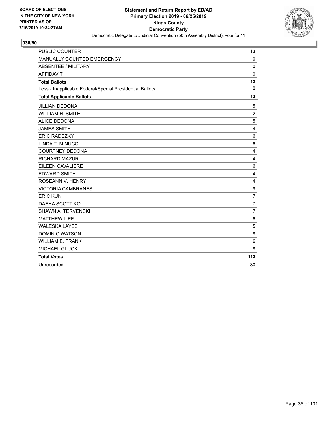

| <b>PUBLIC COUNTER</b>                                    | 13              |
|----------------------------------------------------------|-----------------|
| MANUALLY COUNTED EMERGENCY                               | $\mathbf 0$     |
| ABSENTEE / MILITARY                                      | $\mathbf 0$     |
| <b>AFFIDAVIT</b>                                         | $\mathbf 0$     |
| <b>Total Ballots</b>                                     | 13              |
| Less - Inapplicable Federal/Special Presidential Ballots | $\Omega$        |
| <b>Total Applicable Ballots</b>                          | 13              |
| <b>JILLIAN DEDONA</b>                                    | 5               |
| <b>WILLIAM H. SMITH</b>                                  | $\overline{2}$  |
| <b>ALICE DEDONA</b>                                      | 5               |
| <b>JAMES SMITH</b>                                       | 4               |
| <b>ERIC RADEZKY</b>                                      | 6               |
| <b>LINDA T. MINUCCI</b>                                  | $6\phantom{1}6$ |
| <b>COURTNEY DEDONA</b>                                   | 4               |
| <b>RICHARD MAZUR</b>                                     | 4               |
| EILEEN CAVALIERE                                         | 6               |
| <b>EDWARD SMITH</b>                                      | 4               |
| ROSEANN V. HENRY                                         | 4               |
| <b>VICTORIA CAMBRANES</b>                                | 9               |
| <b>ERIC KUN</b>                                          | $\overline{7}$  |
| DAEHA SCOTT KO                                           | $\overline{7}$  |
| <b>SHAWN A. TERVENSKI</b>                                | $\overline{7}$  |
| <b>MATTHEW LIEF</b>                                      | 6               |
| <b>WALESKA LAYES</b>                                     | 5               |
| <b>DOMINIC WATSON</b>                                    | 8               |
| <b>WILLIAM E. FRANK</b>                                  | 6               |
| <b>MICHAEL GLUCK</b>                                     | 8               |
| <b>Total Votes</b>                                       | 113             |
| Unrecorded                                               | 30              |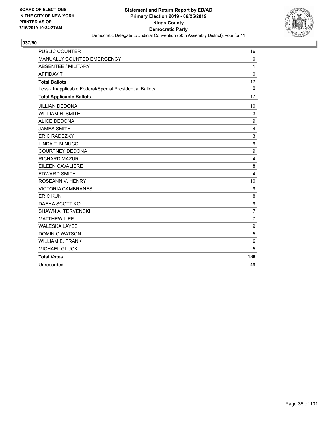

| <b>PUBLIC COUNTER</b>                                    | 16               |
|----------------------------------------------------------|------------------|
| MANUALLY COUNTED EMERGENCY                               | $\mathbf 0$      |
| ABSENTEE / MILITARY                                      | 1                |
| <b>AFFIDAVIT</b>                                         | $\mathbf 0$      |
| <b>Total Ballots</b>                                     | 17               |
| Less - Inapplicable Federal/Special Presidential Ballots | 0                |
| <b>Total Applicable Ballots</b>                          | 17               |
| <b>JILLIAN DEDONA</b>                                    | 10               |
| WILLIAM H. SMITH                                         | 3                |
| <b>ALICE DEDONA</b>                                      | 9                |
| <b>JAMES SMITH</b>                                       | 4                |
| <b>ERIC RADEZKY</b>                                      | 3                |
| LINDA T. MINUCCI                                         | 9                |
| <b>COURTNEY DEDONA</b>                                   | 9                |
| <b>RICHARD MAZUR</b>                                     | 4                |
| EILEEN CAVALIERE                                         | 8                |
| <b>EDWARD SMITH</b>                                      | $\overline{4}$   |
| ROSEANN V. HENRY                                         | 10               |
| <b>VICTORIA CAMBRANES</b>                                | $\boldsymbol{9}$ |
| <b>ERIC KUN</b>                                          | 8                |
| DAEHA SCOTT KO                                           | 9                |
| SHAWN A. TERVENSKI                                       | $\overline{7}$   |
| <b>MATTHEW LIEF</b>                                      | $\overline{7}$   |
| <b>WALESKA LAYES</b>                                     | 9                |
| <b>DOMINIC WATSON</b>                                    | 5                |
| <b>WILLIAM E. FRANK</b>                                  | 6                |
| MICHAEL GLUCK                                            | 5                |
| <b>Total Votes</b>                                       | 138              |
| Unrecorded                                               | 49               |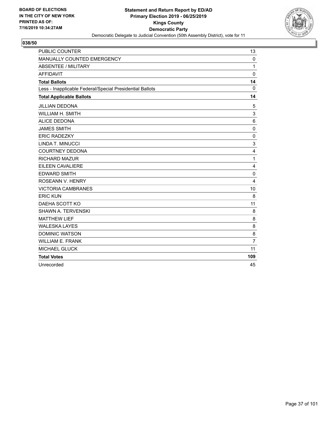

| <b>PUBLIC COUNTER</b>                                    | 13             |
|----------------------------------------------------------|----------------|
| MANUALLY COUNTED EMERGENCY                               | $\Omega$       |
| <b>ABSENTEE / MILITARY</b>                               | 1              |
| <b>AFFIDAVIT</b>                                         | $\Omega$       |
| <b>Total Ballots</b>                                     | 14             |
| Less - Inapplicable Federal/Special Presidential Ballots | $\Omega$       |
| <b>Total Applicable Ballots</b>                          | 14             |
| <b>JILLIAN DEDONA</b>                                    | 5              |
| <b>WILLIAM H. SMITH</b>                                  | 3              |
| <b>ALICE DEDONA</b>                                      | 6              |
| <b>JAMES SMITH</b>                                       | $\mathbf 0$    |
| <b>ERIC RADEZKY</b>                                      | 0              |
| LINDA T. MINUCCI                                         | 3              |
| <b>COURTNEY DEDONA</b>                                   | 4              |
| <b>RICHARD MAZUR</b>                                     | $\mathbf{1}$   |
| <b>EILEEN CAVALIERE</b>                                  | 4              |
| <b>EDWARD SMITH</b>                                      | $\mathbf 0$    |
| ROSEANN V. HENRY                                         | $\overline{4}$ |
| <b>VICTORIA CAMBRANES</b>                                | 10             |
| <b>ERIC KUN</b>                                          | 8              |
| DAEHA SCOTT KO                                           | 11             |
| <b>SHAWN A. TERVENSKI</b>                                | 8              |
| <b>MATTHEW LIEF</b>                                      | 8              |
| <b>WALESKA LAYES</b>                                     | 8              |
| <b>DOMINIC WATSON</b>                                    | 8              |
| <b>WILLIAM E. FRANK</b>                                  | $\overline{7}$ |
| <b>MICHAEL GLUCK</b>                                     | 11             |
| <b>Total Votes</b>                                       | 109            |
| Unrecorded                                               | 45             |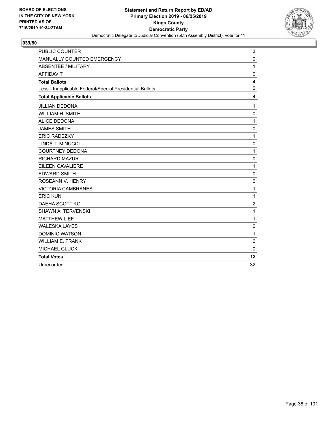

| <b>PUBLIC COUNTER</b>                                    | 3                       |
|----------------------------------------------------------|-------------------------|
| MANUALLY COUNTED EMERGENCY                               | $\mathbf 0$             |
| ABSENTEE / MILITARY                                      | $\mathbf{1}$            |
| <b>AFFIDAVIT</b>                                         | $\mathbf 0$             |
| <b>Total Ballots</b>                                     | $\overline{\mathbf{4}}$ |
| Less - Inapplicable Federal/Special Presidential Ballots | $\mathbf{0}$            |
| <b>Total Applicable Ballots</b>                          | 4                       |
| <b>JILLIAN DEDONA</b>                                    | $\mathbf{1}$            |
| WILLIAM H. SMITH                                         | 0                       |
| <b>ALICE DEDONA</b>                                      | 1                       |
| <b>JAMES SMITH</b>                                       | $\mathbf 0$             |
| <b>ERIC RADEZKY</b>                                      | 1                       |
| LINDA T. MINUCCI                                         | $\mathbf 0$             |
| <b>COURTNEY DEDONA</b>                                   | $\mathbf{1}$            |
| <b>RICHARD MAZUR</b>                                     | $\mathbf 0$             |
| <b>EILEEN CAVALIERE</b>                                  | $\mathbf{1}$            |
| <b>EDWARD SMITH</b>                                      | $\mathbf 0$             |
| ROSEANN V. HENRY                                         | $\mathbf 0$             |
| <b>VICTORIA CAMBRANES</b>                                | 1                       |
| <b>ERIC KUN</b>                                          | 1                       |
| DAEHA SCOTT KO                                           | $\overline{c}$          |
| SHAWN A. TERVENSKI                                       | 1                       |
| <b>MATTHEW LIEF</b>                                      | $\mathbf{1}$            |
| <b>WALESKA LAYES</b>                                     | $\mathbf 0$             |
| <b>DOMINIC WATSON</b>                                    | 1                       |
| <b>WILLIAM E. FRANK</b>                                  | $\mathbf 0$             |
| <b>MICHAEL GLUCK</b>                                     | $\mathbf 0$             |
| <b>Total Votes</b>                                       | 12                      |
| Unrecorded                                               | 32                      |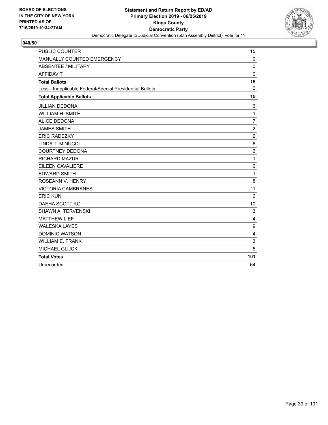

| <b>PUBLIC COUNTER</b>                                    | 15             |
|----------------------------------------------------------|----------------|
| MANUALLY COUNTED EMERGENCY                               | $\mathbf 0$    |
| <b>ABSENTEE / MILITARY</b>                               | $\Omega$       |
| <b>AFFIDAVIT</b>                                         | $\mathbf 0$    |
| <b>Total Ballots</b>                                     | 15             |
| Less - Inapplicable Federal/Special Presidential Ballots | $\Omega$       |
| <b>Total Applicable Ballots</b>                          | 15             |
| <b>JILLIAN DEDONA</b>                                    | 6              |
| WILLIAM H. SMITH                                         | $\mathbf{1}$   |
| <b>ALICE DEDONA</b>                                      | $\overline{7}$ |
| <b>JAMES SMITH</b>                                       | $\overline{c}$ |
| <b>ERIC RADEZKY</b>                                      | $\overline{c}$ |
| LINDA T. MINUCCI                                         | 6              |
| <b>COURTNEY DEDONA</b>                                   | 6              |
| <b>RICHARD MAZUR</b>                                     | $\mathbf{1}$   |
| EILEEN CAVALIERE                                         | 6              |
| <b>EDWARD SMITH</b>                                      | $\mathbf{1}$   |
| ROSEANN V. HENRY                                         | 8              |
| <b>VICTORIA CAMBRANES</b>                                | 11             |
| <b>ERIC KUN</b>                                          | 6              |
| DAEHA SCOTT KO                                           | 10             |
| SHAWN A. TERVENSKI                                       | 3              |
| <b>MATTHEW LIEF</b>                                      | $\overline{4}$ |
| <b>WALESKA LAYES</b>                                     | 9              |
| <b>DOMINIC WATSON</b>                                    | $\overline{4}$ |
| <b>WILLIAM E. FRANK</b>                                  | 3              |
| MICHAEL GLUCK                                            | 5              |
| <b>Total Votes</b>                                       | 101            |
| Unrecorded                                               | 64             |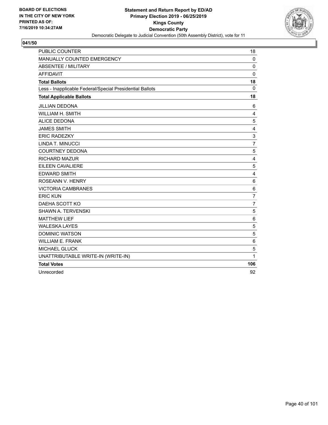

| <b>PUBLIC COUNTER</b>                                    | 18             |
|----------------------------------------------------------|----------------|
| MANUALLY COUNTED EMERGENCY                               | $\mathbf 0$    |
| <b>ABSENTEE / MILITARY</b>                               | $\mathbf 0$    |
| <b>AFFIDAVIT</b>                                         | $\mathbf 0$    |
| <b>Total Ballots</b>                                     | 18             |
| Less - Inapplicable Federal/Special Presidential Ballots | $\mathbf 0$    |
| <b>Total Applicable Ballots</b>                          | 18             |
| <b>JILLIAN DEDONA</b>                                    | 6              |
| WILLIAM H. SMITH                                         | 4              |
| <b>ALICE DEDONA</b>                                      | 5              |
| <b>JAMES SMITH</b>                                       | 4              |
| <b>ERIC RADEZKY</b>                                      | 3              |
| LINDA T. MINUCCI                                         | $\overline{7}$ |
| <b>COURTNEY DEDONA</b>                                   | 5              |
| RICHARD MAZUR                                            | 4              |
| EILEEN CAVALIERE                                         | 5              |
| <b>EDWARD SMITH</b>                                      | 4              |
| ROSEANN V. HENRY                                         | 6              |
| <b>VICTORIA CAMBRANES</b>                                | 6              |
| <b>ERIC KUN</b>                                          | 7              |
| DAEHA SCOTT KO                                           | $\overline{7}$ |
| <b>SHAWN A. TERVENSKI</b>                                | 5              |
| <b>MATTHEW LIEF</b>                                      | $\,6$          |
| <b>WALESKA LAYES</b>                                     | 5              |
| <b>DOMINIC WATSON</b>                                    | 5              |
| <b>WILLIAM E. FRANK</b>                                  | $\,6$          |
| <b>MICHAEL GLUCK</b>                                     | 5              |
| UNATTRIBUTABLE WRITE-IN (WRITE-IN)                       | 1              |
| <b>Total Votes</b>                                       | 106            |
| Unrecorded                                               | 92             |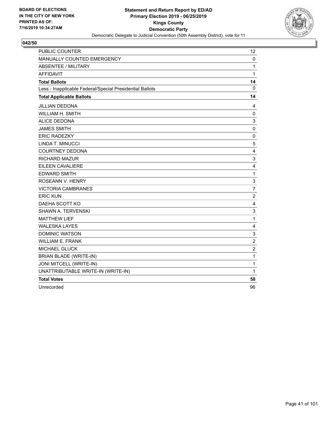

| <b>PUBLIC COUNTER</b>                                    | 12                        |
|----------------------------------------------------------|---------------------------|
| MANUALLY COUNTED EMERGENCY                               | 0                         |
| <b>ABSENTEE / MILITARY</b>                               | 1                         |
| <b>AFFIDAVIT</b>                                         | $\mathbf{1}$              |
| <b>Total Ballots</b>                                     | 14                        |
| Less - Inapplicable Federal/Special Presidential Ballots | $\mathbf 0$               |
| <b>Total Applicable Ballots</b>                          | 14                        |
| <b>JILLIAN DEDONA</b>                                    | 4                         |
| WILLIAM H. SMITH                                         | $\mathbf 0$               |
| <b>ALICE DEDONA</b>                                      | 3                         |
| <b>JAMES SMITH</b>                                       | $\mathbf 0$               |
| <b>ERIC RADEZKY</b>                                      | 0                         |
| LINDA T. MINUCCI                                         | 5                         |
| <b>COURTNEY DEDONA</b>                                   | 4                         |
| <b>RICHARD MAZUR</b>                                     | 3                         |
| <b>EILEEN CAVALIERE</b>                                  | $\overline{\mathbf{4}}$   |
| <b>EDWARD SMITH</b>                                      | $\mathbf{1}$              |
| ROSEANN V. HENRY                                         | $\ensuremath{\mathsf{3}}$ |
| <b>VICTORIA CAMBRANES</b>                                | $\overline{7}$            |
| <b>ERIC KUN</b>                                          | $\overline{c}$            |
| DAEHA SCOTT KO                                           | $\overline{4}$            |
| <b>SHAWN A. TERVENSKI</b>                                | 3                         |
| <b>MATTHEW LIEF</b>                                      | 1                         |
| <b>WALESKA LAYES</b>                                     | 4                         |
| <b>DOMINIC WATSON</b>                                    | $\mathsf 3$               |
| <b>WILLIAM E. FRANK</b>                                  | $\overline{c}$            |
| MICHAEL GLUCK                                            | $\overline{c}$            |
| <b>BRIAN BLADE (WRITE-IN)</b>                            | $\mathbf 1$               |
| JONI MITCELL (WRITE-IN)                                  | 1                         |
| UNATTRIBUTABLE WRITE-IN (WRITE-IN)                       | 1                         |
| <b>Total Votes</b>                                       | 58                        |
| Unrecorded                                               | 96                        |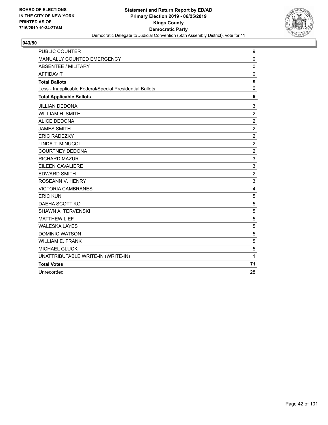

| <b>PUBLIC COUNTER</b>                                    | 9                         |
|----------------------------------------------------------|---------------------------|
| MANUALLY COUNTED EMERGENCY                               | $\mathbf 0$               |
| <b>ABSENTEE / MILITARY</b>                               | 0                         |
| <b>AFFIDAVIT</b>                                         | $\mathbf 0$               |
| <b>Total Ballots</b>                                     | $\boldsymbol{9}$          |
| Less - Inapplicable Federal/Special Presidential Ballots | $\mathbf 0$               |
| <b>Total Applicable Ballots</b>                          | 9                         |
| <b>JILLIAN DEDONA</b>                                    | 3                         |
| WILLIAM H. SMITH                                         | $\sqrt{2}$                |
| <b>ALICE DEDONA</b>                                      | $\boldsymbol{2}$          |
| <b>JAMES SMITH</b>                                       | $\sqrt{2}$                |
| <b>ERIC RADEZKY</b>                                      | $\overline{c}$            |
| LINDA T. MINUCCI                                         | $\overline{c}$            |
| <b>COURTNEY DEDONA</b>                                   | $\overline{c}$            |
| <b>RICHARD MAZUR</b>                                     | 3                         |
| <b>EILEEN CAVALIERE</b>                                  | 3                         |
| <b>EDWARD SMITH</b>                                      | $\overline{c}$            |
| ROSEANN V. HENRY                                         | $\ensuremath{\mathsf{3}}$ |
| <b>VICTORIA CAMBRANES</b>                                | $\overline{4}$            |
| <b>ERIC KUN</b>                                          | $\sqrt{5}$                |
| DAEHA SCOTT KO                                           | 5                         |
| SHAWN A. TERVENSKI                                       | 5                         |
| <b>MATTHEW LIEF</b>                                      | $\mathbf 5$               |
| <b>WALESKA LAYES</b>                                     | 5                         |
| <b>DOMINIC WATSON</b>                                    | 5                         |
| <b>WILLIAM E. FRANK</b>                                  | 5                         |
| <b>MICHAEL GLUCK</b>                                     | 5                         |
| UNATTRIBUTABLE WRITE-IN (WRITE-IN)                       | 1                         |
| <b>Total Votes</b>                                       | 71                        |
| Unrecorded                                               | 28                        |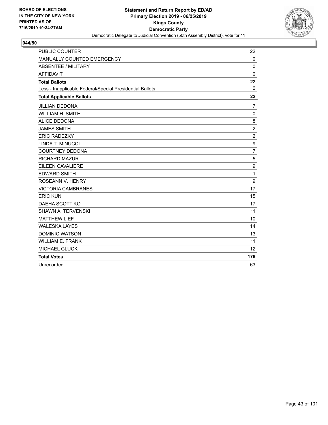

| <b>PUBLIC COUNTER</b>                                    | 22             |
|----------------------------------------------------------|----------------|
| MANUALLY COUNTED EMERGENCY                               | $\mathbf 0$    |
| <b>ABSENTEE / MILITARY</b>                               | $\Omega$       |
| <b>AFFIDAVIT</b>                                         | $\mathbf 0$    |
| <b>Total Ballots</b>                                     | 22             |
| Less - Inapplicable Federal/Special Presidential Ballots | $\mathbf{0}$   |
| <b>Total Applicable Ballots</b>                          | 22             |
| <b>JILLIAN DEDONA</b>                                    | $\overline{7}$ |
| WILLIAM H. SMITH                                         | $\mathbf 0$    |
| <b>ALICE DEDONA</b>                                      | 8              |
| <b>JAMES SMITH</b>                                       | $\overline{c}$ |
| <b>ERIC RADEZKY</b>                                      | $\overline{c}$ |
| LINDA T. MINUCCI                                         | 9              |
| <b>COURTNEY DEDONA</b>                                   | $\overline{7}$ |
| <b>RICHARD MAZUR</b>                                     | 5              |
| EILEEN CAVALIERE                                         | 9              |
| <b>EDWARD SMITH</b>                                      | $\mathbf{1}$   |
| ROSEANN V. HENRY                                         | 9              |
| <b>VICTORIA CAMBRANES</b>                                | 17             |
| <b>ERIC KUN</b>                                          | 15             |
| DAEHA SCOTT KO                                           | 17             |
| SHAWN A. TERVENSKI                                       | 11             |
| <b>MATTHEW LIEF</b>                                      | 10             |
| <b>WALESKA LAYES</b>                                     | 14             |
| <b>DOMINIC WATSON</b>                                    | 13             |
| <b>WILLIAM E. FRANK</b>                                  | 11             |
| MICHAEL GLUCK                                            | 12             |
| <b>Total Votes</b>                                       | 179            |
| Unrecorded                                               | 63             |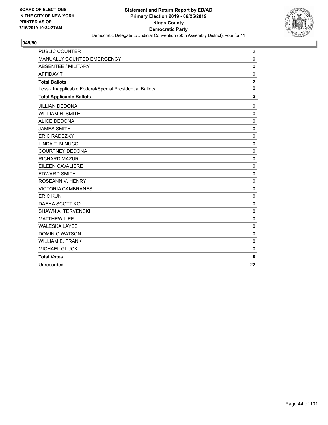

| <b>PUBLIC COUNTER</b>                                    | $\overline{\mathbf{c}}$ |
|----------------------------------------------------------|-------------------------|
| MANUALLY COUNTED EMERGENCY                               | $\mathbf 0$             |
| <b>ABSENTEE / MILITARY</b>                               | 0                       |
| <b>AFFIDAVIT</b>                                         | $\mathbf 0$             |
| <b>Total Ballots</b>                                     | $\mathbf 2$             |
| Less - Inapplicable Federal/Special Presidential Ballots | $\mathbf 0$             |
| <b>Total Applicable Ballots</b>                          | $\overline{2}$          |
| <b>JILLIAN DEDONA</b>                                    | $\mathbf 0$             |
| WILLIAM H. SMITH                                         | 0                       |
| <b>ALICE DEDONA</b>                                      | $\mathbf 0$             |
| <b>JAMES SMITH</b>                                       | $\mathbf 0$             |
| <b>ERIC RADEZKY</b>                                      | $\mathbf 0$             |
| LINDA T. MINUCCI                                         | 0                       |
| <b>COURTNEY DEDONA</b>                                   | 0                       |
| <b>RICHARD MAZUR</b>                                     | 0                       |
| <b>EILEEN CAVALIERE</b>                                  | $\mathbf 0$             |
| <b>EDWARD SMITH</b>                                      | $\mathbf 0$             |
| ROSEANN V. HENRY                                         | $\mathbf 0$             |
| <b>VICTORIA CAMBRANES</b>                                | 0                       |
| <b>ERIC KUN</b>                                          | $\mathbf 0$             |
| DAEHA SCOTT KO                                           | 0                       |
| <b>SHAWN A. TERVENSKI</b>                                | $\mathbf 0$             |
| <b>MATTHEW LIEF</b>                                      | 0                       |
| <b>WALESKA LAYES</b>                                     | $\mathbf 0$             |
| <b>DOMINIC WATSON</b>                                    | 0                       |
| <b>WILLIAM E. FRANK</b>                                  | $\mathbf 0$             |
| <b>MICHAEL GLUCK</b>                                     | $\mathbf 0$             |
| <b>Total Votes</b>                                       | $\bf{0}$                |
| Unrecorded                                               | 22                      |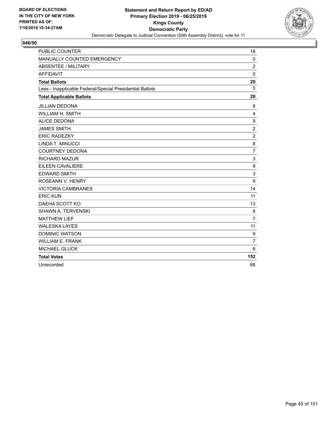

| <b>PUBLIC COUNTER</b>                                    | 18             |
|----------------------------------------------------------|----------------|
| MANUALLY COUNTED EMERGENCY                               | $\mathbf 0$    |
| <b>ABSENTEE / MILITARY</b>                               | $\overline{2}$ |
| <b>AFFIDAVIT</b>                                         | $\mathbf 0$    |
| <b>Total Ballots</b>                                     | 20             |
| Less - Inapplicable Federal/Special Presidential Ballots | $\Omega$       |
| <b>Total Applicable Ballots</b>                          | 20             |
| <b>JILLIAN DEDONA</b>                                    | 8              |
| WILLIAM H. SMITH                                         | 4              |
| <b>ALICE DEDONA</b>                                      | 9              |
| <b>JAMES SMITH</b>                                       | $\overline{c}$ |
| <b>ERIC RADEZKY</b>                                      | $\overline{c}$ |
| LINDA T. MINUCCI                                         | 8              |
| <b>COURTNEY DEDONA</b>                                   | $\overline{7}$ |
| <b>RICHARD MAZUR</b>                                     | 3              |
| EILEEN CAVALIERE                                         | 9              |
| <b>EDWARD SMITH</b>                                      | 3              |
| ROSEANN V. HENRY                                         | 9              |
| <b>VICTORIA CAMBRANES</b>                                | 14             |
| <b>ERIC KUN</b>                                          | 11             |
| DAEHA SCOTT KO                                           | 13             |
| SHAWN A. TERVENSKI                                       | 8              |
| <b>MATTHEW LIEF</b>                                      | $\overline{7}$ |
| <b>WALESKA LAYES</b>                                     | 11             |
| <b>DOMINIC WATSON</b>                                    | 9              |
| <b>WILLIAM E. FRANK</b>                                  | $\overline{7}$ |
| MICHAEL GLUCK                                            | 8              |
| <b>Total Votes</b>                                       | 152            |
| Unrecorded                                               | 68             |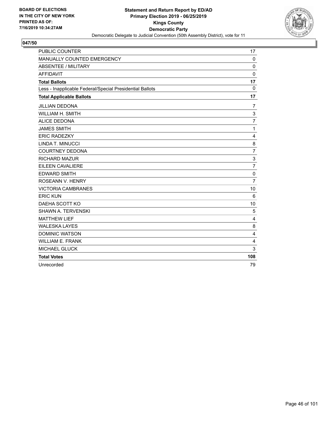

| <b>PUBLIC COUNTER</b>                                    | 17             |
|----------------------------------------------------------|----------------|
| MANUALLY COUNTED EMERGENCY                               | $\Omega$       |
| <b>ABSENTEE / MILITARY</b>                               | 0              |
| <b>AFFIDAVIT</b>                                         | $\mathbf 0$    |
| <b>Total Ballots</b>                                     | 17             |
| Less - Inapplicable Federal/Special Presidential Ballots | $\Omega$       |
| <b>Total Applicable Ballots</b>                          | 17             |
| <b>JILLIAN DEDONA</b>                                    | $\overline{7}$ |
| <b>WILLIAM H. SMITH</b>                                  | 3              |
| <b>ALICE DEDONA</b>                                      | $\overline{7}$ |
| <b>JAMES SMITH</b>                                       | $\mathbf{1}$   |
| <b>ERIC RADEZKY</b>                                      | $\overline{4}$ |
| LINDA T. MINUCCI                                         | 8              |
| <b>COURTNEY DEDONA</b>                                   | $\overline{7}$ |
| <b>RICHARD MAZUR</b>                                     | 3              |
| EILEEN CAVALIERE                                         | $\overline{7}$ |
| <b>EDWARD SMITH</b>                                      | 0              |
| ROSEANN V. HENRY                                         | $\overline{7}$ |
| <b>VICTORIA CAMBRANES</b>                                | 10             |
| <b>ERIC KUN</b>                                          | 6              |
| DAEHA SCOTT KO                                           | 10             |
| <b>SHAWN A. TERVENSKI</b>                                | 5              |
| <b>MATTHEW LIEF</b>                                      | 4              |
| <b>WALESKA LAYES</b>                                     | 8              |
| <b>DOMINIC WATSON</b>                                    | 4              |
| <b>WILLIAM E. FRANK</b>                                  | 4              |
| <b>MICHAEL GLUCK</b>                                     | 3              |
| <b>Total Votes</b>                                       | 108            |
| Unrecorded                                               | 79             |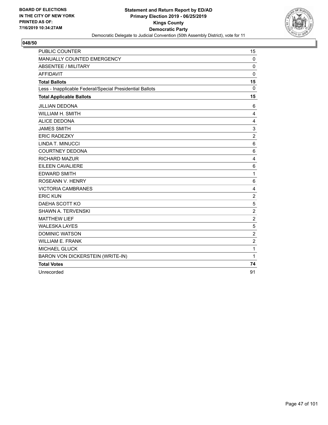

| <b>PUBLIC COUNTER</b>                                    | 15             |
|----------------------------------------------------------|----------------|
| MANUALLY COUNTED EMERGENCY                               | $\mathbf 0$    |
| <b>ABSENTEE / MILITARY</b>                               | $\mathbf 0$    |
| <b>AFFIDAVIT</b>                                         | $\mathbf 0$    |
| <b>Total Ballots</b>                                     | 15             |
| Less - Inapplicable Federal/Special Presidential Ballots | $\Omega$       |
| <b>Total Applicable Ballots</b>                          | 15             |
| <b>JILLIAN DEDONA</b>                                    | 6              |
| WILLIAM H. SMITH                                         | 4              |
| <b>ALICE DEDONA</b>                                      | 4              |
| <b>JAMES SMITH</b>                                       | 3              |
| <b>ERIC RADEZKY</b>                                      | $\overline{c}$ |
| LINDA T. MINUCCI                                         | $\,6$          |
| <b>COURTNEY DEDONA</b>                                   | 6              |
| <b>RICHARD MAZUR</b>                                     | 4              |
| EILEEN CAVALIERE                                         | 6              |
| <b>EDWARD SMITH</b>                                      | 1              |
| ROSEANN V. HENRY                                         | 6              |
| <b>VICTORIA CAMBRANES</b>                                | 4              |
| <b>ERIC KUN</b>                                          | $\overline{c}$ |
| DAEHA SCOTT KO                                           | 5              |
| <b>SHAWN A. TERVENSKI</b>                                | $\overline{c}$ |
| <b>MATTHEW LIEF</b>                                      | $\overline{c}$ |
| <b>WALESKA LAYES</b>                                     | 5              |
| <b>DOMINIC WATSON</b>                                    | $\overline{c}$ |
| <b>WILLIAM E. FRANK</b>                                  | $\overline{c}$ |
| <b>MICHAEL GLUCK</b>                                     | 1              |
| BARON VON DICKERSTEIN (WRITE-IN)                         | 1              |
| <b>Total Votes</b>                                       | 74             |
| Unrecorded                                               | 91             |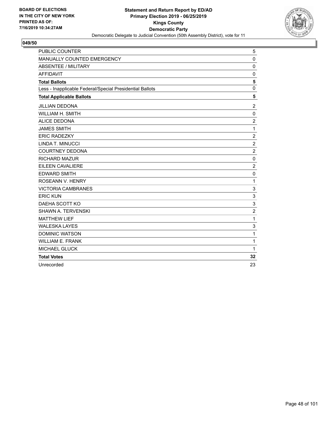

| <b>PUBLIC COUNTER</b>                                    | 5              |
|----------------------------------------------------------|----------------|
| MANUALLY COUNTED EMERGENCY                               | $\mathbf{0}$   |
| <b>ABSENTEE / MILITARY</b>                               | 0              |
| <b>AFFIDAVIT</b>                                         | $\mathbf 0$    |
| <b>Total Ballots</b>                                     | 5              |
| Less - Inapplicable Federal/Special Presidential Ballots | $\mathbf 0$    |
| <b>Total Applicable Ballots</b>                          | 5              |
| <b>JILLIAN DEDONA</b>                                    | $\overline{2}$ |
| WILLIAM H. SMITH                                         | 0              |
| <b>ALICE DEDONA</b>                                      | $\overline{2}$ |
| <b>JAMES SMITH</b>                                       | 1              |
| <b>ERIC RADEZKY</b>                                      | $\overline{2}$ |
| LINDA T. MINUCCI                                         | $\overline{c}$ |
| <b>COURTNEY DEDONA</b>                                   | $\overline{c}$ |
| <b>RICHARD MAZUR</b>                                     | $\mathbf 0$    |
| <b>EILEEN CAVALIERE</b>                                  | $\overline{c}$ |
| <b>EDWARD SMITH</b>                                      | $\mathbf 0$    |
| ROSEANN V. HENRY                                         | $\mathbf{1}$   |
| <b>VICTORIA CAMBRANES</b>                                | 3              |
| <b>ERIC KUN</b>                                          | 3              |
| DAEHA SCOTT KO                                           | 3              |
| <b>SHAWN A. TERVENSKI</b>                                | $\overline{2}$ |
| <b>MATTHEW LIEF</b>                                      | 1              |
| <b>WALESKA LAYES</b>                                     | 3              |
| <b>DOMINIC WATSON</b>                                    | $\mathbf{1}$   |
| <b>WILLIAM E. FRANK</b>                                  | $\mathbf{1}$   |
| <b>MICHAEL GLUCK</b>                                     | $\mathbf{1}$   |
| <b>Total Votes</b>                                       | 32             |
| Unrecorded                                               | 23             |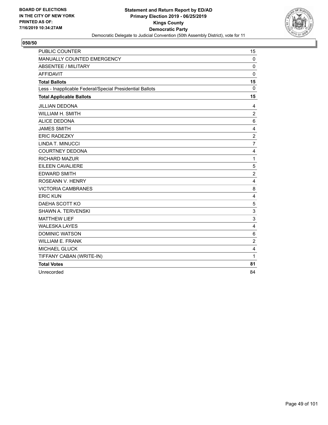

| <b>PUBLIC COUNTER</b>                                    | 15                      |
|----------------------------------------------------------|-------------------------|
| MANUALLY COUNTED EMERGENCY                               | $\mathbf 0$             |
| <b>ABSENTEE / MILITARY</b>                               | $\mathbf 0$             |
| <b>AFFIDAVIT</b>                                         | $\mathbf{0}$            |
| <b>Total Ballots</b>                                     | 15                      |
| Less - Inapplicable Federal/Special Presidential Ballots | $\mathbf{0}$            |
| <b>Total Applicable Ballots</b>                          | 15                      |
| <b>JILLIAN DEDONA</b>                                    | 4                       |
| <b>WILLIAM H. SMITH</b>                                  | 2                       |
| <b>ALICE DEDONA</b>                                      | $\,6$                   |
| <b>JAMES SMITH</b>                                       | 4                       |
| <b>ERIC RADEZKY</b>                                      | $\boldsymbol{2}$        |
| LINDA T. MINUCCI                                         | $\overline{7}$          |
| <b>COURTNEY DEDONA</b>                                   | 4                       |
| <b>RICHARD MAZUR</b>                                     | 1                       |
| <b>EILEEN CAVALIERE</b>                                  | 5                       |
| <b>EDWARD SMITH</b>                                      | $\overline{c}$          |
| ROSEANN V. HENRY                                         | 4                       |
| <b>VICTORIA CAMBRANES</b>                                | 8                       |
| <b>ERIC KUN</b>                                          | 4                       |
| DAEHA SCOTT KO                                           | $\sqrt{5}$              |
| <b>SHAWN A. TERVENSKI</b>                                | 3                       |
| <b>MATTHEW LIEF</b>                                      | 3                       |
| <b>WALESKA LAYES</b>                                     | 4                       |
| <b>DOMINIC WATSON</b>                                    | 6                       |
| <b>WILLIAM E. FRANK</b>                                  | $\overline{c}$          |
| <b>MICHAEL GLUCK</b>                                     | $\overline{\mathbf{4}}$ |
| TIFFANY CABAN (WRITE-IN)                                 | 1                       |
| <b>Total Votes</b>                                       | 81                      |
| Unrecorded                                               | 84                      |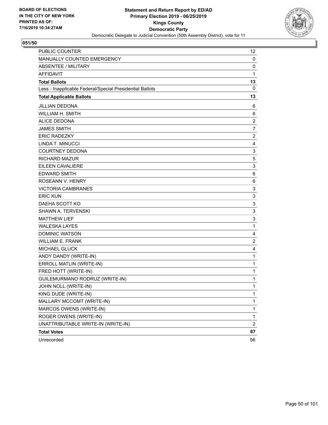

| <b>PUBLIC COUNTER</b>                                    | 12                      |
|----------------------------------------------------------|-------------------------|
| MANUALLY COUNTED EMERGENCY                               | 0                       |
| <b>ABSENTEE / MILITARY</b>                               | 0                       |
| <b>AFFIDAVIT</b>                                         | 1                       |
| <b>Total Ballots</b>                                     | 13                      |
| Less - Inapplicable Federal/Special Presidential Ballots | 0                       |
| <b>Total Applicable Ballots</b>                          | 13                      |
| <b>JILLIAN DEDONA</b>                                    | 6                       |
| <b>WILLIAM H. SMITH</b>                                  | 6                       |
| <b>ALICE DEDONA</b>                                      | $\overline{\mathbf{c}}$ |
| <b>JAMES SMITH</b>                                       | $\overline{7}$          |
| <b>ERIC RADEZKY</b>                                      | $\overline{c}$          |
| LINDA T. MINUCCI                                         | 4                       |
| <b>COURTNEY DEDONA</b>                                   | 3                       |
| <b>RICHARD MAZUR</b>                                     | 5                       |
| <b>EILEEN CAVALIERE</b>                                  | 3                       |
| <b>EDWARD SMITH</b>                                      | 6                       |
| ROSEANN V. HENRY                                         | 6                       |
| <b>VICTORIA CAMBRANES</b>                                | 3                       |
| <b>ERIC KUN</b>                                          | 3                       |
| DAEHA SCOTT KO                                           | 3                       |
| <b>SHAWN A. TERVENSKI</b>                                | 3                       |
| <b>MATTHEW LIEF</b>                                      | 3                       |
| <b>WALESKA LAYES</b>                                     | $\mathbf{1}$            |
| <b>DOMINIC WATSON</b>                                    | 4                       |
| <b>WILLIAM E. FRANK</b>                                  | $\overline{2}$          |
| <b>MICHAEL GLUCK</b>                                     | 4                       |
| ANDY DANDY (WRITE-IN)                                    | 1                       |
| ERROLL MATLIN (WRITE-IN)                                 | 1                       |
| FRED HOTT (WRITE-IN)                                     | $\mathbf{1}$            |
| GUILEMURMANO RODRUZ (WRITE-IN)                           | 1                       |
| JOHN NOLL (WRITE-IN)                                     | 1                       |
| KING DUDE (WRITE-IN)                                     | 1                       |
| MALLARY MCCOMT (WRITE-IN)                                | 1                       |
| MARCOS OWENS (WRITE-IN)                                  | $\mathbf{1}$            |
| ROGER OWENS (WRITE-IN)                                   | $\mathbf{1}$            |
| UNATTRIBUTABLE WRITE-IN (WRITE-IN)                       | $\overline{c}$          |
| <b>Total Votes</b>                                       | 87                      |
| Unrecorded                                               | 56                      |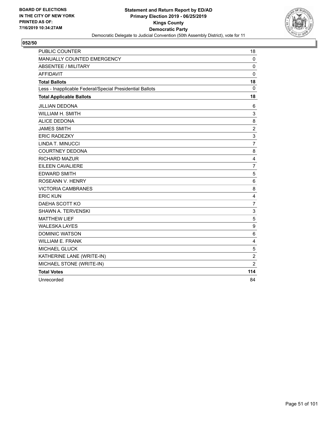

| <b>PUBLIC COUNTER</b>                                    | 18               |
|----------------------------------------------------------|------------------|
| MANUALLY COUNTED EMERGENCY                               | $\mathbf 0$      |
| <b>ABSENTEE / MILITARY</b>                               | $\mathbf 0$      |
| <b>AFFIDAVIT</b>                                         | $\mathbf 0$      |
| <b>Total Ballots</b>                                     | 18               |
| Less - Inapplicable Federal/Special Presidential Ballots | $\Omega$         |
| <b>Total Applicable Ballots</b>                          | 18               |
| <b>JILLIAN DEDONA</b>                                    | 6                |
| WILLIAM H. SMITH                                         | 3                |
| <b>ALICE DEDONA</b>                                      | 8                |
| <b>JAMES SMITH</b>                                       | $\overline{c}$   |
| <b>ERIC RADEZKY</b>                                      | 3                |
| LINDA T. MINUCCI                                         | $\overline{7}$   |
| <b>COURTNEY DEDONA</b>                                   | 8                |
| <b>RICHARD MAZUR</b>                                     | $\overline{4}$   |
| <b>EILEEN CAVALIERE</b>                                  | $\overline{7}$   |
| <b>EDWARD SMITH</b>                                      | 5                |
| <b>ROSEANN V. HENRY</b>                                  | 6                |
| <b>VICTORIA CAMBRANES</b>                                | 8                |
| <b>ERIC KUN</b>                                          | 4                |
| DAEHA SCOTT KO                                           | $\overline{7}$   |
| SHAWN A. TERVENSKI                                       | 3                |
| <b>MATTHEW LIEF</b>                                      | 5                |
| <b>WALESKA LAYES</b>                                     | $\boldsymbol{9}$ |
| <b>DOMINIC WATSON</b>                                    | 6                |
| <b>WILLIAM E. FRANK</b>                                  | $\overline{4}$   |
| <b>MICHAEL GLUCK</b>                                     | 5                |
| KATHERINE LANE (WRITE-IN)                                | $\sqrt{2}$       |
| MICHAEL STONE (WRITE-IN)                                 | 2                |
| <b>Total Votes</b>                                       | 114              |
| Unrecorded                                               | 84               |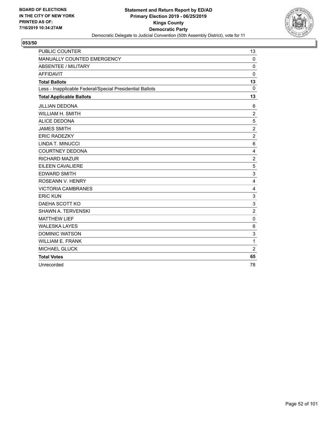

| <b>PUBLIC COUNTER</b>                                    | 13              |
|----------------------------------------------------------|-----------------|
| MANUALLY COUNTED EMERGENCY                               | $\mathbf 0$     |
| <b>ABSENTEE / MILITARY</b>                               | $\mathbf 0$     |
| <b>AFFIDAVIT</b>                                         | $\mathbf 0$     |
| <b>Total Ballots</b>                                     | 13              |
| Less - Inapplicable Federal/Special Presidential Ballots | $\Omega$        |
| <b>Total Applicable Ballots</b>                          | 13              |
| <b>JILLIAN DEDONA</b>                                    | 6               |
| <b>WILLIAM H. SMITH</b>                                  | $\overline{2}$  |
| <b>ALICE DEDONA</b>                                      | 5               |
| <b>JAMES SMITH</b>                                       | $\overline{2}$  |
| <b>ERIC RADEZKY</b>                                      | $\overline{c}$  |
| LINDA T. MINUCCI                                         | $6\phantom{1}6$ |
| <b>COURTNEY DEDONA</b>                                   | 4               |
| <b>RICHARD MAZUR</b>                                     | $\overline{c}$  |
| EILEEN CAVALIERE                                         | 5               |
| <b>EDWARD SMITH</b>                                      | 3               |
| ROSEANN V. HENRY                                         | 4               |
| <b>VICTORIA CAMBRANES</b>                                | 4               |
| <b>ERIC KUN</b>                                          | 3               |
| DAEHA SCOTT KO                                           | 3               |
| <b>SHAWN A. TERVENSKI</b>                                | $\overline{c}$  |
| <b>MATTHEW LIEF</b>                                      | 0               |
| <b>WALESKA LAYES</b>                                     | 6               |
| <b>DOMINIC WATSON</b>                                    | 3               |
| <b>WILLIAM E. FRANK</b>                                  | $\mathbf{1}$    |
| <b>MICHAEL GLUCK</b>                                     | $\overline{2}$  |
| <b>Total Votes</b>                                       | 65              |
| Unrecorded                                               | 78              |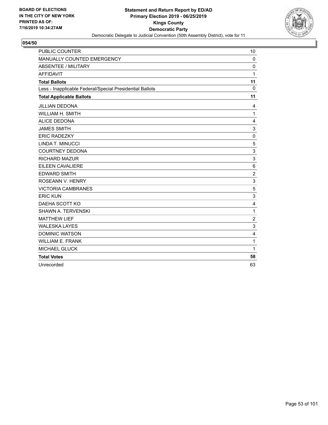

| <b>PUBLIC COUNTER</b>                                    | 10             |
|----------------------------------------------------------|----------------|
| MANUALLY COUNTED EMERGENCY                               | $\Omega$       |
| <b>ABSENTEE / MILITARY</b>                               | $\mathbf 0$    |
| <b>AFFIDAVIT</b>                                         | 1              |
| <b>Total Ballots</b>                                     | 11             |
| Less - Inapplicable Federal/Special Presidential Ballots | $\Omega$       |
| <b>Total Applicable Ballots</b>                          | 11             |
| JILLIAN DEDONA                                           | 4              |
| <b>WILLIAM H. SMITH</b>                                  | $\mathbf{1}$   |
| <b>ALICE DEDONA</b>                                      | 4              |
| <b>JAMES SMITH</b>                                       | 3              |
| <b>ERIC RADEZKY</b>                                      | 0              |
| LINDA T. MINUCCI                                         | 5              |
| <b>COURTNEY DEDONA</b>                                   | 3              |
| <b>RICHARD MAZUR</b>                                     | 3              |
| <b>EILEEN CAVALIERE</b>                                  | 6              |
| <b>EDWARD SMITH</b>                                      | $\overline{2}$ |
| ROSEANN V. HENRY                                         | 3              |
| <b>VICTORIA CAMBRANES</b>                                | 5              |
| <b>ERIC KUN</b>                                          | 3              |
| DAEHA SCOTT KO                                           | 4              |
| <b>SHAWN A. TERVENSKI</b>                                | 1              |
| <b>MATTHEW LIEF</b>                                      | $\overline{c}$ |
| <b>WALESKA LAYES</b>                                     | 3              |
| <b>DOMINIC WATSON</b>                                    | 4              |
| <b>WILLIAM E. FRANK</b>                                  | $\mathbf{1}$   |
| <b>MICHAEL GLUCK</b>                                     | $\mathbf{1}$   |
| <b>Total Votes</b>                                       | 58             |
| Unrecorded                                               | 63             |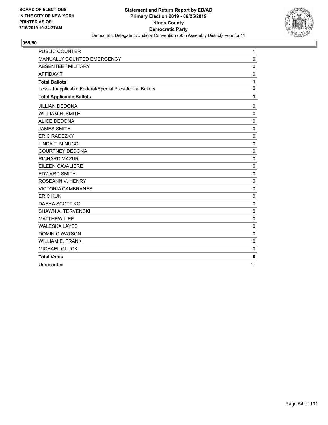

| <b>PUBLIC COUNTER</b>                                    | $\mathbf{1}$ |
|----------------------------------------------------------|--------------|
| MANUALLY COUNTED EMERGENCY                               | $\mathbf{0}$ |
| <b>ABSENTEE / MILITARY</b>                               | 0            |
| <b>AFFIDAVIT</b>                                         | $\mathbf 0$  |
| <b>Total Ballots</b>                                     | 1            |
| Less - Inapplicable Federal/Special Presidential Ballots | $\mathbf 0$  |
| <b>Total Applicable Ballots</b>                          | 1            |
| <b>JILLIAN DEDONA</b>                                    | $\mathbf 0$  |
| WILLIAM H. SMITH                                         | 0            |
| <b>ALICE DEDONA</b>                                      | $\mathbf 0$  |
| <b>JAMES SMITH</b>                                       | $\mathbf 0$  |
| <b>ERIC RADEZKY</b>                                      | $\mathbf 0$  |
| LINDA T. MINUCCI                                         | 0            |
| <b>COURTNEY DEDONA</b>                                   | 0            |
| <b>RICHARD MAZUR</b>                                     | $\mathbf 0$  |
| EILEEN CAVALIERE                                         | $\mathbf 0$  |
| <b>EDWARD SMITH</b>                                      | $\mathbf 0$  |
| <b>ROSEANN V. HENRY</b>                                  | 0            |
| <b>VICTORIA CAMBRANES</b>                                | $\mathbf 0$  |
| <b>ERIC KUN</b>                                          | $\mathbf 0$  |
| DAEHA SCOTT KO                                           | $\mathbf 0$  |
| <b>SHAWN A. TERVENSKI</b>                                | $\mathbf 0$  |
| <b>MATTHEW LIEF</b>                                      | 0            |
| <b>WALESKA LAYES</b>                                     | $\mathbf 0$  |
| <b>DOMINIC WATSON</b>                                    | $\mathbf 0$  |
| <b>WILLIAM E. FRANK</b>                                  | $\mathbf{0}$ |
| <b>MICHAEL GLUCK</b>                                     | $\mathbf 0$  |
| <b>Total Votes</b>                                       | $\mathbf{0}$ |
| Unrecorded                                               | 11           |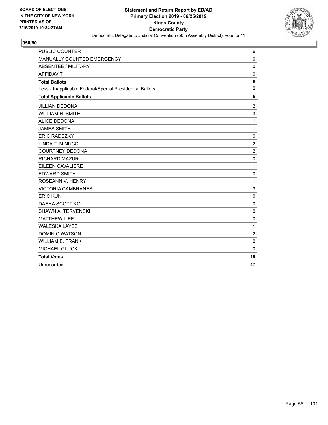

| <b>PUBLIC COUNTER</b>                                    | 6                       |
|----------------------------------------------------------|-------------------------|
| MANUALLY COUNTED EMERGENCY                               | $\Omega$                |
| <b>ABSENTEE / MILITARY</b>                               | 0                       |
| <b>AFFIDAVIT</b>                                         | $\mathbf 0$             |
| <b>Total Ballots</b>                                     | 6                       |
| Less - Inapplicable Federal/Special Presidential Ballots | $\mathbf{0}$            |
| <b>Total Applicable Ballots</b>                          | 6                       |
| <b>JILLIAN DEDONA</b>                                    | 2                       |
| <b>WILLIAM H. SMITH</b>                                  | 3                       |
| <b>ALICE DEDONA</b>                                      | 1                       |
| <b>JAMES SMITH</b>                                       | 1                       |
| <b>ERIC RADEZKY</b>                                      | $\mathbf 0$             |
| LINDA T. MINUCCI                                         | $\overline{c}$          |
| <b>COURTNEY DEDONA</b>                                   | $\overline{c}$          |
| <b>RICHARD MAZUR</b>                                     | $\mathbf 0$             |
| EILEEN CAVALIERE                                         | 1                       |
| <b>EDWARD SMITH</b>                                      | 0                       |
| ROSEANN V. HENRY                                         | 1                       |
| <b>VICTORIA CAMBRANES</b>                                | 3                       |
| <b>ERIC KUN</b>                                          | $\mathbf 0$             |
| DAEHA SCOTT KO                                           | $\mathbf 0$             |
| <b>SHAWN A. TERVENSKI</b>                                | 0                       |
| <b>MATTHEW LIEF</b>                                      | $\mathbf 0$             |
| <b>WALESKA LAYES</b>                                     | 1                       |
| <b>DOMINIC WATSON</b>                                    | $\overline{\mathbf{c}}$ |
| <b>WILLIAM E. FRANK</b>                                  | 0                       |
| <b>MICHAEL GLUCK</b>                                     | $\mathbf 0$             |
| <b>Total Votes</b>                                       | 19                      |
| Unrecorded                                               | 47                      |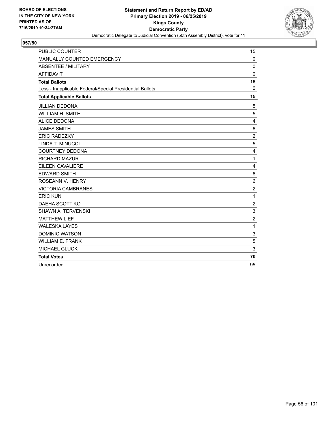

| <b>PUBLIC COUNTER</b>                                    | 15             |
|----------------------------------------------------------|----------------|
| MANUALLY COUNTED EMERGENCY                               | $\mathbf 0$    |
| <b>ABSENTEE / MILITARY</b>                               | $\Omega$       |
| <b>AFFIDAVIT</b>                                         | $\mathbf 0$    |
| <b>Total Ballots</b>                                     | 15             |
| Less - Inapplicable Federal/Special Presidential Ballots | $\Omega$       |
| <b>Total Applicable Ballots</b>                          | 15             |
| <b>JILLIAN DEDONA</b>                                    | 5              |
| WILLIAM H. SMITH                                         | 5              |
| <b>ALICE DEDONA</b>                                      | 4              |
| <b>JAMES SMITH</b>                                       | 6              |
| <b>ERIC RADEZKY</b>                                      | $\overline{c}$ |
| LINDA T. MINUCCI                                         | 5              |
| <b>COURTNEY DEDONA</b>                                   | 4              |
| <b>RICHARD MAZUR</b>                                     | $\mathbf{1}$   |
| EILEEN CAVALIERE                                         | 4              |
| <b>EDWARD SMITH</b>                                      | 6              |
| ROSEANN V. HENRY                                         | 6              |
| <b>VICTORIA CAMBRANES</b>                                | $\overline{c}$ |
| <b>ERIC KUN</b>                                          | 1              |
| DAEHA SCOTT KO                                           | $\overline{c}$ |
| SHAWN A. TERVENSKI                                       | 3              |
| <b>MATTHEW LIEF</b>                                      | $\overline{c}$ |
| <b>WALESKA LAYES</b>                                     | 1              |
| <b>DOMINIC WATSON</b>                                    | 3              |
| <b>WILLIAM E. FRANK</b>                                  | 5              |
| MICHAEL GLUCK                                            | 3              |
| <b>Total Votes</b>                                       | 70             |
| Unrecorded                                               | 95             |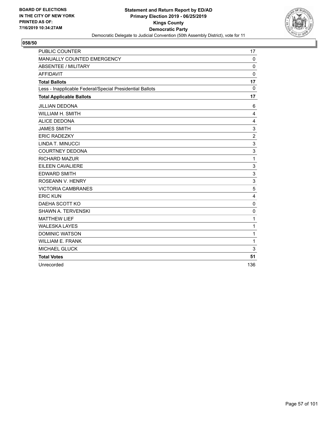

| <b>PUBLIC COUNTER</b>                                    | 17                        |
|----------------------------------------------------------|---------------------------|
| MANUALLY COUNTED EMERGENCY                               | 0                         |
| <b>ABSENTEE / MILITARY</b>                               | $\mathbf 0$               |
| <b>AFFIDAVIT</b>                                         | $\mathbf 0$               |
| <b>Total Ballots</b>                                     | 17                        |
| Less - Inapplicable Federal/Special Presidential Ballots | $\Omega$                  |
| <b>Total Applicable Ballots</b>                          | 17                        |
| <b>JILLIAN DEDONA</b>                                    | 6                         |
| <b>WILLIAM H. SMITH</b>                                  | 4                         |
| <b>ALICE DEDONA</b>                                      | 4                         |
| <b>JAMES SMITH</b>                                       | 3                         |
| <b>ERIC RADEZKY</b>                                      | $\overline{c}$            |
| LINDA T. MINUCCI                                         | 3                         |
| <b>COURTNEY DEDONA</b>                                   | 3                         |
| <b>RICHARD MAZUR</b>                                     | $\mathbf{1}$              |
| EILEEN CAVALIERE                                         | 3                         |
| <b>EDWARD SMITH</b>                                      | $\ensuremath{\mathsf{3}}$ |
| ROSEANN V. HENRY                                         | 3                         |
| <b>VICTORIA CAMBRANES</b>                                | 5                         |
| <b>ERIC KUN</b>                                          | 4                         |
| DAEHA SCOTT KO                                           | $\Omega$                  |
| <b>SHAWN A. TERVENSKI</b>                                | 0                         |
| <b>MATTHEW LIEF</b>                                      | 1                         |
| <b>WALESKA LAYES</b>                                     | 1                         |
| <b>DOMINIC WATSON</b>                                    | $\mathbf{1}$              |
| <b>WILLIAM E. FRANK</b>                                  | $\mathbf{1}$              |
| <b>MICHAEL GLUCK</b>                                     | 3                         |
| <b>Total Votes</b>                                       | 51                        |
| Unrecorded                                               | 136                       |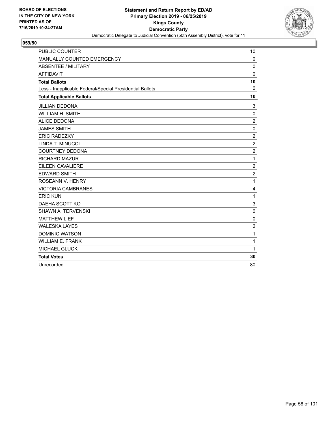

| <b>PUBLIC COUNTER</b>                                    | 10             |
|----------------------------------------------------------|----------------|
| MANUALLY COUNTED EMERGENCY                               | $\Omega$       |
| <b>ABSENTEE / MILITARY</b>                               | $\mathbf 0$    |
| <b>AFFIDAVIT</b>                                         | $\mathbf 0$    |
| <b>Total Ballots</b>                                     | 10             |
| Less - Inapplicable Federal/Special Presidential Ballots | $\Omega$       |
| <b>Total Applicable Ballots</b>                          | 10             |
| <b>JILLIAN DEDONA</b>                                    | 3              |
| WILLIAM H. SMITH                                         | $\mathbf 0$    |
| <b>ALICE DEDONA</b>                                      | $\overline{2}$ |
| <b>JAMES SMITH</b>                                       | $\mathbf 0$    |
| <b>ERIC RADEZKY</b>                                      | $\overline{c}$ |
| LINDA T. MINUCCI                                         | $\overline{c}$ |
| <b>COURTNEY DEDONA</b>                                   | $\overline{c}$ |
| <b>RICHARD MAZUR</b>                                     | $\mathbf{1}$   |
| EILEEN CAVALIERE                                         | $\overline{c}$ |
| <b>EDWARD SMITH</b>                                      | $\overline{c}$ |
| ROSEANN V. HENRY                                         | $\mathbf{1}$   |
| <b>VICTORIA CAMBRANES</b>                                | 4              |
| <b>ERIC KUN</b>                                          | 1              |
| DAEHA SCOTT KO                                           | 3              |
| <b>SHAWN A. TERVENSKI</b>                                | $\mathbf 0$    |
| <b>MATTHEW LIEF</b>                                      | 0              |
| <b>WALESKA LAYES</b>                                     | $\overline{2}$ |
| <b>DOMINIC WATSON</b>                                    | $\mathbf{1}$   |
| <b>WILLIAM E. FRANK</b>                                  | 1              |
| <b>MICHAEL GLUCK</b>                                     | 1              |
| <b>Total Votes</b>                                       | 30             |
| Unrecorded                                               | 80             |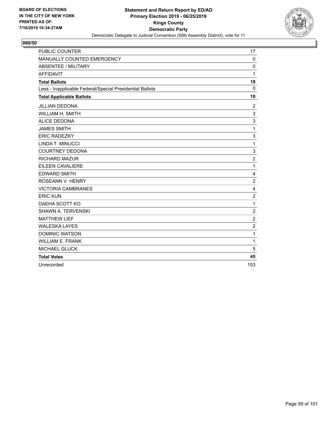

| <b>PUBLIC COUNTER</b>                                    | 17             |
|----------------------------------------------------------|----------------|
| MANUALLY COUNTED EMERGENCY                               | 0              |
| <b>ABSENTEE / MILITARY</b>                               | $\mathbf 0$    |
| <b>AFFIDAVIT</b>                                         | 1              |
| <b>Total Ballots</b>                                     | 18             |
| Less - Inapplicable Federal/Special Presidential Ballots | $\Omega$       |
| <b>Total Applicable Ballots</b>                          | 18             |
| <b>JILLIAN DEDONA</b>                                    | $\overline{c}$ |
| <b>WILLIAM H. SMITH</b>                                  | 3              |
| <b>ALICE DEDONA</b>                                      | 3              |
| <b>JAMES SMITH</b>                                       | 1              |
| <b>ERIC RADEZKY</b>                                      | 3              |
| LINDA T. MINUCCI                                         | $\mathbf{1}$   |
| <b>COURTNEY DEDONA</b>                                   | 3              |
| <b>RICHARD MAZUR</b>                                     | $\overline{c}$ |
| EILEEN CAVALIERE                                         | $\mathbf{1}$   |
| <b>EDWARD SMITH</b>                                      | 4              |
| ROSEANN V. HENRY                                         | $\overline{2}$ |
| <b>VICTORIA CAMBRANES</b>                                | 4              |
| <b>ERIC KUN</b>                                          | $\overline{c}$ |
| DAEHA SCOTT KO                                           | $\mathbf{1}$   |
| <b>SHAWN A. TERVENSKI</b>                                | $\overline{c}$ |
| <b>MATTHEW LIEF</b>                                      | $\overline{c}$ |
| <b>WALESKA LAYES</b>                                     | $\overline{c}$ |
| <b>DOMINIC WATSON</b>                                    | $\mathbf{1}$   |
| <b>WILLIAM E. FRANK</b>                                  | $\mathbf{1}$   |
| <b>MICHAEL GLUCK</b>                                     | 5              |
| <b>Total Votes</b>                                       | 45             |
| Unrecorded                                               | 153            |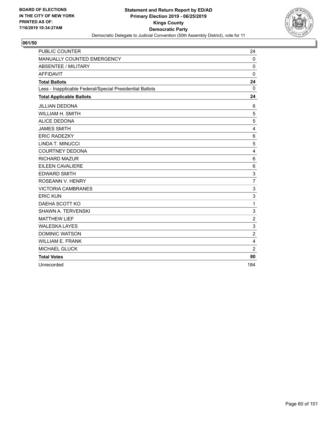

| <b>PUBLIC COUNTER</b>                                    | 24               |
|----------------------------------------------------------|------------------|
| MANUALLY COUNTED EMERGENCY                               | $\mathbf 0$      |
| <b>ABSENTEE / MILITARY</b>                               | $\mathbf 0$      |
| <b>AFFIDAVIT</b>                                         | 0                |
| <b>Total Ballots</b>                                     | 24               |
| Less - Inapplicable Federal/Special Presidential Ballots | $\mathbf 0$      |
| <b>Total Applicable Ballots</b>                          | 24               |
| <b>JILLIAN DEDONA</b>                                    | 6                |
| WILLIAM H. SMITH                                         | 5                |
| <b>ALICE DEDONA</b>                                      | 5                |
| <b>JAMES SMITH</b>                                       | 4                |
| <b>ERIC RADEZKY</b>                                      | 6                |
| LINDA T. MINUCCI                                         | 5                |
| <b>COURTNEY DEDONA</b>                                   | 4                |
| <b>RICHARD MAZUR</b>                                     | 6                |
| EILEEN CAVALIERE                                         | 6                |
| <b>EDWARD SMITH</b>                                      | 3                |
| ROSEANN V. HENRY                                         | $\overline{7}$   |
| <b>VICTORIA CAMBRANES</b>                                | 3                |
| <b>ERIC KUN</b>                                          | 3                |
| DAEHA SCOTT KO                                           | $\mathbf{1}$     |
| SHAWN A. TERVENSKI                                       | 3                |
| <b>MATTHEW LIEF</b>                                      | $\boldsymbol{2}$ |
| <b>WALESKA LAYES</b>                                     | 3                |
| <b>DOMINIC WATSON</b>                                    | $\overline{c}$   |
| <b>WILLIAM E. FRANK</b>                                  | 4                |
| MICHAEL GLUCK                                            | $\overline{2}$   |
| <b>Total Votes</b>                                       | 80               |
| Unrecorded                                               | 184              |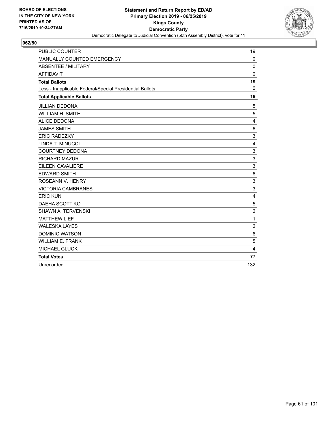

| <b>PUBLIC COUNTER</b>                                    | 19             |
|----------------------------------------------------------|----------------|
| MANUALLY COUNTED EMERGENCY                               | $\mathbf 0$    |
| <b>ABSENTEE / MILITARY</b>                               | $\Omega$       |
| <b>AFFIDAVIT</b>                                         | $\mathbf 0$    |
| <b>Total Ballots</b>                                     | 19             |
| Less - Inapplicable Federal/Special Presidential Ballots | $\Omega$       |
| <b>Total Applicable Ballots</b>                          | 19             |
| <b>JILLIAN DEDONA</b>                                    | 5              |
| WILLIAM H. SMITH                                         | 5              |
| <b>ALICE DEDONA</b>                                      | 4              |
| <b>JAMES SMITH</b>                                       | 6              |
| <b>ERIC RADEZKY</b>                                      | 3              |
| LINDA T. MINUCCI                                         | 4              |
| <b>COURTNEY DEDONA</b>                                   | 3              |
| <b>RICHARD MAZUR</b>                                     | 3              |
| EILEEN CAVALIERE                                         | 3              |
| <b>EDWARD SMITH</b>                                      | 6              |
| ROSEANN V. HENRY                                         | 3              |
| <b>VICTORIA CAMBRANES</b>                                | 3              |
| <b>ERIC KUN</b>                                          | $\overline{4}$ |
| DAEHA SCOTT KO                                           | 5              |
| SHAWN A. TERVENSKI                                       | $\overline{c}$ |
| <b>MATTHEW LIEF</b>                                      | 1              |
| <b>WALESKA LAYES</b>                                     | $\overline{c}$ |
| <b>DOMINIC WATSON</b>                                    | 6              |
| <b>WILLIAM E. FRANK</b>                                  | 5              |
| MICHAEL GLUCK                                            | 4              |
| <b>Total Votes</b>                                       | 77             |
| Unrecorded                                               | 132            |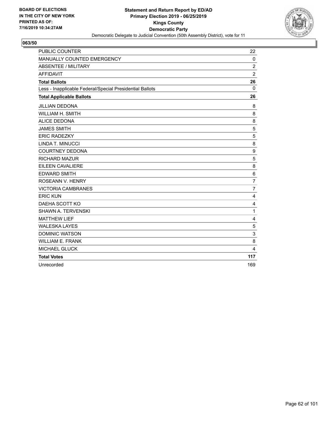

| <b>PUBLIC COUNTER</b>                                    | 22             |
|----------------------------------------------------------|----------------|
| MANUALLY COUNTED EMERGENCY                               | $\Omega$       |
| <b>ABSENTEE / MILITARY</b>                               | $\overline{c}$ |
| <b>AFFIDAVIT</b>                                         | $\overline{2}$ |
| <b>Total Ballots</b>                                     | 26             |
| Less - Inapplicable Federal/Special Presidential Ballots | $\Omega$       |
| <b>Total Applicable Ballots</b>                          | 26             |
| <b>JILLIAN DEDONA</b>                                    | 8              |
| <b>WILLIAM H. SMITH</b>                                  | 8              |
| <b>ALICE DEDONA</b>                                      | 8              |
| <b>JAMES SMITH</b>                                       | 5              |
| <b>ERIC RADEZKY</b>                                      | 5              |
| LINDA T. MINUCCI                                         | 8              |
| <b>COURTNEY DEDONA</b>                                   | 9              |
| <b>RICHARD MAZUR</b>                                     | 5              |
| EILEEN CAVALIERE                                         | 8              |
| <b>EDWARD SMITH</b>                                      | 6              |
| ROSEANN V. HENRY                                         | $\overline{7}$ |
| <b>VICTORIA CAMBRANES</b>                                | $\overline{7}$ |
| <b>ERIC KUN</b>                                          | 4              |
| DAEHA SCOTT KO                                           | 4              |
| <b>SHAWN A. TERVENSKI</b>                                | 1              |
| <b>MATTHEW LIEF</b>                                      | 4              |
| <b>WALESKA LAYES</b>                                     | 5              |
| <b>DOMINIC WATSON</b>                                    | 3              |
| <b>WILLIAM E. FRANK</b>                                  | 8              |
| <b>MICHAEL GLUCK</b>                                     | 4              |
| <b>Total Votes</b>                                       | 117            |
| Unrecorded                                               | 169            |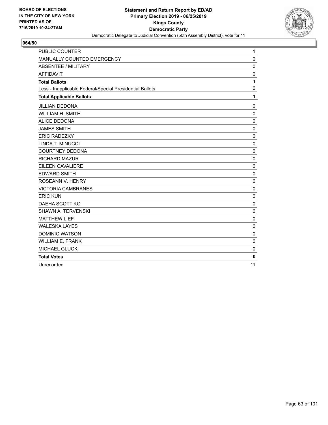

| <b>PUBLIC COUNTER</b>                                    | $\mathbf{1}$ |
|----------------------------------------------------------|--------------|
| MANUALLY COUNTED EMERGENCY                               | $\mathbf 0$  |
| <b>ABSENTEE / MILITARY</b>                               | $\mathbf 0$  |
| <b>AFFIDAVIT</b>                                         | $\mathbf 0$  |
| <b>Total Ballots</b>                                     | 1            |
| Less - Inapplicable Federal/Special Presidential Ballots | $\mathbf 0$  |
| <b>Total Applicable Ballots</b>                          | 1            |
| <b>JILLIAN DEDONA</b>                                    | 0            |
| <b>WILLIAM H. SMITH</b>                                  | $\mathbf 0$  |
| <b>ALICE DEDONA</b>                                      | $\mathbf 0$  |
| <b>JAMES SMITH</b>                                       | $\mathbf 0$  |
| <b>ERIC RADEZKY</b>                                      | 0            |
| LINDA T. MINUCCI                                         | $\mathbf 0$  |
| <b>COURTNEY DEDONA</b>                                   | $\mathbf 0$  |
| <b>RICHARD MAZUR</b>                                     | $\mathbf 0$  |
| EILEEN CAVALIERE                                         | $\mathbf 0$  |
| <b>EDWARD SMITH</b>                                      | $\mathbf 0$  |
| ROSEANN V. HENRY                                         | 0            |
| <b>VICTORIA CAMBRANES</b>                                | $\mathbf 0$  |
| <b>ERIC KUN</b>                                          | $\mathbf 0$  |
| DAEHA SCOTT KO                                           | $\mathbf 0$  |
| <b>SHAWN A. TERVENSKI</b>                                | 0            |
| <b>MATTHEW LIEF</b>                                      | 0            |
| <b>WALESKA LAYES</b>                                     | $\mathbf 0$  |
| <b>DOMINIC WATSON</b>                                    | $\mathbf 0$  |
| <b>WILLIAM E. FRANK</b>                                  | $\mathbf 0$  |
| <b>MICHAEL GLUCK</b>                                     | $\mathbf 0$  |
| <b>Total Votes</b>                                       | $\mathbf{0}$ |
| Unrecorded                                               | 11           |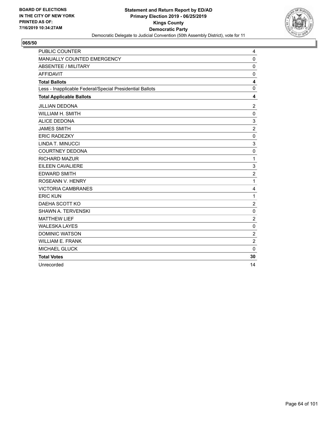

| <b>PUBLIC COUNTER</b>                                    | 4                       |
|----------------------------------------------------------|-------------------------|
| MANUALLY COUNTED EMERGENCY                               | $\mathbf{0}$            |
| <b>ABSENTEE / MILITARY</b>                               | 0                       |
| <b>AFFIDAVIT</b>                                         | $\mathbf 0$             |
| <b>Total Ballots</b>                                     | $\overline{\mathbf{4}}$ |
| Less - Inapplicable Federal/Special Presidential Ballots | $\mathbf{0}$            |
| <b>Total Applicable Ballots</b>                          | 4                       |
| <b>JILLIAN DEDONA</b>                                    | 2                       |
| <b>WILLIAM H. SMITH</b>                                  | $\mathbf 0$             |
| <b>ALICE DEDONA</b>                                      | 3                       |
| <b>JAMES SMITH</b>                                       | $\overline{2}$          |
| <b>ERIC RADEZKY</b>                                      | $\mathbf 0$             |
| LINDA T. MINUCCI                                         | 3                       |
| <b>COURTNEY DEDONA</b>                                   | 0                       |
| <b>RICHARD MAZUR</b>                                     | $\mathbf{1}$            |
| EILEEN CAVALIERE                                         | 3                       |
| <b>EDWARD SMITH</b>                                      | $\overline{c}$          |
| ROSEANN V. HENRY                                         | $\mathbf{1}$            |
| <b>VICTORIA CAMBRANES</b>                                | 4                       |
| <b>ERIC KUN</b>                                          | 1                       |
| DAEHA SCOTT KO                                           | $\overline{2}$          |
| <b>SHAWN A. TERVENSKI</b>                                | 0                       |
| <b>MATTHEW LIEF</b>                                      | $\boldsymbol{2}$        |
| <b>WALESKA LAYES</b>                                     | $\mathbf 0$             |
| <b>DOMINIC WATSON</b>                                    | $\boldsymbol{2}$        |
| <b>WILLIAM E. FRANK</b>                                  | $\overline{c}$          |
| <b>MICHAEL GLUCK</b>                                     | $\mathbf 0$             |
| <b>Total Votes</b>                                       | 30                      |
| Unrecorded                                               | 14                      |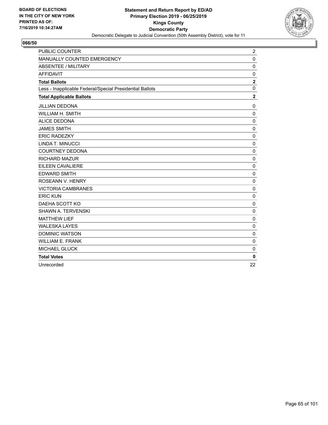

| <b>PUBLIC COUNTER</b>                                    | $\overline{\mathbf{c}}$ |
|----------------------------------------------------------|-------------------------|
| MANUALLY COUNTED EMERGENCY                               | $\mathbf 0$             |
| <b>ABSENTEE / MILITARY</b>                               | 0                       |
| <b>AFFIDAVIT</b>                                         | $\mathbf 0$             |
| <b>Total Ballots</b>                                     | $\mathbf 2$             |
| Less - Inapplicable Federal/Special Presidential Ballots | $\mathbf 0$             |
| <b>Total Applicable Ballots</b>                          | $\overline{2}$          |
| <b>JILLIAN DEDONA</b>                                    | $\mathbf 0$             |
| WILLIAM H. SMITH                                         | 0                       |
| <b>ALICE DEDONA</b>                                      | $\mathbf 0$             |
| <b>JAMES SMITH</b>                                       | $\mathbf 0$             |
| <b>ERIC RADEZKY</b>                                      | $\mathbf 0$             |
| LINDA T. MINUCCI                                         | 0                       |
| <b>COURTNEY DEDONA</b>                                   | 0                       |
| <b>RICHARD MAZUR</b>                                     | 0                       |
| <b>EILEEN CAVALIERE</b>                                  | $\mathbf 0$             |
| <b>EDWARD SMITH</b>                                      | $\mathbf 0$             |
| ROSEANN V. HENRY                                         | $\mathbf 0$             |
| <b>VICTORIA CAMBRANES</b>                                | 0                       |
| <b>ERIC KUN</b>                                          | $\mathbf 0$             |
| DAEHA SCOTT KO                                           | 0                       |
| <b>SHAWN A. TERVENSKI</b>                                | $\mathbf 0$             |
| <b>MATTHEW LIEF</b>                                      | 0                       |
| <b>WALESKA LAYES</b>                                     | $\mathbf 0$             |
| <b>DOMINIC WATSON</b>                                    | 0                       |
| <b>WILLIAM E. FRANK</b>                                  | $\mathbf 0$             |
| <b>MICHAEL GLUCK</b>                                     | $\mathbf 0$             |
| <b>Total Votes</b>                                       | 0                       |
| Unrecorded                                               | 22                      |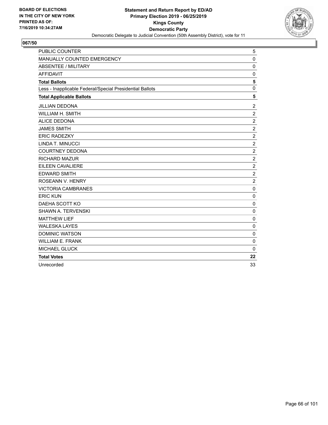

| <b>PUBLIC COUNTER</b>                                    | 5                |
|----------------------------------------------------------|------------------|
| MANUALLY COUNTED EMERGENCY                               | $\mathbf 0$      |
| ABSENTEE / MILITARY                                      | $\mathbf 0$      |
| <b>AFFIDAVIT</b>                                         | $\mathbf 0$      |
| <b>Total Ballots</b>                                     | 5                |
| Less - Inapplicable Federal/Special Presidential Ballots | $\mathbf 0$      |
| <b>Total Applicable Ballots</b>                          | 5                |
| <b>JILLIAN DEDONA</b>                                    | $\overline{c}$   |
| WILLIAM H. SMITH                                         | $\boldsymbol{2}$ |
| <b>ALICE DEDONA</b>                                      | $\overline{2}$   |
| <b>JAMES SMITH</b>                                       | $\overline{c}$   |
| <b>ERIC RADEZKY</b>                                      | $\overline{c}$   |
| LINDA T. MINUCCI                                         | $\overline{c}$   |
| <b>COURTNEY DEDONA</b>                                   | $\overline{c}$   |
| <b>RICHARD MAZUR</b>                                     | $\overline{c}$   |
| <b>EILEEN CAVALIERE</b>                                  | $\overline{c}$   |
| <b>EDWARD SMITH</b>                                      | $\boldsymbol{2}$ |
| ROSEANN V. HENRY                                         | $\overline{2}$   |
| <b>VICTORIA CAMBRANES</b>                                | $\mathbf 0$      |
| <b>ERIC KUN</b>                                          | $\mathbf 0$      |
| DAEHA SCOTT KO                                           | $\mathbf 0$      |
| SHAWN A. TERVENSKI                                       | $\mathbf 0$      |
| <b>MATTHEW LIEF</b>                                      | $\mathbf 0$      |
| <b>WALESKA LAYES</b>                                     | $\mathbf 0$      |
| <b>DOMINIC WATSON</b>                                    | 0                |
| <b>WILLIAM E. FRANK</b>                                  | $\mathbf 0$      |
| <b>MICHAEL GLUCK</b>                                     | $\mathbf{0}$     |
| <b>Total Votes</b>                                       | 22               |
| Unrecorded                                               | 33               |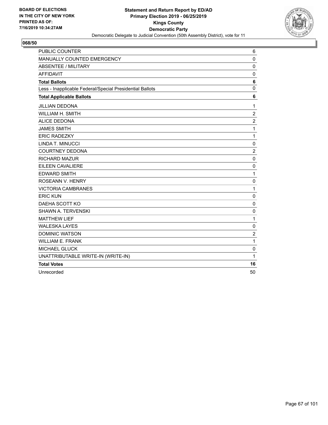

| <b>PUBLIC COUNTER</b>                                    | 6                |
|----------------------------------------------------------|------------------|
| MANUALLY COUNTED EMERGENCY                               | $\mathbf 0$      |
| <b>ABSENTEE / MILITARY</b>                               | $\mathbf 0$      |
| <b>AFFIDAVIT</b>                                         | $\mathbf 0$      |
| <b>Total Ballots</b>                                     | 6                |
| Less - Inapplicable Federal/Special Presidential Ballots | $\mathbf 0$      |
| <b>Total Applicable Ballots</b>                          | 6                |
| <b>JILLIAN DEDONA</b>                                    | 1                |
| WILLIAM H. SMITH                                         | $\sqrt{2}$       |
| <b>ALICE DEDONA</b>                                      | $\boldsymbol{2}$ |
| <b>JAMES SMITH</b>                                       | 1                |
| <b>ERIC RADEZKY</b>                                      | $\mathbf{1}$     |
| LINDA T. MINUCCI                                         | $\pmb{0}$        |
| <b>COURTNEY DEDONA</b>                                   | $\overline{c}$   |
| <b>RICHARD MAZUR</b>                                     | $\mathbf 0$      |
| EILEEN CAVALIERE                                         | $\mathbf 0$      |
| <b>EDWARD SMITH</b>                                      | 1                |
| ROSEANN V. HENRY                                         | 0                |
| <b>VICTORIA CAMBRANES</b>                                | 1                |
| <b>ERIC KUN</b>                                          | $\mathbf 0$      |
| DAEHA SCOTT KO                                           | 0                |
| <b>SHAWN A. TERVENSKI</b>                                | $\mathbf 0$      |
| <b>MATTHEW LIEF</b>                                      | 1                |
| <b>WALESKA LAYES</b>                                     | $\mathbf 0$      |
| <b>DOMINIC WATSON</b>                                    | $\overline{2}$   |
| <b>WILLIAM E. FRANK</b>                                  | 1                |
| <b>MICHAEL GLUCK</b>                                     | 0                |
| UNATTRIBUTABLE WRITE-IN (WRITE-IN)                       | 1                |
| <b>Total Votes</b>                                       | 16               |
| Unrecorded                                               | 50               |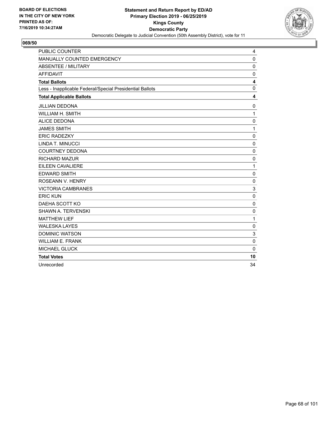

| <b>PUBLIC COUNTER</b>                                    | 4            |
|----------------------------------------------------------|--------------|
| MANUALLY COUNTED EMERGENCY                               | $\mathbf 0$  |
| <b>ABSENTEE / MILITARY</b>                               | $\mathbf 0$  |
| <b>AFFIDAVIT</b>                                         | $\mathbf 0$  |
| <b>Total Ballots</b>                                     | 4            |
| Less - Inapplicable Federal/Special Presidential Ballots | $\mathbf{0}$ |
| <b>Total Applicable Ballots</b>                          | 4            |
| <b>JILLIAN DEDONA</b>                                    | 0            |
| <b>WILLIAM H. SMITH</b>                                  | $\mathbf{1}$ |
| <b>ALICE DEDONA</b>                                      | $\mathbf 0$  |
| <b>JAMES SMITH</b>                                       | $\mathbf{1}$ |
| <b>ERIC RADEZKY</b>                                      | $\mathbf 0$  |
| LINDA T. MINUCCI                                         | $\mathbf 0$  |
| <b>COURTNEY DEDONA</b>                                   | 0            |
| <b>RICHARD MAZUR</b>                                     | $\mathbf 0$  |
| EILEEN CAVALIERE                                         | 1            |
| <b>EDWARD SMITH</b>                                      | 0            |
| ROSEANN V. HENRY                                         | $\mathbf 0$  |
| <b>VICTORIA CAMBRANES</b>                                | 3            |
| <b>ERIC KUN</b>                                          | $\mathbf 0$  |
| DAEHA SCOTT KO                                           | $\mathbf 0$  |
| <b>SHAWN A. TERVENSKI</b>                                | $\mathbf 0$  |
| <b>MATTHEW LIEF</b>                                      | $\mathbf{1}$ |
| <b>WALESKA LAYES</b>                                     | $\mathbf 0$  |
| <b>DOMINIC WATSON</b>                                    | 3            |
| <b>WILLIAM E. FRANK</b>                                  | $\mathbf 0$  |
| <b>MICHAEL GLUCK</b>                                     | $\mathbf 0$  |
| <b>Total Votes</b>                                       | 10           |
| Unrecorded                                               | 34           |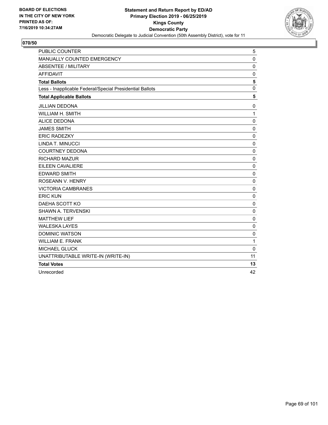

| <b>PUBLIC COUNTER</b>                                    | 5           |
|----------------------------------------------------------|-------------|
| MANUALLY COUNTED EMERGENCY                               | $\mathbf 0$ |
| <b>ABSENTEE / MILITARY</b>                               | 0           |
| <b>AFFIDAVIT</b>                                         | $\mathbf 0$ |
| <b>Total Ballots</b>                                     | 5           |
| Less - Inapplicable Federal/Special Presidential Ballots | $\mathbf 0$ |
| <b>Total Applicable Ballots</b>                          | 5           |
| <b>JILLIAN DEDONA</b>                                    | 0           |
| <b>WILLIAM H. SMITH</b>                                  | 1           |
| <b>ALICE DEDONA</b>                                      | $\mathbf 0$ |
| <b>JAMES SMITH</b>                                       | $\mathbf 0$ |
| <b>ERIC RADEZKY</b>                                      | $\mathbf 0$ |
| LINDA T. MINUCCI                                         | $\pmb{0}$   |
| <b>COURTNEY DEDONA</b>                                   | $\pmb{0}$   |
| <b>RICHARD MAZUR</b>                                     | $\mathbf 0$ |
| <b>EILEEN CAVALIERE</b>                                  | $\mathbf 0$ |
| <b>EDWARD SMITH</b>                                      | 0           |
| ROSEANN V. HENRY                                         | 0           |
| <b>VICTORIA CAMBRANES</b>                                | $\mathbf 0$ |
| <b>ERIC KUN</b>                                          | $\mathbf 0$ |
| DAEHA SCOTT KO                                           | $\mathbf 0$ |
| SHAWN A. TERVENSKI                                       | $\mathbf 0$ |
| <b>MATTHEW LIEF</b>                                      | 0           |
| <b>WALESKA LAYES</b>                                     | 0           |
| <b>DOMINIC WATSON</b>                                    | $\mathbf 0$ |
| <b>WILLIAM E. FRANK</b>                                  | 1           |
| <b>MICHAEL GLUCK</b>                                     | $\mathbf 0$ |
| UNATTRIBUTABLE WRITE-IN (WRITE-IN)                       | 11          |
| <b>Total Votes</b>                                       | 13          |
| Unrecorded                                               | 42          |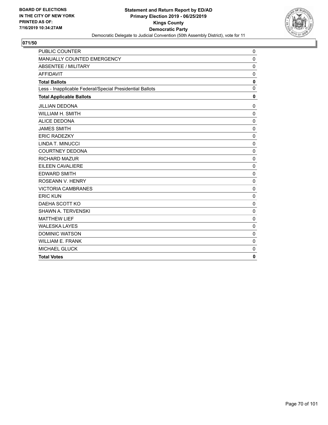

| <b>PUBLIC COUNTER</b>                                    | 0            |
|----------------------------------------------------------|--------------|
| MANUALLY COUNTED EMERGENCY                               | $\mathbf 0$  |
| <b>ABSENTEE / MILITARY</b>                               | $\mathbf 0$  |
| <b>AFFIDAVIT</b>                                         | $\mathbf 0$  |
| <b>Total Ballots</b>                                     | $\mathbf 0$  |
| Less - Inapplicable Federal/Special Presidential Ballots | $\mathbf 0$  |
| <b>Total Applicable Ballots</b>                          | $\mathbf{0}$ |
| <b>JILLIAN DEDONA</b>                                    | 0            |
| <b>WILLIAM H. SMITH</b>                                  | $\mathbf 0$  |
| <b>ALICE DEDONA</b>                                      | $\mathbf 0$  |
| <b>JAMES SMITH</b>                                       | $\Omega$     |
| <b>ERIC RADEZKY</b>                                      | 0            |
| LINDA T. MINUCCI                                         | $\mathbf 0$  |
| <b>COURTNEY DEDONA</b>                                   | $\mathbf 0$  |
| <b>RICHARD MAZUR</b>                                     | 0            |
| <b>EILEEN CAVALIERE</b>                                  | $\mathbf 0$  |
| <b>EDWARD SMITH</b>                                      | $\mathbf 0$  |
| ROSEANN V. HENRY                                         | $\mathbf 0$  |
| <b>VICTORIA CAMBRANES</b>                                | $\mathbf 0$  |
| <b>ERIC KUN</b>                                          | $\mathbf 0$  |
| DAEHA SCOTT KO                                           | $\mathbf 0$  |
| SHAWN A. TERVENSKI                                       | $\mathbf 0$  |
| <b>MATTHEW LIEF</b>                                      | $\mathbf 0$  |
| <b>WALESKA LAYES</b>                                     | $\Omega$     |
| <b>DOMINIC WATSON</b>                                    | $\mathbf 0$  |
| <b>WILLIAM E. FRANK</b>                                  | 0            |
| <b>MICHAEL GLUCK</b>                                     | 0            |
| <b>Total Votes</b>                                       | $\mathbf{0}$ |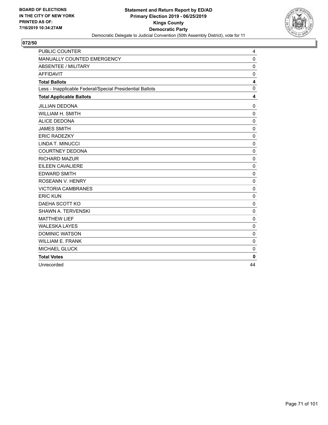

| <b>PUBLIC COUNTER</b>                                    | 4            |
|----------------------------------------------------------|--------------|
| MANUALLY COUNTED EMERGENCY                               | 0            |
| <b>ABSENTEE / MILITARY</b>                               | 0            |
| <b>AFFIDAVIT</b>                                         | $\mathbf 0$  |
| <b>Total Ballots</b>                                     | 4            |
| Less - Inapplicable Federal/Special Presidential Ballots | $\mathbf{0}$ |
| <b>Total Applicable Ballots</b>                          | 4            |
| <b>JILLIAN DEDONA</b>                                    | 0            |
| <b>WILLIAM H. SMITH</b>                                  | $\mathbf 0$  |
| <b>ALICE DEDONA</b>                                      | 0            |
| <b>JAMES SMITH</b>                                       | $\mathbf 0$  |
| <b>ERIC RADEZKY</b>                                      | 0            |
| LINDA T. MINUCCI                                         | $\mathbf 0$  |
| <b>COURTNEY DEDONA</b>                                   | 0            |
| <b>RICHARD MAZUR</b>                                     | $\mathbf 0$  |
| EILEEN CAVALIERE                                         | 0            |
| <b>EDWARD SMITH</b>                                      | $\mathbf 0$  |
| ROSEANN V. HENRY                                         | $\mathbf 0$  |
| <b>VICTORIA CAMBRANES</b>                                | $\mathbf 0$  |
| <b>ERIC KUN</b>                                          | $\mathbf 0$  |
| DAEHA SCOTT KO                                           | 0            |
| <b>SHAWN A. TERVENSKI</b>                                | 0            |
| <b>MATTHEW LIEF</b>                                      | 0            |
| <b>WALESKA LAYES</b>                                     | $\mathbf 0$  |
| <b>DOMINIC WATSON</b>                                    | 0            |
| <b>WILLIAM E. FRANK</b>                                  | $\mathbf 0$  |
| <b>MICHAEL GLUCK</b>                                     | 0            |
| <b>Total Votes</b>                                       | $\mathbf{0}$ |
| Unrecorded                                               | 44           |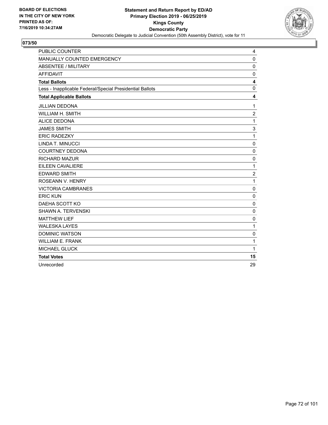

| <b>PUBLIC COUNTER</b>                                    | 4                       |
|----------------------------------------------------------|-------------------------|
| MANUALLY COUNTED EMERGENCY                               | $\mathbf{0}$            |
| <b>ABSENTEE / MILITARY</b>                               | 0                       |
| <b>AFFIDAVIT</b>                                         | $\mathbf 0$             |
| <b>Total Ballots</b>                                     | $\overline{\mathbf{4}}$ |
| Less - Inapplicable Federal/Special Presidential Ballots | $\mathbf{0}$            |
| <b>Total Applicable Ballots</b>                          | 4                       |
| <b>JILLIAN DEDONA</b>                                    | $\mathbf{1}$            |
| WILLIAM H. SMITH                                         | $\overline{c}$          |
| <b>ALICE DEDONA</b>                                      | $\mathbf{1}$            |
| <b>JAMES SMITH</b>                                       | 3                       |
| <b>ERIC RADEZKY</b>                                      | 1                       |
| LINDA T. MINUCCI                                         | 0                       |
| <b>COURTNEY DEDONA</b>                                   | 0                       |
| <b>RICHARD MAZUR</b>                                     | $\mathbf 0$             |
| EILEEN CAVALIERE                                         | $\mathbf{1}$            |
| <b>EDWARD SMITH</b>                                      | $\overline{c}$          |
| ROSEANN V. HENRY                                         | $\mathbf{1}$            |
| <b>VICTORIA CAMBRANES</b>                                | $\mathbf 0$             |
| <b>ERIC KUN</b>                                          | $\mathbf 0$             |
| DAEHA SCOTT KO                                           | $\mathbf 0$             |
| <b>SHAWN A. TERVENSKI</b>                                | $\mathbf 0$             |
| <b>MATTHEW LIEF</b>                                      | 0                       |
| <b>WALESKA LAYES</b>                                     | 1                       |
| <b>DOMINIC WATSON</b>                                    | 0                       |
| <b>WILLIAM E. FRANK</b>                                  | $\mathbf{1}$            |
| <b>MICHAEL GLUCK</b>                                     | $\mathbf{1}$            |
| <b>Total Votes</b>                                       | 15                      |
| Unrecorded                                               | 29                      |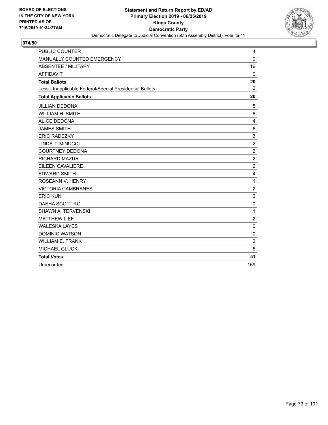

| <b>PUBLIC COUNTER</b>                                    | 4              |
|----------------------------------------------------------|----------------|
| MANUALLY COUNTED EMERGENCY                               | $\mathbf{0}$   |
| <b>ABSENTEE / MILITARY</b>                               | 16             |
| <b>AFFIDAVIT</b>                                         | $\Omega$       |
| <b>Total Ballots</b>                                     | 20             |
| Less - Inapplicable Federal/Special Presidential Ballots | $\Omega$       |
| <b>Total Applicable Ballots</b>                          | 20             |
| JILLIAN DEDONA                                           | 5              |
| <b>WILLIAM H. SMITH</b>                                  | 6              |
| <b>ALICE DEDONA</b>                                      | 4              |
| <b>JAMES SMITH</b>                                       | 6              |
| <b>ERIC RADEZKY</b>                                      | 3              |
| LINDA T. MINUCCI                                         | $\overline{c}$ |
| <b>COURTNEY DEDONA</b>                                   | $\overline{c}$ |
| <b>RICHARD MAZUR</b>                                     | $\overline{c}$ |
| EILEEN CAVALIERE                                         | $\overline{c}$ |
| <b>EDWARD SMITH</b>                                      | 4              |
| ROSEANN V. HENRY                                         | $\mathbf{1}$   |
| <b>VICTORIA CAMBRANES</b>                                | $\overline{2}$ |
| <b>ERIC KUN</b>                                          | $\overline{c}$ |
| DAEHA SCOTT KO                                           | $\mathbf 0$    |
| <b>SHAWN A. TERVENSKI</b>                                | 1              |
| <b>MATTHEW LIEF</b>                                      | $\overline{c}$ |
| <b>WALESKA LAYES</b>                                     | $\mathbf 0$    |
| <b>DOMINIC WATSON</b>                                    | 0              |
| <b>WILLIAM E. FRANK</b>                                  | $\overline{c}$ |
| <b>MICHAEL GLUCK</b>                                     | 5              |
| <b>Total Votes</b>                                       | 51             |
| Unrecorded                                               | 169            |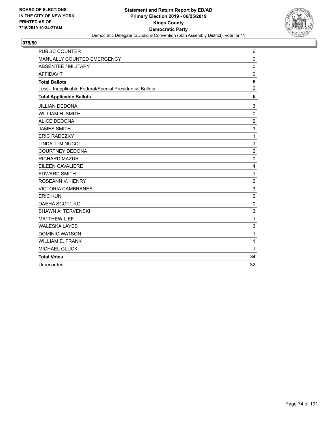

| <b>PUBLIC COUNTER</b>                                    | 6              |
|----------------------------------------------------------|----------------|
| MANUALLY COUNTED EMERGENCY                               | $\Omega$       |
| ABSENTEE / MILITARY                                      | 0              |
| <b>AFFIDAVIT</b>                                         | $\mathbf 0$    |
| <b>Total Ballots</b>                                     | 6              |
| Less - Inapplicable Federal/Special Presidential Ballots | $\mathbf 0$    |
| <b>Total Applicable Ballots</b>                          | 6              |
| <b>JILLIAN DEDONA</b>                                    | 3              |
| WILLIAM H. SMITH                                         | 0              |
| <b>ALICE DEDONA</b>                                      | $\overline{2}$ |
| <b>JAMES SMITH</b>                                       | 3              |
| <b>ERIC RADEZKY</b>                                      | 1              |
| LINDA T. MINUCCI                                         | 1              |
| <b>COURTNEY DEDONA</b>                                   | $\overline{c}$ |
| <b>RICHARD MAZUR</b>                                     | $\mathbf 0$    |
| <b>EILEEN CAVALIERE</b>                                  | 4              |
| <b>EDWARD SMITH</b>                                      | $\mathbf{1}$   |
| ROSEANN V. HENRY                                         | $\overline{c}$ |
| <b>VICTORIA CAMBRANES</b>                                | 3              |
| <b>ERIC KUN</b>                                          | $\overline{2}$ |
| DAEHA SCOTT KO                                           | $\mathbf 0$    |
| <b>SHAWN A. TERVENSKI</b>                                | 3              |
| <b>MATTHEW LIEF</b>                                      | 1              |
| <b>WALESKA LAYES</b>                                     | 3              |
| <b>DOMINIC WATSON</b>                                    | $\mathbf{1}$   |
| <b>WILLIAM E. FRANK</b>                                  | 1              |
| <b>MICHAEL GLUCK</b>                                     | $\mathbf{1}$   |
| <b>Total Votes</b>                                       | 34             |
| Unrecorded                                               | 32             |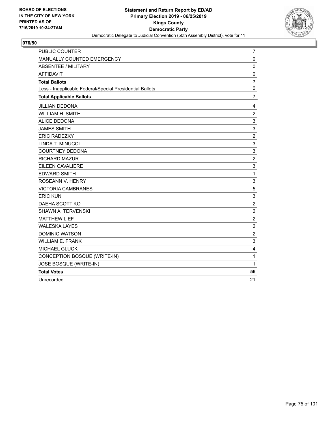

| PUBLIC COUNTER                                           | 7                         |
|----------------------------------------------------------|---------------------------|
| MANUALLY COUNTED EMERGENCY                               | $\mathbf 0$               |
| ABSENTEE / MILITARY                                      | 0                         |
| <b>AFFIDAVIT</b>                                         | $\mathbf 0$               |
| <b>Total Ballots</b>                                     | 7                         |
| Less - Inapplicable Federal/Special Presidential Ballots | $\mathbf 0$               |
| <b>Total Applicable Ballots</b>                          | $\overline{\mathbf{r}}$   |
| <b>JILLIAN DEDONA</b>                                    | 4                         |
| WILLIAM H. SMITH                                         | $\overline{c}$            |
| <b>ALICE DEDONA</b>                                      | 3                         |
| <b>JAMES SMITH</b>                                       | 3                         |
| <b>ERIC RADEZKY</b>                                      | $\overline{c}$            |
| LINDA T. MINUCCI                                         | 3                         |
| <b>COURTNEY DEDONA</b>                                   | 3                         |
| <b>RICHARD MAZUR</b>                                     | $\overline{c}$            |
| EILEEN CAVALIERE                                         | $\sqrt{3}$                |
| <b>EDWARD SMITH</b>                                      | $\mathbf{1}$              |
| ROSEANN V. HENRY                                         | $\ensuremath{\mathsf{3}}$ |
| <b>VICTORIA CAMBRANES</b>                                | 5                         |
| <b>ERIC KUN</b>                                          | 3                         |
| DAEHA SCOTT KO                                           | $\overline{c}$            |
| <b>SHAWN A. TERVENSKI</b>                                | $\overline{c}$            |
| <b>MATTHEW LIEF</b>                                      | $\overline{c}$            |
| <b>WALESKA LAYES</b>                                     | $\overline{c}$            |
| <b>DOMINIC WATSON</b>                                    | $\overline{2}$            |
| <b>WILLIAM E. FRANK</b>                                  | 3                         |
| <b>MICHAEL GLUCK</b>                                     | $\overline{4}$            |
| CONCEPTION BOSQUE (WRITE-IN)                             | 1                         |
| JOSE BOSQUE (WRITE-IN)                                   | 1                         |
| <b>Total Votes</b>                                       | 56                        |
| Unrecorded                                               | 21                        |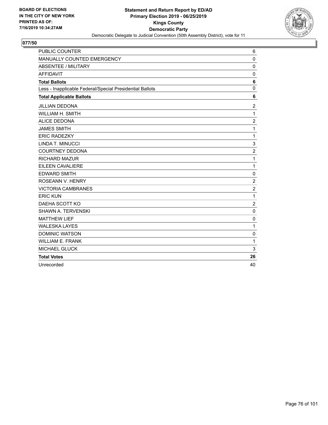

| <b>PUBLIC COUNTER</b>                                    | 6              |
|----------------------------------------------------------|----------------|
| MANUALLY COUNTED EMERGENCY                               | $\Omega$       |
| ABSENTEE / MILITARY                                      | 0              |
| <b>AFFIDAVIT</b>                                         | $\mathbf 0$    |
| <b>Total Ballots</b>                                     | 6              |
| Less - Inapplicable Federal/Special Presidential Ballots | $\mathbf{0}$   |
| <b>Total Applicable Ballots</b>                          | 6              |
| <b>JILLIAN DEDONA</b>                                    | $\overline{c}$ |
| <b>WILLIAM H. SMITH</b>                                  | 1              |
| <b>ALICE DEDONA</b>                                      | $\overline{c}$ |
| <b>JAMES SMITH</b>                                       | $\mathbf{1}$   |
| <b>ERIC RADEZKY</b>                                      | 1              |
| LINDA T. MINUCCI                                         | 3              |
| <b>COURTNEY DEDONA</b>                                   | $\overline{c}$ |
| <b>RICHARD MAZUR</b>                                     | $\mathbf{1}$   |
| EILEEN CAVALIERE                                         | 1              |
| <b>EDWARD SMITH</b>                                      | 0              |
| ROSEANN V. HENRY                                         | $\overline{c}$ |
| <b>VICTORIA CAMBRANES</b>                                | $\overline{2}$ |
| <b>ERIC KUN</b>                                          | 1              |
| DAEHA SCOTT KO                                           | $\overline{2}$ |
| <b>SHAWN A. TERVENSKI</b>                                | 0              |
| <b>MATTHEW LIEF</b>                                      | $\mathbf 0$    |
| <b>WALESKA LAYES</b>                                     | 1              |
| <b>DOMINIC WATSON</b>                                    | 0              |
| <b>WILLIAM E. FRANK</b>                                  | 1              |
| <b>MICHAEL GLUCK</b>                                     | 3              |
| <b>Total Votes</b>                                       | 26             |
| Unrecorded                                               | 40             |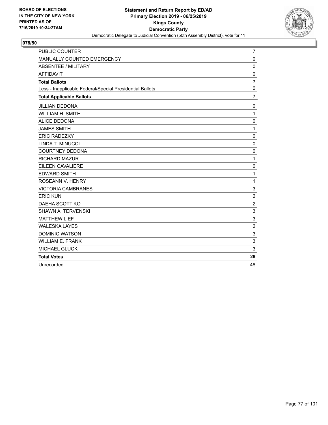

| <b>PUBLIC COUNTER</b>                                    | 7                         |
|----------------------------------------------------------|---------------------------|
| MANUALLY COUNTED EMERGENCY                               | $\mathbf 0$               |
| <b>ABSENTEE / MILITARY</b>                               | $\mathbf 0$               |
| <b>AFFIDAVIT</b>                                         | $\mathbf 0$               |
| <b>Total Ballots</b>                                     | $\overline{7}$            |
| Less - Inapplicable Federal/Special Presidential Ballots | $\mathbf 0$               |
| <b>Total Applicable Ballots</b>                          | $\overline{7}$            |
| <b>JILLIAN DEDONA</b>                                    | 0                         |
| WILLIAM H. SMITH                                         | $\mathbf{1}$              |
| <b>ALICE DEDONA</b>                                      | 0                         |
| <b>JAMES SMITH</b>                                       | $\mathbf{1}$              |
| <b>ERIC RADEZKY</b>                                      | 0                         |
| LINDA T. MINUCCI                                         | $\mathbf 0$               |
| <b>COURTNEY DEDONA</b>                                   | 0                         |
| <b>RICHARD MAZUR</b>                                     | $\mathbf{1}$              |
| EILEEN CAVALIERE                                         | 0                         |
| <b>EDWARD SMITH</b>                                      | 1                         |
| ROSEANN V. HENRY                                         | 1                         |
| <b>VICTORIA CAMBRANES</b>                                | 3                         |
| <b>ERIC KUN</b>                                          | $\overline{2}$            |
| DAEHA SCOTT KO                                           | $\overline{c}$            |
| <b>SHAWN A. TERVENSKI</b>                                | 3                         |
| <b>MATTHEW LIEF</b>                                      | 3                         |
| <b>WALESKA LAYES</b>                                     | $\overline{c}$            |
| <b>DOMINIC WATSON</b>                                    | $\ensuremath{\mathsf{3}}$ |
| <b>WILLIAM E. FRANK</b>                                  | 3                         |
| <b>MICHAEL GLUCK</b>                                     | 3                         |
| <b>Total Votes</b>                                       | 29                        |
| Unrecorded                                               | 48                        |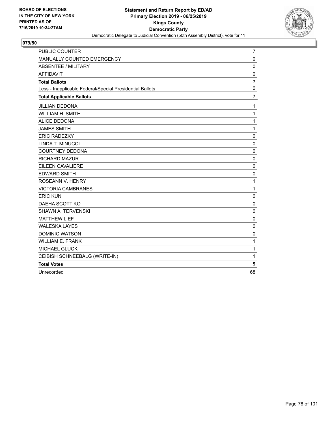

| <b>PUBLIC COUNTER</b>                                    | 7                |
|----------------------------------------------------------|------------------|
| MANUALLY COUNTED EMERGENCY                               | $\mathbf 0$      |
| <b>ABSENTEE / MILITARY</b>                               | $\mathbf 0$      |
| <b>AFFIDAVIT</b>                                         | $\mathbf 0$      |
| <b>Total Ballots</b>                                     | $\overline{7}$   |
| Less - Inapplicable Federal/Special Presidential Ballots | $\mathbf 0$      |
| <b>Total Applicable Ballots</b>                          | 7                |
| <b>JILLIAN DEDONA</b>                                    | 1                |
| WILLIAM H. SMITH                                         | 1                |
| <b>ALICE DEDONA</b>                                      | 1                |
| <b>JAMES SMITH</b>                                       | 1                |
| <b>ERIC RADEZKY</b>                                      | 0                |
| LINDA T. MINUCCI                                         | $\mathbf 0$      |
| <b>COURTNEY DEDONA</b>                                   | $\mathbf 0$      |
| RICHARD MAZUR                                            | $\mathbf 0$      |
| <b>EILEEN CAVALIERE</b>                                  | 0                |
| <b>EDWARD SMITH</b>                                      | 0                |
| ROSEANN V. HENRY                                         | 1                |
| <b>VICTORIA CAMBRANES</b>                                | 1                |
| <b>ERIC KUN</b>                                          | $\mathbf 0$      |
| DAEHA SCOTT KO                                           | $\mathbf 0$      |
| <b>SHAWN A. TERVENSKI</b>                                | $\mathbf 0$      |
| <b>MATTHEW LIEF</b>                                      | $\mathbf 0$      |
| <b>WALESKA LAYES</b>                                     | $\mathbf 0$      |
| <b>DOMINIC WATSON</b>                                    | 0                |
| <b>WILLIAM E. FRANK</b>                                  | 1                |
| MICHAEL GLUCK                                            | 1                |
| CEIBISH SCHNEEBALG (WRITE-IN)                            | 1                |
| <b>Total Votes</b>                                       | $\boldsymbol{9}$ |
| Unrecorded                                               | 68               |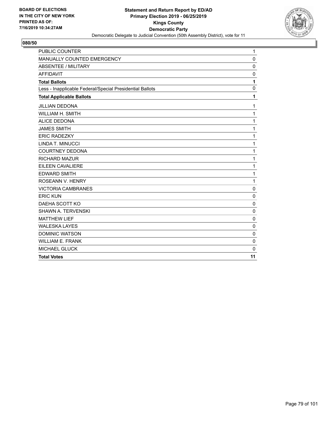

| PUBLIC COUNTER                                           | $\mathbf{1}$ |
|----------------------------------------------------------|--------------|
| MANUALLY COUNTED EMERGENCY                               | $\mathbf 0$  |
| <b>ABSENTEE / MILITARY</b>                               | $\mathbf 0$  |
| <b>AFFIDAVIT</b>                                         | $\mathbf 0$  |
| <b>Total Ballots</b>                                     | 1            |
| Less - Inapplicable Federal/Special Presidential Ballots | $\mathbf 0$  |
| <b>Total Applicable Ballots</b>                          | 1            |
| <b>JILLIAN DEDONA</b>                                    | 1            |
| WILLIAM H. SMITH                                         | $\mathbf{1}$ |
| <b>ALICE DEDONA</b>                                      | 1            |
| <b>JAMES SMITH</b>                                       | 1            |
| <b>ERIC RADEZKY</b>                                      | 1            |
| LINDA T. MINUCCI                                         | 1            |
| <b>COURTNEY DEDONA</b>                                   | 1            |
| <b>RICHARD MAZUR</b>                                     | $\mathbf{1}$ |
| <b>EILEEN CAVALIERE</b>                                  | 1            |
| <b>EDWARD SMITH</b>                                      | 1            |
| ROSEANN V. HENRY                                         | $\mathbf{1}$ |
| <b>VICTORIA CAMBRANES</b>                                | $\mathbf 0$  |
| <b>ERIC KUN</b>                                          | 0            |
| DAEHA SCOTT KO                                           | $\mathbf 0$  |
| <b>SHAWN A. TERVENSKI</b>                                | $\mathbf{0}$ |
| <b>MATTHEW LIEF</b>                                      | $\mathbf 0$  |
| <b>WALESKA LAYES</b>                                     | $\Omega$     |
| <b>DOMINIC WATSON</b>                                    | $\mathbf 0$  |
| <b>WILLIAM E. FRANK</b>                                  | 0            |
| <b>MICHAEL GLUCK</b>                                     | $\Omega$     |
| <b>Total Votes</b>                                       | 11           |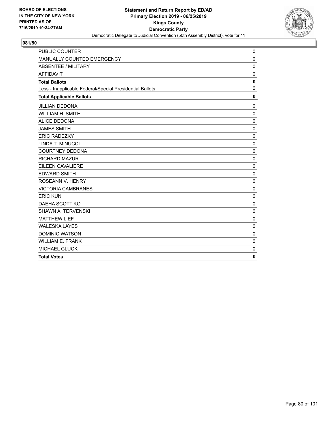

| <b>PUBLIC COUNTER</b>                                    | 0            |
|----------------------------------------------------------|--------------|
| MANUALLY COUNTED EMERGENCY                               | $\mathbf 0$  |
| <b>ABSENTEE / MILITARY</b>                               | $\mathbf 0$  |
| <b>AFFIDAVIT</b>                                         | $\mathbf 0$  |
| <b>Total Ballots</b>                                     | $\mathbf 0$  |
| Less - Inapplicable Federal/Special Presidential Ballots | $\mathbf 0$  |
| <b>Total Applicable Ballots</b>                          | $\mathbf{0}$ |
| <b>JILLIAN DEDONA</b>                                    | 0            |
| <b>WILLIAM H. SMITH</b>                                  | $\mathbf 0$  |
| <b>ALICE DEDONA</b>                                      | $\mathbf 0$  |
| <b>JAMES SMITH</b>                                       | $\Omega$     |
| <b>ERIC RADEZKY</b>                                      | 0            |
| LINDA T. MINUCCI                                         | $\mathbf 0$  |
| <b>COURTNEY DEDONA</b>                                   | $\mathbf 0$  |
| <b>RICHARD MAZUR</b>                                     | 0            |
| <b>EILEEN CAVALIERE</b>                                  | $\mathbf 0$  |
| <b>EDWARD SMITH</b>                                      | $\mathbf 0$  |
| ROSEANN V. HENRY                                         | $\mathbf 0$  |
| <b>VICTORIA CAMBRANES</b>                                | $\mathbf 0$  |
| <b>ERIC KUN</b>                                          | $\mathbf 0$  |
| DAEHA SCOTT KO                                           | $\mathbf 0$  |
| SHAWN A. TERVENSKI                                       | $\mathbf 0$  |
| <b>MATTHEW LIEF</b>                                      | $\mathbf 0$  |
| <b>WALESKA LAYES</b>                                     | $\Omega$     |
| <b>DOMINIC WATSON</b>                                    | $\mathbf 0$  |
| <b>WILLIAM E. FRANK</b>                                  | 0            |
| <b>MICHAEL GLUCK</b>                                     | 0            |
| <b>Total Votes</b>                                       | $\mathbf{0}$ |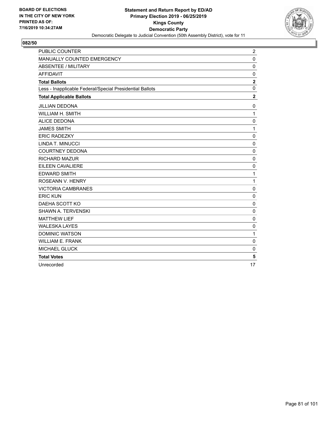

| <b>PUBLIC COUNTER</b>                                    | $\overline{\mathbf{c}}$ |
|----------------------------------------------------------|-------------------------|
| MANUALLY COUNTED EMERGENCY                               | $\Omega$                |
| <b>ABSENTEE / MILITARY</b>                               | 0                       |
| <b>AFFIDAVIT</b>                                         | $\mathbf 0$             |
| <b>Total Ballots</b>                                     | $\overline{\mathbf{2}}$ |
| Less - Inapplicable Federal/Special Presidential Ballots | $\mathbf 0$             |
| <b>Total Applicable Ballots</b>                          | $\overline{2}$          |
| <b>JILLIAN DEDONA</b>                                    | 0                       |
| WILLIAM H. SMITH                                         | $\mathbf{1}$            |
| <b>ALICE DEDONA</b>                                      | 0                       |
| <b>JAMES SMITH</b>                                       | $\mathbf{1}$            |
| <b>ERIC RADEZKY</b>                                      | 0                       |
| LINDA T. MINUCCI                                         | $\mathbf 0$             |
| <b>COURTNEY DEDONA</b>                                   | $\mathbf 0$             |
| <b>RICHARD MAZUR</b>                                     | $\mathbf 0$             |
| <b>EILEEN CAVALIERE</b>                                  | 0                       |
| <b>EDWARD SMITH</b>                                      | $\mathbf{1}$            |
| ROSEANN V. HENRY                                         | $\mathbf{1}$            |
| <b>VICTORIA CAMBRANES</b>                                | 0                       |
| <b>ERIC KUN</b>                                          | $\mathbf 0$             |
| DAEHA SCOTT KO                                           | 0                       |
| <b>SHAWN A. TERVENSKI</b>                                | 0                       |
| <b>MATTHEW LIEF</b>                                      | $\mathbf 0$             |
| <b>WALESKA LAYES</b>                                     | $\mathbf 0$             |
| <b>DOMINIC WATSON</b>                                    | $\mathbf{1}$            |
| <b>WILLIAM E. FRANK</b>                                  | $\mathbf 0$             |
| <b>MICHAEL GLUCK</b>                                     | 0                       |
| <b>Total Votes</b>                                       | 5                       |
| Unrecorded                                               | 17                      |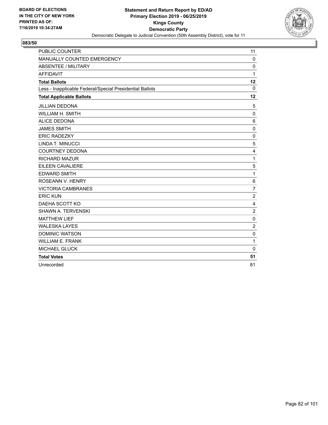

| <b>PUBLIC COUNTER</b>                                    | 11              |
|----------------------------------------------------------|-----------------|
| MANUALLY COUNTED EMERGENCY                               | 0               |
| ABSENTEE / MILITARY                                      | $\mathbf 0$     |
| <b>AFFIDAVIT</b>                                         | 1               |
| <b>Total Ballots</b>                                     | 12              |
| Less - Inapplicable Federal/Special Presidential Ballots | $\mathbf 0$     |
| <b>Total Applicable Ballots</b>                          | 12              |
| <b>JILLIAN DEDONA</b>                                    | 5               |
| <b>WILLIAM H. SMITH</b>                                  | $\mathbf 0$     |
| <b>ALICE DEDONA</b>                                      | 6               |
| <b>JAMES SMITH</b>                                       | 0               |
| <b>ERIC RADEZKY</b>                                      | 0               |
| LINDA T. MINUCCI                                         | 5               |
| <b>COURTNEY DEDONA</b>                                   | 4               |
| <b>RICHARD MAZUR</b>                                     | $\mathbf{1}$    |
| EILEEN CAVALIERE                                         | 5               |
| <b>EDWARD SMITH</b>                                      | $\mathbf{1}$    |
| ROSEANN V. HENRY                                         | $6\phantom{1}6$ |
| <b>VICTORIA CAMBRANES</b>                                | $\overline{7}$  |
| <b>ERIC KUN</b>                                          | $\overline{c}$  |
| DAEHA SCOTT KO                                           | 4               |
| <b>SHAWN A. TERVENSKI</b>                                | $\overline{c}$  |
| <b>MATTHEW LIEF</b>                                      | $\mathbf 0$     |
| <b>WALESKA LAYES</b>                                     | $\overline{2}$  |
| <b>DOMINIC WATSON</b>                                    | $\mathbf 0$     |
| <b>WILLIAM E. FRANK</b>                                  | 1               |
| MICHAEL GLUCK                                            | $\mathbf 0$     |
| <b>Total Votes</b>                                       | 51              |
| Unrecorded                                               | 81              |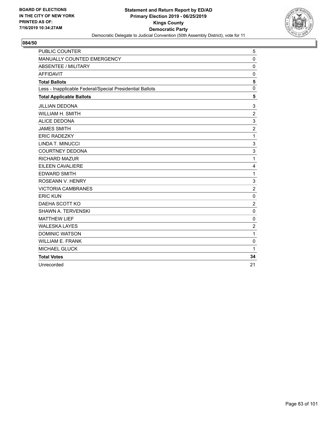

| <b>PUBLIC COUNTER</b>                                    | 5              |
|----------------------------------------------------------|----------------|
| MANUALLY COUNTED EMERGENCY                               | $\mathbf{0}$   |
| <b>ABSENTEE / MILITARY</b>                               | $\mathbf 0$    |
| <b>AFFIDAVIT</b>                                         | $\mathbf 0$    |
| <b>Total Ballots</b>                                     | 5              |
| Less - Inapplicable Federal/Special Presidential Ballots | $\mathbf{0}$   |
| <b>Total Applicable Ballots</b>                          | 5              |
| <b>JILLIAN DEDONA</b>                                    | 3              |
| <b>WILLIAM H. SMITH</b>                                  | $\overline{c}$ |
| <b>ALICE DEDONA</b>                                      | 3              |
| <b>JAMES SMITH</b>                                       | $\overline{2}$ |
| <b>ERIC RADEZKY</b>                                      | 1              |
| LINDA T. MINUCCI                                         | 3              |
| <b>COURTNEY DEDONA</b>                                   | 3              |
| <b>RICHARD MAZUR</b>                                     | 1              |
| <b>EILEEN CAVALIERE</b>                                  | 4              |
| <b>EDWARD SMITH</b>                                      | $\mathbf{1}$   |
| ROSEANN V. HENRY                                         | 3              |
| <b>VICTORIA CAMBRANES</b>                                | $\overline{2}$ |
| <b>ERIC KUN</b>                                          | $\mathbf 0$    |
| DAEHA SCOTT KO                                           | $\overline{2}$ |
| <b>SHAWN A. TERVENSKI</b>                                | 0              |
| <b>MATTHEW LIEF</b>                                      | 0              |
| <b>WALESKA LAYES</b>                                     | $\overline{c}$ |
| <b>DOMINIC WATSON</b>                                    | $\mathbf{1}$   |
| <b>WILLIAM E. FRANK</b>                                  | $\mathbf 0$    |
| <b>MICHAEL GLUCK</b>                                     | $\mathbf{1}$   |
| <b>Total Votes</b>                                       | 34             |
| Unrecorded                                               | 21             |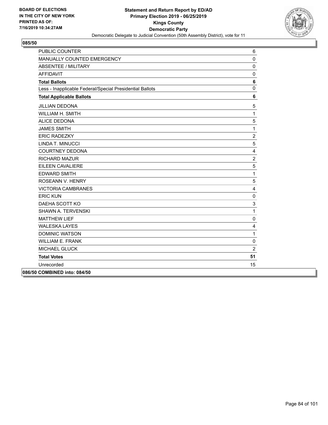

| <b>PUBLIC COUNTER</b>                                    | 6              |
|----------------------------------------------------------|----------------|
| MANUALLY COUNTED EMERGENCY                               | $\Omega$       |
| <b>ABSENTEE / MILITARY</b>                               | $\mathbf{0}$   |
| <b>AFFIDAVIT</b>                                         | $\mathbf 0$    |
| <b>Total Ballots</b>                                     | 6              |
| Less - Inapplicable Federal/Special Presidential Ballots | $\mathbf 0$    |
| <b>Total Applicable Ballots</b>                          | 6              |
| <b>JILLIAN DEDONA</b>                                    | 5              |
| WILLIAM H. SMITH                                         | $\mathbf{1}$   |
| <b>ALICE DEDONA</b>                                      | $\sqrt{5}$     |
| <b>JAMES SMITH</b>                                       | $\mathbf{1}$   |
| <b>ERIC RADEZKY</b>                                      | $\overline{c}$ |
| <b>LINDA T. MINUCCI</b>                                  | $\sqrt{5}$     |
| <b>COURTNEY DEDONA</b>                                   | $\overline{4}$ |
| <b>RICHARD MAZUR</b>                                     | $\overline{c}$ |
| EILEEN CAVALIERE                                         | 5              |
| <b>EDWARD SMITH</b>                                      | $\mathbf{1}$   |
| ROSEANN V. HENRY                                         | $\overline{5}$ |
| <b>VICTORIA CAMBRANES</b>                                | $\overline{4}$ |
| <b>ERIC KUN</b>                                          | $\mathbf 0$    |
| DAEHA SCOTT KO                                           | 3              |
| <b>SHAWN A. TERVENSKI</b>                                | $\mathbf{1}$   |
| <b>MATTHEW LIEF</b>                                      | $\mathbf 0$    |
| <b>WALESKA LAYES</b>                                     | 4              |
| <b>DOMINIC WATSON</b>                                    | $\mathbf{1}$   |
| <b>WILLIAM E. FRANK</b>                                  | $\pmb{0}$      |
| MICHAEL GLUCK                                            | $\overline{2}$ |
| <b>Total Votes</b>                                       | 51             |
| Unrecorded                                               | 15             |
| 086/50 COMBINED into: 084/50                             |                |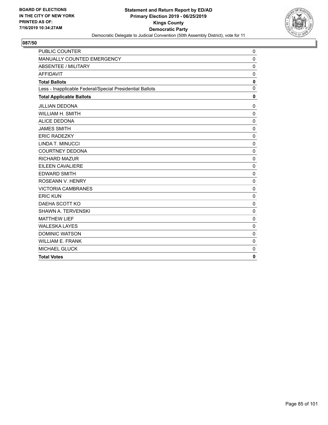

| <b>PUBLIC COUNTER</b>                                    | 0            |
|----------------------------------------------------------|--------------|
| MANUALLY COUNTED EMERGENCY                               | $\mathbf 0$  |
| <b>ABSENTEE / MILITARY</b>                               | $\mathbf 0$  |
| <b>AFFIDAVIT</b>                                         | $\mathbf 0$  |
| <b>Total Ballots</b>                                     | $\mathbf 0$  |
| Less - Inapplicable Federal/Special Presidential Ballots | $\mathbf 0$  |
| <b>Total Applicable Ballots</b>                          | $\mathbf{0}$ |
| <b>JILLIAN DEDONA</b>                                    | 0            |
| <b>WILLIAM H. SMITH</b>                                  | $\mathbf 0$  |
| <b>ALICE DEDONA</b>                                      | $\mathbf 0$  |
| <b>JAMES SMITH</b>                                       | $\Omega$     |
| <b>ERIC RADEZKY</b>                                      | 0            |
| LINDA T. MINUCCI                                         | $\mathbf 0$  |
| <b>COURTNEY DEDONA</b>                                   | $\mathbf 0$  |
| <b>RICHARD MAZUR</b>                                     | 0            |
| <b>EILEEN CAVALIERE</b>                                  | $\mathbf 0$  |
| <b>EDWARD SMITH</b>                                      | $\mathbf 0$  |
| ROSEANN V. HENRY                                         | $\mathbf 0$  |
| <b>VICTORIA CAMBRANES</b>                                | $\mathbf 0$  |
| <b>ERIC KUN</b>                                          | $\mathbf 0$  |
| DAEHA SCOTT KO                                           | $\mathbf 0$  |
| SHAWN A. TERVENSKI                                       | $\mathbf 0$  |
| <b>MATTHEW LIEF</b>                                      | $\mathbf 0$  |
| <b>WALESKA LAYES</b>                                     | $\Omega$     |
| <b>DOMINIC WATSON</b>                                    | $\mathbf 0$  |
| <b>WILLIAM E. FRANK</b>                                  | 0            |
| <b>MICHAEL GLUCK</b>                                     | 0            |
| <b>Total Votes</b>                                       | $\mathbf{0}$ |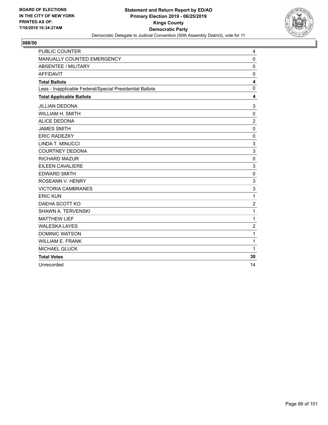

| <b>PUBLIC COUNTER</b>                                    | 4              |
|----------------------------------------------------------|----------------|
| MANUALLY COUNTED EMERGENCY                               | 0              |
| <b>ABSENTEE / MILITARY</b>                               | $\mathbf 0$    |
| <b>AFFIDAVIT</b>                                         | $\mathbf 0$    |
| <b>Total Ballots</b>                                     | 4              |
| Less - Inapplicable Federal/Special Presidential Ballots | $\mathbf{0}$   |
| <b>Total Applicable Ballots</b>                          | 4              |
| <b>JILLIAN DEDONA</b>                                    | 3              |
| <b>WILLIAM H. SMITH</b>                                  | $\mathbf 0$    |
| <b>ALICE DEDONA</b>                                      | $\overline{2}$ |
| <b>JAMES SMITH</b>                                       | $\mathbf 0$    |
| <b>ERIC RADEZKY</b>                                      | 0              |
| LINDA T. MINUCCI                                         | 3              |
| <b>COURTNEY DEDONA</b>                                   | 3              |
| <b>RICHARD MAZUR</b>                                     | $\mathbf 0$    |
| EILEEN CAVALIERE                                         | 3              |
| <b>EDWARD SMITH</b>                                      | 0              |
| ROSEANN V. HENRY                                         | 3              |
| <b>VICTORIA CAMBRANES</b>                                | 3              |
| <b>ERIC KUN</b>                                          | 1              |
| DAEHA SCOTT KO                                           | $\overline{c}$ |
| <b>SHAWN A. TERVENSKI</b>                                | $\mathbf{1}$   |
| <b>MATTHEW LIEF</b>                                      | 1              |
| <b>WALESKA LAYES</b>                                     | $\overline{c}$ |
| <b>DOMINIC WATSON</b>                                    | $\mathbf{1}$   |
| <b>WILLIAM E. FRANK</b>                                  | 1              |
| MICHAEL GLUCK                                            | 1              |
| <b>Total Votes</b>                                       | 30             |
| Unrecorded                                               | 14             |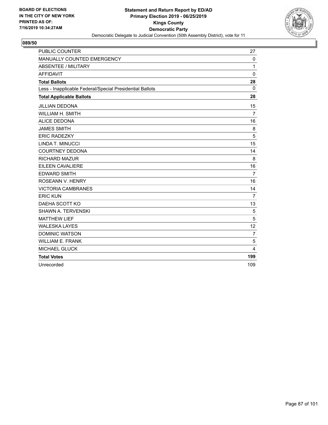

| <b>PUBLIC COUNTER</b>                                    | 27             |
|----------------------------------------------------------|----------------|
| MANUALLY COUNTED EMERGENCY                               | 0              |
| ABSENTEE / MILITARY                                      | 1              |
| <b>AFFIDAVIT</b>                                         | $\mathbf 0$    |
| <b>Total Ballots</b>                                     | 28             |
| Less - Inapplicable Federal/Special Presidential Ballots | $\mathbf{0}$   |
| <b>Total Applicable Ballots</b>                          | 28             |
| <b>JILLIAN DEDONA</b>                                    | 15             |
| <b>WILLIAM H. SMITH</b>                                  | $\overline{7}$ |
| <b>ALICE DEDONA</b>                                      | 16             |
| <b>JAMES SMITH</b>                                       | 8              |
| <b>ERIC RADEZKY</b>                                      | 5              |
| LINDA T. MINUCCI                                         | 15             |
| <b>COURTNEY DEDONA</b>                                   | 14             |
| <b>RICHARD MAZUR</b>                                     | 8              |
| EILEEN CAVALIERE                                         | 16             |
| <b>EDWARD SMITH</b>                                      | $\overline{7}$ |
| ROSEANN V. HENRY                                         | 16             |
| <b>VICTORIA CAMBRANES</b>                                | 14             |
| <b>ERIC KUN</b>                                          | $\overline{7}$ |
| DAEHA SCOTT KO                                           | 13             |
| <b>SHAWN A. TERVENSKI</b>                                | 5              |
| <b>MATTHEW LIEF</b>                                      | 5              |
| <b>WALESKA LAYES</b>                                     | 12             |
| <b>DOMINIC WATSON</b>                                    | $\overline{7}$ |
| <b>WILLIAM E. FRANK</b>                                  | 5              |
| <b>MICHAEL GLUCK</b>                                     | $\overline{4}$ |
| <b>Total Votes</b>                                       | 199            |
| Unrecorded                                               | 109            |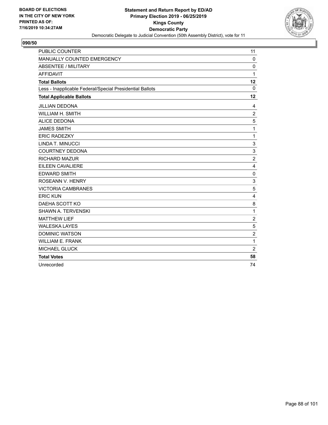

| <b>PUBLIC COUNTER</b>                                    | 11             |
|----------------------------------------------------------|----------------|
| MANUALLY COUNTED EMERGENCY                               | 0              |
| ABSENTEE / MILITARY                                      | 0              |
| <b>AFFIDAVIT</b>                                         | 1              |
| <b>Total Ballots</b>                                     | 12             |
| Less - Inapplicable Federal/Special Presidential Ballots | $\mathbf 0$    |
| <b>Total Applicable Ballots</b>                          | 12             |
| <b>JILLIAN DEDONA</b>                                    | 4              |
| <b>WILLIAM H. SMITH</b>                                  | $\overline{c}$ |
| <b>ALICE DEDONA</b>                                      | 5              |
| <b>JAMES SMITH</b>                                       | $\mathbf{1}$   |
| <b>ERIC RADEZKY</b>                                      | $\mathbf{1}$   |
| LINDA T. MINUCCI                                         | 3              |
| <b>COURTNEY DEDONA</b>                                   | 3              |
| <b>RICHARD MAZUR</b>                                     | $\overline{c}$ |
| EILEEN CAVALIERE                                         | 4              |
| <b>EDWARD SMITH</b>                                      | $\mathbf 0$    |
| ROSEANN V. HENRY                                         | 3              |
| <b>VICTORIA CAMBRANES</b>                                | 5              |
| <b>ERIC KUN</b>                                          | 4              |
| DAEHA SCOTT KO                                           | 8              |
| <b>SHAWN A. TERVENSKI</b>                                | 1              |
| <b>MATTHEW LIEF</b>                                      | $\overline{2}$ |
| <b>WALESKA LAYES</b>                                     | 5              |
| <b>DOMINIC WATSON</b>                                    | $\overline{2}$ |
| <b>WILLIAM E. FRANK</b>                                  | 1              |
| MICHAEL GLUCK                                            | $\overline{2}$ |
| <b>Total Votes</b>                                       | 58             |
| Unrecorded                                               | 74             |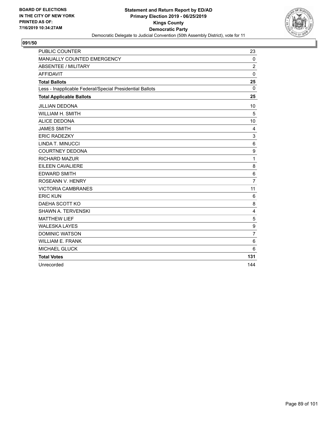

| <b>PUBLIC COUNTER</b>                                    | 23             |
|----------------------------------------------------------|----------------|
| MANUALLY COUNTED EMERGENCY                               | $\Omega$       |
| <b>ABSENTEE / MILITARY</b>                               | $\overline{c}$ |
| <b>AFFIDAVIT</b>                                         | $\mathbf{0}$   |
| <b>Total Ballots</b>                                     | 25             |
| Less - Inapplicable Federal/Special Presidential Ballots | $\Omega$       |
| <b>Total Applicable Ballots</b>                          | 25             |
| <b>JILLIAN DEDONA</b>                                    | 10             |
| <b>WILLIAM H. SMITH</b>                                  | 5              |
| <b>ALICE DEDONA</b>                                      | 10             |
| <b>JAMES SMITH</b>                                       | 4              |
| <b>ERIC RADEZKY</b>                                      | 3              |
| LINDA T. MINUCCI                                         | 6              |
| <b>COURTNEY DEDONA</b>                                   | 9              |
| <b>RICHARD MAZUR</b>                                     | 1              |
| EILEEN CAVALIERE                                         | 8              |
| <b>EDWARD SMITH</b>                                      | 6              |
| ROSEANN V. HENRY                                         | $\overline{7}$ |
| <b>VICTORIA CAMBRANES</b>                                | 11             |
| <b>ERIC KUN</b>                                          | 6              |
| DAEHA SCOTT KO                                           | 8              |
| <b>SHAWN A. TERVENSKI</b>                                | $\overline{4}$ |
| <b>MATTHEW LIEF</b>                                      | 5              |
| <b>WALESKA LAYES</b>                                     | 9              |
| <b>DOMINIC WATSON</b>                                    | 7              |
| <b>WILLIAM E. FRANK</b>                                  | 6              |
| <b>MICHAEL GLUCK</b>                                     | 6              |
| <b>Total Votes</b>                                       | 131            |
| Unrecorded                                               | 144            |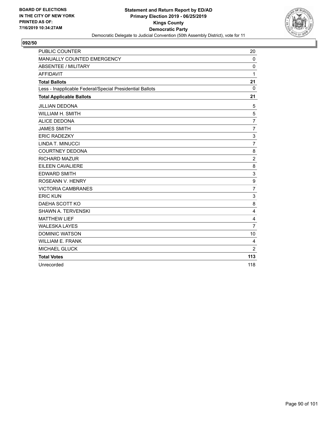

| <b>PUBLIC COUNTER</b>                                    | 20             |
|----------------------------------------------------------|----------------|
| MANUALLY COUNTED EMERGENCY                               | $\mathbf 0$    |
| ABSENTEE / MILITARY                                      | $\Omega$       |
| <b>AFFIDAVIT</b>                                         | 1              |
| <b>Total Ballots</b>                                     | 21             |
| Less - Inapplicable Federal/Special Presidential Ballots | $\Omega$       |
| <b>Total Applicable Ballots</b>                          | 21             |
| <b>JILLIAN DEDONA</b>                                    | 5              |
| WILLIAM H. SMITH                                         | 5              |
| <b>ALICE DEDONA</b>                                      | $\overline{7}$ |
| <b>JAMES SMITH</b>                                       | $\overline{7}$ |
| <b>ERIC RADEZKY</b>                                      | 3              |
| LINDA T. MINUCCI                                         | $\overline{7}$ |
| <b>COURTNEY DEDONA</b>                                   | 8              |
| <b>RICHARD MAZUR</b>                                     | $\overline{c}$ |
| EILEEN CAVALIERE                                         | 8              |
| <b>EDWARD SMITH</b>                                      | 3              |
| ROSEANN V. HENRY                                         | 9              |
| <b>VICTORIA CAMBRANES</b>                                | $\overline{7}$ |
| <b>ERIC KUN</b>                                          | 3              |
| DAEHA SCOTT KO                                           | 8              |
| SHAWN A. TERVENSKI                                       | 4              |
| <b>MATTHEW LIEF</b>                                      | 4              |
| <b>WALESKA LAYES</b>                                     | $\overline{7}$ |
| <b>DOMINIC WATSON</b>                                    | 10             |
| <b>WILLIAM E. FRANK</b>                                  | 4              |
| MICHAEL GLUCK                                            | $\overline{2}$ |
| <b>Total Votes</b>                                       | 113            |
| Unrecorded                                               | 118            |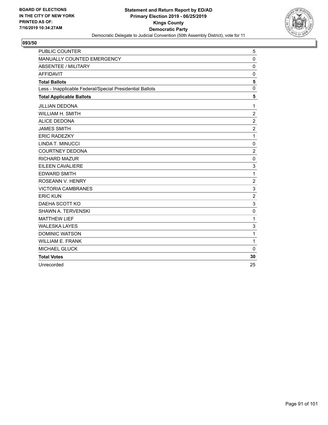

| <b>PUBLIC COUNTER</b>                                    | 5              |
|----------------------------------------------------------|----------------|
| MANUALLY COUNTED EMERGENCY                               | $\mathbf{0}$   |
| ABSENTEE / MILITARY                                      | 0              |
| <b>AFFIDAVIT</b>                                         | $\mathbf 0$    |
| <b>Total Ballots</b>                                     | 5              |
| Less - Inapplicable Federal/Special Presidential Ballots | 0              |
| <b>Total Applicable Ballots</b>                          | 5              |
| <b>JILLIAN DEDONA</b>                                    | $\mathbf{1}$   |
| WILLIAM H. SMITH                                         | $\overline{c}$ |
| <b>ALICE DEDONA</b>                                      | $\overline{2}$ |
| <b>JAMES SMITH</b>                                       | $\overline{c}$ |
| <b>ERIC RADEZKY</b>                                      | $\mathbf{1}$   |
| LINDA T. MINUCCI                                         | 0              |
| <b>COURTNEY DEDONA</b>                                   | $\overline{c}$ |
| <b>RICHARD MAZUR</b>                                     | 0              |
| <b>EILEEN CAVALIERE</b>                                  | 3              |
| <b>EDWARD SMITH</b>                                      | 1              |
| ROSEANN V. HENRY                                         | $\overline{c}$ |
| <b>VICTORIA CAMBRANES</b>                                | 3              |
| <b>ERIC KUN</b>                                          | $\overline{2}$ |
| DAEHA SCOTT KO                                           | 3              |
| <b>SHAWN A. TERVENSKI</b>                                | $\mathbf 0$    |
| <b>MATTHEW LIEF</b>                                      | 1              |
| <b>WALESKA LAYES</b>                                     | 3              |
| <b>DOMINIC WATSON</b>                                    | $\mathbf{1}$   |
| <b>WILLIAM E. FRANK</b>                                  | $\mathbf{1}$   |
| <b>MICHAEL GLUCK</b>                                     | $\mathbf{0}$   |
| <b>Total Votes</b>                                       | 30             |
| Unrecorded                                               | 25             |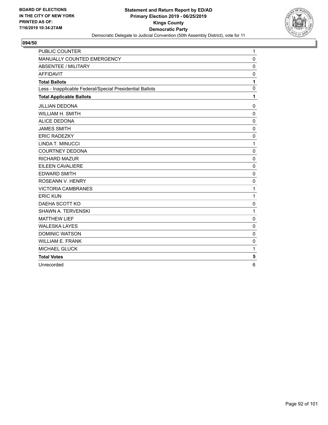

| <b>PUBLIC COUNTER</b>                                    | $\mathbf{1}$ |
|----------------------------------------------------------|--------------|
| MANUALLY COUNTED EMERGENCY                               | 0            |
| <b>ABSENTEE / MILITARY</b>                               | $\mathbf 0$  |
| <b>AFFIDAVIT</b>                                         | $\mathbf 0$  |
| <b>Total Ballots</b>                                     | 1            |
| Less - Inapplicable Federal/Special Presidential Ballots | $\mathbf{0}$ |
| <b>Total Applicable Ballots</b>                          | 1            |
| <b>JILLIAN DEDONA</b>                                    | 0            |
| WILLIAM H. SMITH                                         | $\mathbf 0$  |
| <b>ALICE DEDONA</b>                                      | $\mathbf 0$  |
| <b>JAMES SMITH</b>                                       | $\mathbf 0$  |
| <b>ERIC RADEZKY</b>                                      | 0            |
| LINDA T. MINUCCI                                         | 1            |
| <b>COURTNEY DEDONA</b>                                   | $\mathbf 0$  |
| <b>RICHARD MAZUR</b>                                     | $\mathbf{0}$ |
| <b>EILEEN CAVALIERE</b>                                  | 0            |
| <b>EDWARD SMITH</b>                                      | $\mathbf 0$  |
| ROSEANN V. HENRY                                         | $\mathbf 0$  |
| <b>VICTORIA CAMBRANES</b>                                | 1            |
| <b>ERIC KUN</b>                                          | 1            |
| DAEHA SCOTT KO                                           | 0            |
| <b>SHAWN A. TERVENSKI</b>                                | $\mathbf{1}$ |
| <b>MATTHEW LIEF</b>                                      | 0            |
| <b>WALESKA LAYES</b>                                     | $\mathbf{0}$ |
| <b>DOMINIC WATSON</b>                                    | 0            |
| <b>WILLIAM E. FRANK</b>                                  | 0            |
| <b>MICHAEL GLUCK</b>                                     | 1            |
| <b>Total Votes</b>                                       | 5            |
| Unrecorded                                               | 6            |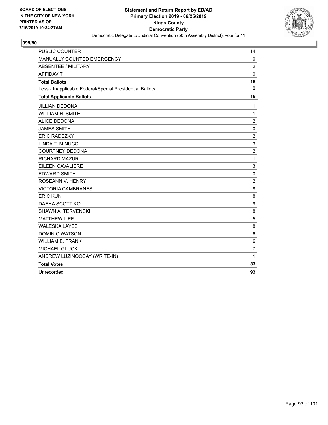

| <b>PUBLIC COUNTER</b>                                    | 14               |
|----------------------------------------------------------|------------------|
| MANUALLY COUNTED EMERGENCY                               | $\mathbf 0$      |
| <b>ABSENTEE / MILITARY</b>                               | $\overline{2}$   |
| <b>AFFIDAVIT</b>                                         | $\mathbf 0$      |
| <b>Total Ballots</b>                                     | 16               |
| Less - Inapplicable Federal/Special Presidential Ballots | $\mathbf{0}$     |
| <b>Total Applicable Ballots</b>                          | 16               |
| <b>JILLIAN DEDONA</b>                                    | 1                |
| WILLIAM H. SMITH                                         | $\mathbf{1}$     |
| <b>ALICE DEDONA</b>                                      | $\overline{c}$   |
| <b>JAMES SMITH</b>                                       | $\mathbf 0$      |
| <b>ERIC RADEZKY</b>                                      | $\overline{c}$   |
| LINDA T. MINUCCI                                         | 3                |
| <b>COURTNEY DEDONA</b>                                   | $\boldsymbol{2}$ |
| RICHARD MAZUR                                            | 1                |
| <b>EILEEN CAVALIERE</b>                                  | 3                |
| <b>EDWARD SMITH</b>                                      | $\mathbf 0$      |
| ROSEANN V. HENRY                                         | $\overline{2}$   |
| <b>VICTORIA CAMBRANES</b>                                | 8                |
| <b>ERIC KUN</b>                                          | 8                |
| DAEHA SCOTT KO                                           | $\boldsymbol{9}$ |
| <b>SHAWN A. TERVENSKI</b>                                | 8                |
| <b>MATTHEW LIEF</b>                                      | 5                |
| <b>WALESKA LAYES</b>                                     | 8                |
| <b>DOMINIC WATSON</b>                                    | $\,6$            |
| <b>WILLIAM E. FRANK</b>                                  | $\,6$            |
| <b>MICHAEL GLUCK</b>                                     | $\overline{7}$   |
| ANDREW LUZINOCCAY (WRITE-IN)                             | 1                |
| <b>Total Votes</b>                                       | 83               |
| Unrecorded                                               | 93               |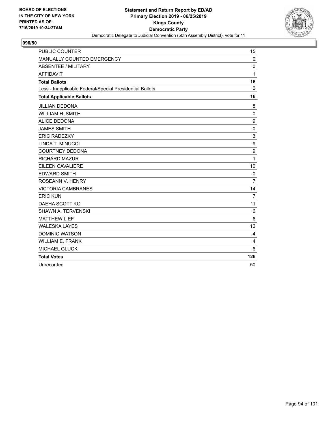

| <b>PUBLIC COUNTER</b>                                    | 15             |
|----------------------------------------------------------|----------------|
| MANUALLY COUNTED EMERGENCY                               | $\mathbf 0$    |
| ABSENTEE / MILITARY                                      | $\Omega$       |
| <b>AFFIDAVIT</b>                                         | 1              |
| <b>Total Ballots</b>                                     | 16             |
| Less - Inapplicable Federal/Special Presidential Ballots | 0              |
| <b>Total Applicable Ballots</b>                          | 16             |
| <b>JILLIAN DEDONA</b>                                    | 8              |
| WILLIAM H. SMITH                                         | $\mathbf 0$    |
| <b>ALICE DEDONA</b>                                      | 9              |
| <b>JAMES SMITH</b>                                       | 0              |
| <b>ERIC RADEZKY</b>                                      | 3              |
| LINDA T. MINUCCI                                         | 9              |
| <b>COURTNEY DEDONA</b>                                   | 9              |
| <b>RICHARD MAZUR</b>                                     | $\mathbf{1}$   |
| EILEEN CAVALIERE                                         | 10             |
| <b>EDWARD SMITH</b>                                      | $\mathbf 0$    |
| ROSEANN V. HENRY                                         | $\overline{7}$ |
| <b>VICTORIA CAMBRANES</b>                                | 14             |
| <b>ERIC KUN</b>                                          | $\overline{7}$ |
| DAEHA SCOTT KO                                           | 11             |
| SHAWN A. TERVENSKI                                       | 6              |
| <b>MATTHEW LIEF</b>                                      | 6              |
| <b>WALESKA LAYES</b>                                     | 12             |
| <b>DOMINIC WATSON</b>                                    | 4              |
| <b>WILLIAM E. FRANK</b>                                  | 4              |
| MICHAEL GLUCK                                            | 6              |
| <b>Total Votes</b>                                       | 126            |
| Unrecorded                                               | 50             |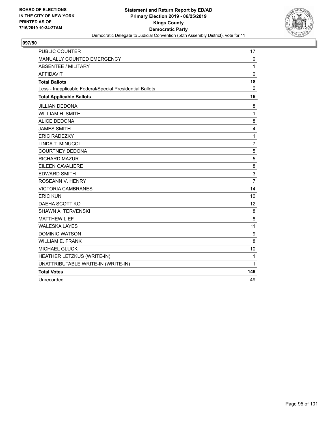

| PUBLIC COUNTER                                           | 17             |
|----------------------------------------------------------|----------------|
| MANUALLY COUNTED EMERGENCY                               | $\mathbf 0$    |
| ABSENTEE / MILITARY                                      | $\mathbf{1}$   |
| <b>AFFIDAVIT</b>                                         | $\Omega$       |
| <b>Total Ballots</b>                                     | 18             |
| Less - Inapplicable Federal/Special Presidential Ballots | 0              |
| <b>Total Applicable Ballots</b>                          | 18             |
| <b>JILLIAN DEDONA</b>                                    | 8              |
| WILLIAM H. SMITH                                         | 1              |
| <b>ALICE DEDONA</b>                                      | 8              |
| <b>JAMES SMITH</b>                                       | 4              |
| <b>ERIC RADEZKY</b>                                      | 1              |
| LINDA T. MINUCCI                                         | $\overline{7}$ |
| <b>COURTNEY DEDONA</b>                                   | 5              |
| <b>RICHARD MAZUR</b>                                     | 5              |
| EILEEN CAVALIERE                                         | 8              |
| <b>EDWARD SMITH</b>                                      | 3              |
| ROSEANN V. HENRY                                         | $\overline{7}$ |
| <b>VICTORIA CAMBRANES</b>                                | 14             |
| <b>ERIC KUN</b>                                          | 10             |
| DAEHA SCOTT KO                                           | 12             |
| SHAWN A. TERVENSKI                                       | 8              |
| <b>MATTHEW LIEF</b>                                      | 8              |
| <b>WALESKA LAYES</b>                                     | 11             |
| <b>DOMINIC WATSON</b>                                    | 9              |
| <b>WILLIAM E. FRANK</b>                                  | 8              |
| MICHAEL GLUCK                                            | 10             |
| HEATHER LETZKUS (WRITE-IN)                               | 1              |
| UNATTRIBUTABLE WRITE-IN (WRITE-IN)                       | 1              |
| <b>Total Votes</b>                                       | 149            |
| Unrecorded                                               | 49             |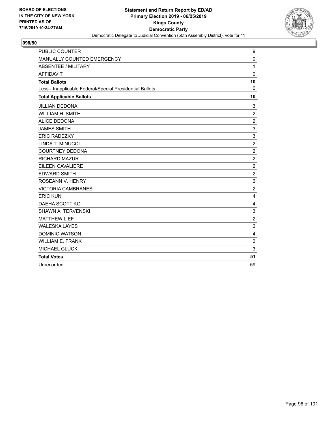

| <b>PUBLIC COUNTER</b>                                    | 9                |
|----------------------------------------------------------|------------------|
| MANUALLY COUNTED EMERGENCY                               | $\mathbf{0}$     |
| <b>ABSENTEE / MILITARY</b>                               | 1                |
| <b>AFFIDAVIT</b>                                         | $\mathbf{0}$     |
| <b>Total Ballots</b>                                     | 10               |
| Less - Inapplicable Federal/Special Presidential Ballots | $\Omega$         |
| <b>Total Applicable Ballots</b>                          | 10               |
| <b>JILLIAN DEDONA</b>                                    | 3                |
| <b>WILLIAM H. SMITH</b>                                  | $\overline{c}$   |
| <b>ALICE DEDONA</b>                                      | $\overline{2}$   |
| <b>JAMES SMITH</b>                                       | 3                |
| <b>ERIC RADEZKY</b>                                      | 3                |
| LINDA T. MINUCCI                                         | $\overline{c}$   |
| <b>COURTNEY DEDONA</b>                                   | $\overline{c}$   |
| <b>RICHARD MAZUR</b>                                     | $\boldsymbol{2}$ |
| EILEEN CAVALIERE                                         | $\overline{c}$   |
| <b>EDWARD SMITH</b>                                      | $\boldsymbol{2}$ |
| ROSEANN V. HENRY                                         | $\overline{2}$   |
| <b>VICTORIA CAMBRANES</b>                                | $\overline{c}$   |
| <b>ERIC KUN</b>                                          | 4                |
| DAEHA SCOTT KO                                           | 4                |
| <b>SHAWN A. TERVENSKI</b>                                | 3                |
| <b>MATTHEW LIEF</b>                                      | $\overline{c}$   |
| <b>WALESKA LAYES</b>                                     | $\overline{c}$   |
| <b>DOMINIC WATSON</b>                                    | 4                |
| <b>WILLIAM E. FRANK</b>                                  | $\overline{c}$   |
| <b>MICHAEL GLUCK</b>                                     | 3                |
| <b>Total Votes</b>                                       | 51               |
| Unrecorded                                               | 59               |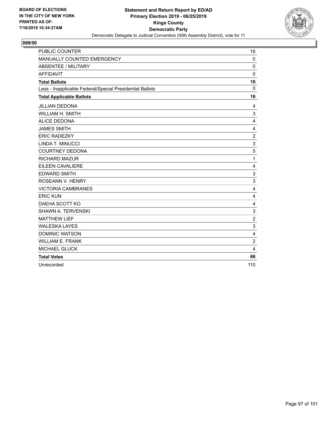

| <b>PUBLIC COUNTER</b>                                    | 16                        |
|----------------------------------------------------------|---------------------------|
| MANUALLY COUNTED EMERGENCY                               | $\mathbf 0$               |
| ABSENTEE / MILITARY                                      | $\mathbf 0$               |
| <b>AFFIDAVIT</b>                                         | $\mathbf 0$               |
| <b>Total Ballots</b>                                     | 16                        |
| Less - Inapplicable Federal/Special Presidential Ballots | $\Omega$                  |
| <b>Total Applicable Ballots</b>                          | 16                        |
| <b>JILLIAN DEDONA</b>                                    | 4                         |
| <b>WILLIAM H. SMITH</b>                                  | 3                         |
| <b>ALICE DEDONA</b>                                      | 4                         |
| <b>JAMES SMITH</b>                                       | 4                         |
| <b>ERIC RADEZKY</b>                                      | $\overline{c}$            |
| LINDA T. MINUCCI                                         | 3                         |
| <b>COURTNEY DEDONA</b>                                   | 5                         |
| <b>RICHARD MAZUR</b>                                     | $\mathbf{1}$              |
| EILEEN CAVALIERE                                         | 4                         |
| <b>EDWARD SMITH</b>                                      | $\ensuremath{\mathsf{3}}$ |
| ROSEANN V. HENRY                                         | 3                         |
| <b>VICTORIA CAMBRANES</b>                                | 4                         |
| <b>ERIC KUN</b>                                          | 4                         |
| DAEHA SCOTT KO                                           | 4                         |
| <b>SHAWN A. TERVENSKI</b>                                | 3                         |
| <b>MATTHEW LIEF</b>                                      | $\overline{c}$            |
| <b>WALESKA LAYES</b>                                     | 3                         |
| <b>DOMINIC WATSON</b>                                    | 4                         |
| <b>WILLIAM E. FRANK</b>                                  | $\overline{c}$            |
| <b>MICHAEL GLUCK</b>                                     | 4                         |
| <b>Total Votes</b>                                       | 66                        |
| Unrecorded                                               | 110                       |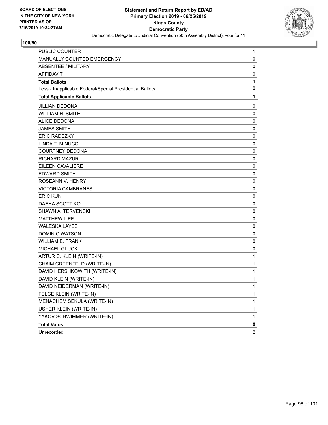

| <b>PUBLIC COUNTER</b>                                    | 1              |
|----------------------------------------------------------|----------------|
| MANUALLY COUNTED EMERGENCY                               | 0              |
| <b>ABSENTEE / MILITARY</b>                               | $\mathbf 0$    |
| <b>AFFIDAVIT</b>                                         | 0              |
| <b>Total Ballots</b>                                     | 1              |
| Less - Inapplicable Federal/Special Presidential Ballots | 0              |
| <b>Total Applicable Ballots</b>                          | 1              |
| <b>JILLIAN DEDONA</b>                                    | 0              |
| <b>WILLIAM H. SMITH</b>                                  | 0              |
| <b>ALICE DEDONA</b>                                      | 0              |
| <b>JAMES SMITH</b>                                       | $\mathbf 0$    |
| <b>ERIC RADEZKY</b>                                      | 0              |
| LINDA T. MINUCCI                                         | $\mathbf 0$    |
| <b>COURTNEY DEDONA</b>                                   | 0              |
| <b>RICHARD MAZUR</b>                                     | 0              |
| <b>EILEEN CAVALIERE</b>                                  | $\mathbf 0$    |
| <b>EDWARD SMITH</b>                                      | $\mathbf 0$    |
| ROSEANN V. HENRY                                         | 0              |
| <b>VICTORIA CAMBRANES</b>                                | $\mathbf 0$    |
| <b>ERIC KUN</b>                                          | $\mathbf 0$    |
| DAEHA SCOTT KO                                           | 0              |
| SHAWN A. TERVENSKI                                       | $\mathbf 0$    |
| <b>MATTHEW LIEF</b>                                      | $\mathbf 0$    |
| <b>WALESKA LAYES</b>                                     | 0              |
| <b>DOMINIC WATSON</b>                                    | $\mathbf 0$    |
| <b>WILLIAM E. FRANK</b>                                  | $\mathbf 0$    |
| MICHAEL GLUCK                                            | 0              |
| ARTUR C. KLEIN (WRITE-IN)                                | $\mathbf{1}$   |
| CHAIM GREENFELD (WRITE-IN)                               | $\mathbf{1}$   |
| DAVID HERSHKOWITH (WRITE-IN)                             | $\mathbf 1$    |
| DAVID KLEIN (WRITE-IN)                                   | $\mathbf 1$    |
| DAVID NEIDERMAN (WRITE-IN)                               | 1              |
| FELGE KLEIN (WRITE-IN)                                   | 1              |
| MENACHEM SEKULA (WRITE-IN)                               | $\mathbf{1}$   |
| USHER KLEIN (WRITE-IN)                                   | 1              |
| YAKOV SCHWIMMER (WRITE-IN)                               | 1              |
| <b>Total Votes</b>                                       | 9              |
| Unrecorded                                               | $\overline{c}$ |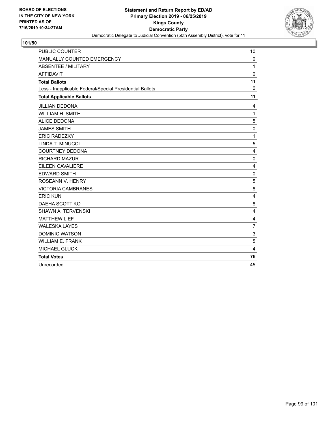

| <b>PUBLIC COUNTER</b>                                    | 10             |
|----------------------------------------------------------|----------------|
| MANUALLY COUNTED EMERGENCY                               | $\Omega$       |
| <b>ABSENTEE / MILITARY</b>                               | 1              |
| <b>AFFIDAVIT</b>                                         | $\Omega$       |
| <b>Total Ballots</b>                                     | 11             |
| Less - Inapplicable Federal/Special Presidential Ballots | $\Omega$       |
| <b>Total Applicable Ballots</b>                          | 11             |
| <b>JILLIAN DEDONA</b>                                    | 4              |
| <b>WILLIAM H. SMITH</b>                                  | $\mathbf{1}$   |
| <b>ALICE DEDONA</b>                                      | 5              |
| <b>JAMES SMITH</b>                                       | 0              |
| <b>ERIC RADEZKY</b>                                      | $\mathbf{1}$   |
| LINDA T. MINUCCI                                         | 5              |
| <b>COURTNEY DEDONA</b>                                   | $\overline{4}$ |
| <b>RICHARD MAZUR</b>                                     | $\mathbf 0$    |
| EILEEN CAVALIERE                                         | 4              |
| <b>EDWARD SMITH</b>                                      | $\mathbf 0$    |
| ROSEANN V. HENRY                                         | 5              |
| <b>VICTORIA CAMBRANES</b>                                | 8              |
| <b>ERIC KUN</b>                                          | 4              |
| DAEHA SCOTT KO                                           | 8              |
| <b>SHAWN A. TERVENSKI</b>                                | $\overline{4}$ |
| <b>MATTHEW LIEF</b>                                      | 4              |
| <b>WALESKA LAYES</b>                                     | $\overline{7}$ |
| <b>DOMINIC WATSON</b>                                    | 3              |
| <b>WILLIAM E. FRANK</b>                                  | 5              |
| <b>MICHAEL GLUCK</b>                                     | $\overline{4}$ |
| <b>Total Votes</b>                                       | 76             |
| Unrecorded                                               | 45             |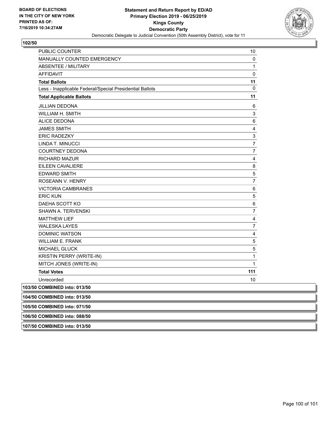

| PUBLIC COUNTER                                           | 10                        |
|----------------------------------------------------------|---------------------------|
| MANUALLY COUNTED EMERGENCY                               | 0                         |
| <b>ABSENTEE / MILITARY</b>                               | 1                         |
| <b>AFFIDAVIT</b>                                         | 0                         |
| <b>Total Ballots</b>                                     | 11                        |
| Less - Inapplicable Federal/Special Presidential Ballots | 0                         |
| <b>Total Applicable Ballots</b>                          | 11                        |
| <b>JILLIAN DEDONA</b>                                    | 6                         |
| WILLIAM H. SMITH                                         | $\ensuremath{\mathsf{3}}$ |
| <b>ALICE DEDONA</b>                                      | 6                         |
| <b>JAMES SMITH</b>                                       | $\overline{\mathbf{4}}$   |
| <b>ERIC RADEZKY</b>                                      | $\ensuremath{\mathsf{3}}$ |
| LINDA T. MINUCCI                                         | $\overline{7}$            |
| <b>COURTNEY DEDONA</b>                                   | $\overline{7}$            |
| <b>RICHARD MAZUR</b>                                     | 4                         |
| EILEEN CAVALIERE                                         | 8                         |
| <b>EDWARD SMITH</b>                                      | $\mathbf 5$               |
| ROSEANN V. HENRY                                         | $\overline{7}$            |
| <b>VICTORIA CAMBRANES</b>                                | 6                         |
| <b>ERIC KUN</b>                                          | $\,$ 5 $\,$               |
| DAEHA SCOTT KO                                           | 6                         |
| SHAWN A. TERVENSKI                                       | 7                         |
| <b>MATTHEW LIEF</b>                                      | 4                         |
| <b>WALESKA LAYES</b>                                     | 7                         |
| <b>DOMINIC WATSON</b>                                    | $\overline{\mathbf{4}}$   |
| <b>WILLIAM E. FRANK</b>                                  | $\mathbf 5$               |
| <b>MICHAEL GLUCK</b>                                     | $\sqrt{5}$                |
| KRISTIN PERRY (WRITE-IN)                                 | 1                         |
| MITCH JONES (WRITE-IN)                                   | $\mathbf{1}$              |
| <b>Total Votes</b>                                       | 111                       |
| Unrecorded                                               | 10                        |
| 103/50 COMBINED into: 013/50                             |                           |
| 104/50 COMBINED into: 013/50                             |                           |
| 105/50 COMBINED into: 071/50                             |                           |
| 106/50 COMBINED into: 088/50                             |                           |

**107/50 COMBINED into: 013/50**